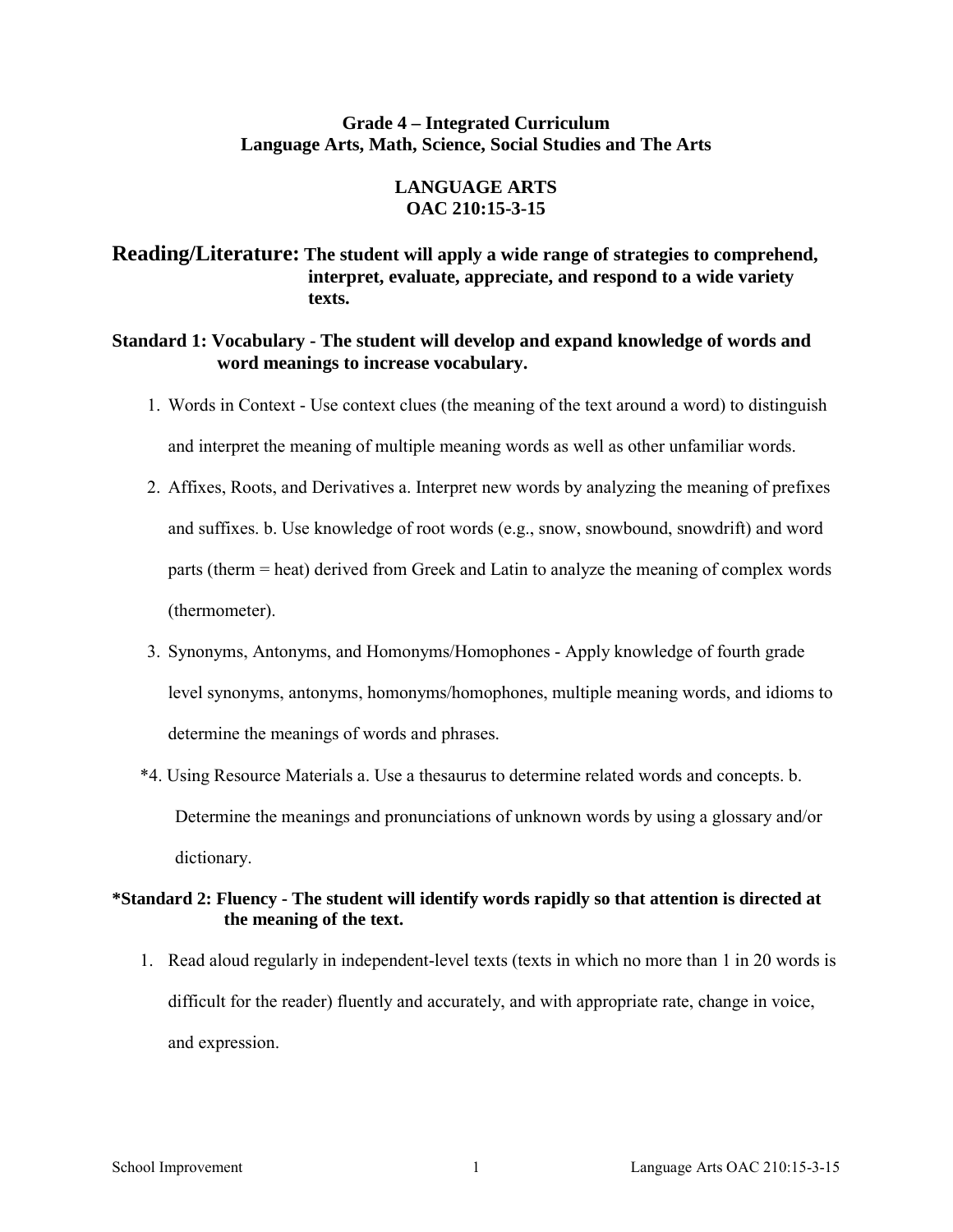### **Grade 4 – Integrated Curriculum Language Arts, Math, Science, Social Studies and The Arts**

### **LANGUAGE ARTS OAC 210:15-3-15**

# **Reading/Literature: The student will apply a wide range of strategies to comprehend, interpret, evaluate, appreciate, and respond to a wide variety texts.**

### **Standard 1: Vocabulary - The student will develop and expand knowledge of words and word meanings to increase vocabulary.**

- 1. Words in Context Use context clues (the meaning of the text around a word) to distinguish and interpret the meaning of multiple meaning words as well as other unfamiliar words.
- 2. Affixes, Roots, and Derivatives a. Interpret new words by analyzing the meaning of prefixes and suffixes. b. Use knowledge of root words (e.g., snow, snowbound, snowdrift) and word parts (therm = heat) derived from Greek and Latin to analyze the meaning of complex words (thermometer).
- 3. Synonyms, Antonyms, and Homonyms/Homophones Apply knowledge of fourth grade level synonyms, antonyms, homonyms/homophones, multiple meaning words, and idioms to determine the meanings of words and phrases.
- \*4. Using Resource Materials a. Use a thesaurus to determine related words and concepts. b. Determine the meanings and pronunciations of unknown words by using a glossary and/or dictionary.

# **\*Standard 2: Fluency - The student will identify words rapidly so that attention is directed at the meaning of the text.**

1. Read aloud regularly in independent-level texts (texts in which no more than 1 in 20 words is difficult for the reader) fluently and accurately, and with appropriate rate, change in voice, and expression.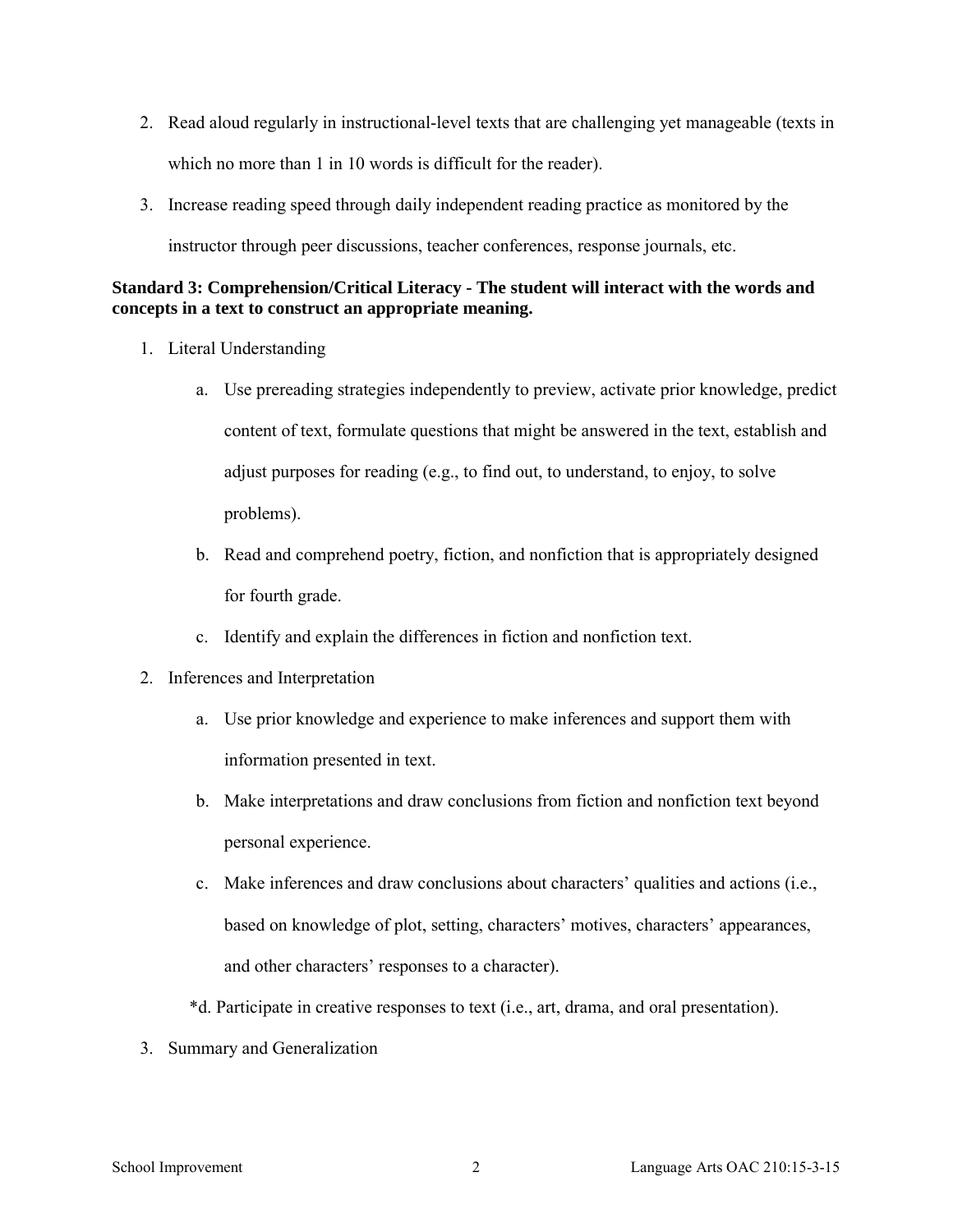- 2. Read aloud regularly in instructional-level texts that are challenging yet manageable (texts in which no more than 1 in 10 words is difficult for the reader).
- 3. Increase reading speed through daily independent reading practice as monitored by the instructor through peer discussions, teacher conferences, response journals, etc.

# **Standard 3: Comprehension/Critical Literacy - The student will interact with the words and concepts in a text to construct an appropriate meaning.**

- 1. Literal Understanding
	- a. Use prereading strategies independently to preview, activate prior knowledge, predict content of text, formulate questions that might be answered in the text, establish and adjust purposes for reading (e.g., to find out, to understand, to enjoy, to solve problems).
	- b. Read and comprehend poetry, fiction, and nonfiction that is appropriately designed for fourth grade.
	- c. Identify and explain the differences in fiction and nonfiction text.
- 2. Inferences and Interpretation
	- a. Use prior knowledge and experience to make inferences and support them with information presented in text.
	- b. Make interpretations and draw conclusions from fiction and nonfiction text beyond personal experience.
	- c. Make inferences and draw conclusions about characters' qualities and actions (i.e., based on knowledge of plot, setting, characters' motives, characters' appearances, and other characters' responses to a character).
	- \*d. Participate in creative responses to text (i.e., art, drama, and oral presentation).
- 3. Summary and Generalization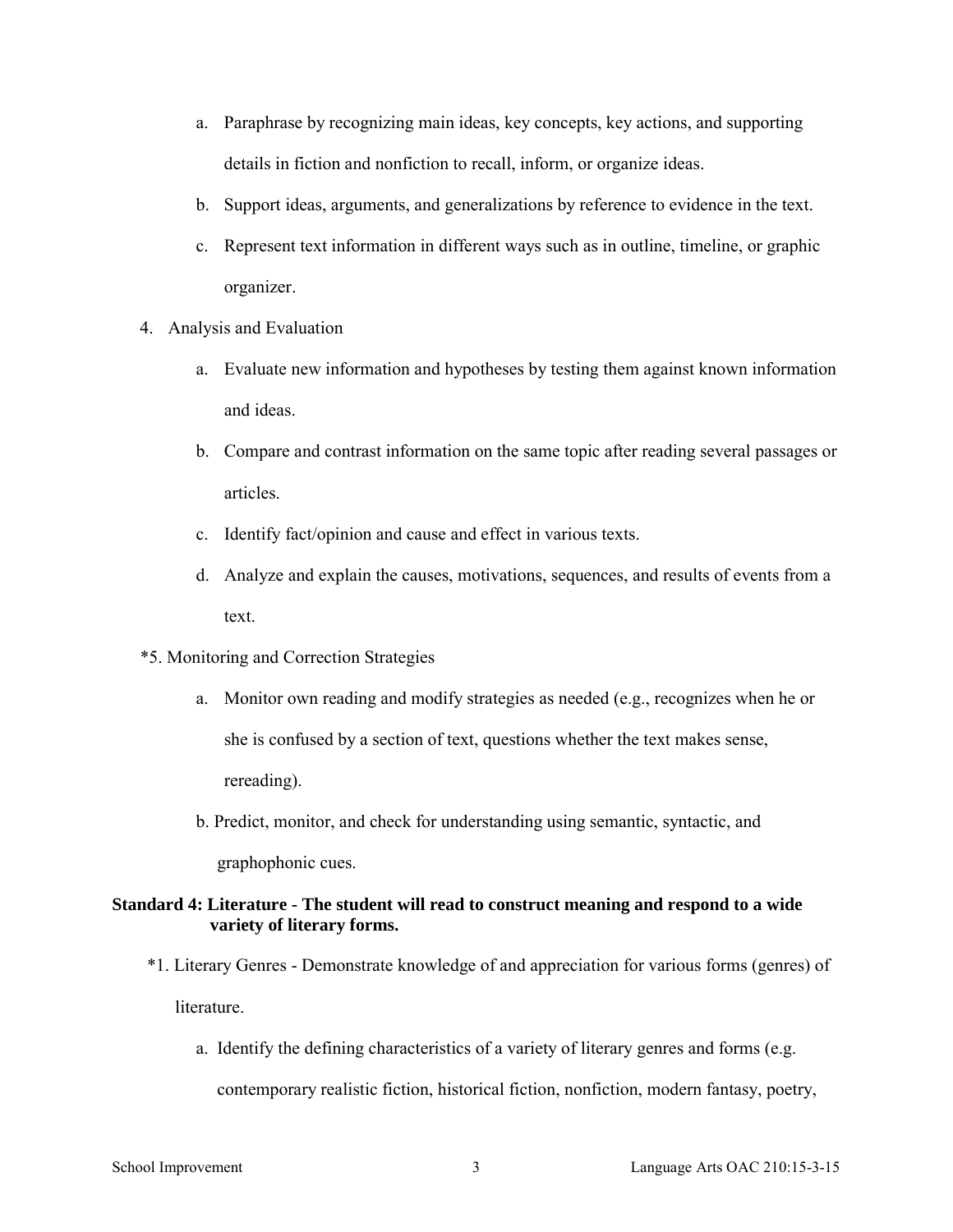- a. Paraphrase by recognizing main ideas, key concepts, key actions, and supporting details in fiction and nonfiction to recall, inform, or organize ideas.
- b. Support ideas, arguments, and generalizations by reference to evidence in the text.
- c. Represent text information in different ways such as in outline, timeline, or graphic organizer.
- 4. Analysis and Evaluation
	- a. Evaluate new information and hypotheses by testing them against known information and ideas.
	- b. Compare and contrast information on the same topic after reading several passages or articles.
	- c. Identify fact/opinion and cause and effect in various texts.
	- d. Analyze and explain the causes, motivations, sequences, and results of events from a text.
- \*5. Monitoring and Correction Strategies
	- a. Monitor own reading and modify strategies as needed (e.g., recognizes when he or she is confused by a section of text, questions whether the text makes sense, rereading).
	- b. Predict, monitor, and check for understanding using semantic, syntactic, and graphophonic cues.

### **Standard 4: Literature - The student will read to construct meaning and respond to a wide variety of literary forms.**

- \*1. Literary Genres Demonstrate knowledge of and appreciation for various forms (genres) of **literature** 
	- a. Identify the defining characteristics of a variety of literary genres and forms (e.g. contemporary realistic fiction, historical fiction, nonfiction, modern fantasy, poetry,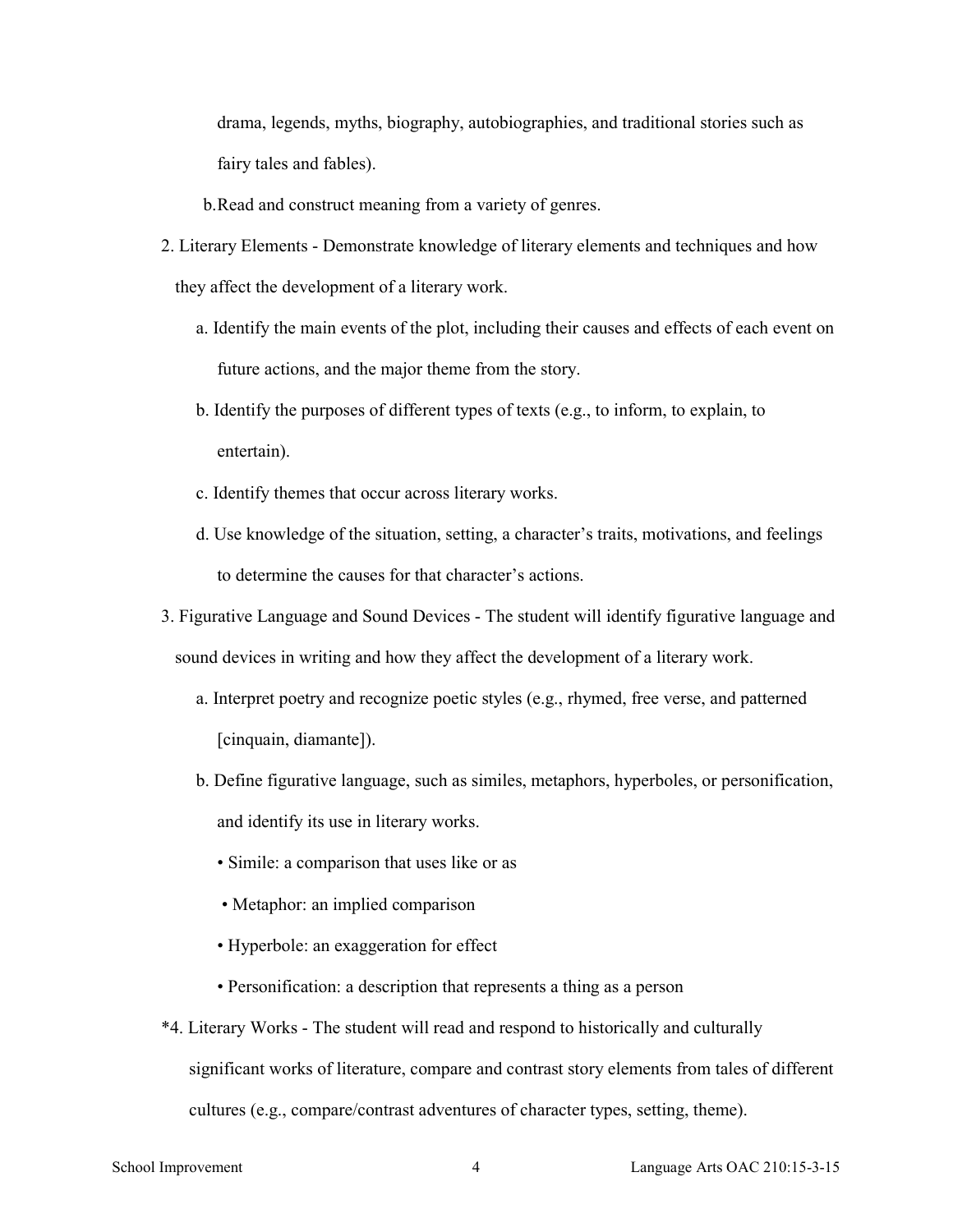drama, legends, myths, biography, autobiographies, and traditional stories such as fairy tales and fables).

b.Read and construct meaning from a variety of genres.

- 2. Literary Elements Demonstrate knowledge of literary elements and techniques and how they affect the development of a literary work.
	- a. Identify the main events of the plot, including their causes and effects of each event on future actions, and the major theme from the story.
	- b. Identify the purposes of different types of texts (e.g., to inform, to explain, to entertain).
	- c. Identify themes that occur across literary works.
	- d. Use knowledge of the situation, setting, a character's traits, motivations, and feelings to determine the causes for that character's actions.
- 3. Figurative Language and Sound Devices The student will identify figurative language and sound devices in writing and how they affect the development of a literary work.
	- a. Interpret poetry and recognize poetic styles (e.g., rhymed, free verse, and patterned [cinquain, diamante]).
	- b. Define figurative language, such as similes, metaphors, hyperboles, or personification, and identify its use in literary works.
		- Simile: a comparison that uses like or as
		- Metaphor: an implied comparison
		- Hyperbole: an exaggeration for effect
		- Personification: a description that represents a thing as a person
- \*4. Literary Works The student will read and respond to historically and culturally significant works of literature, compare and contrast story elements from tales of different cultures (e.g., compare/contrast adventures of character types, setting, theme).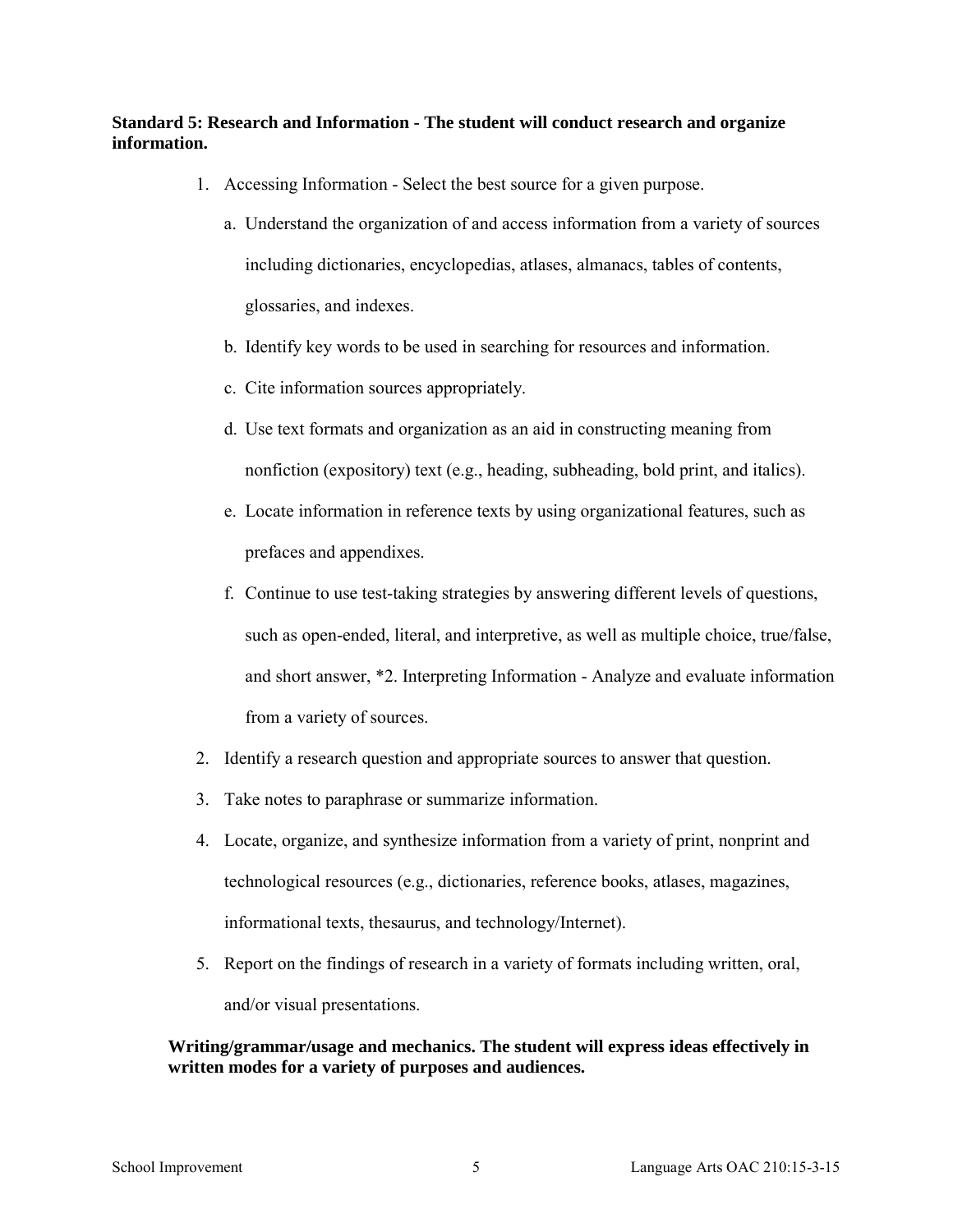## **Standard 5: Research and Information - The student will conduct research and organize information.**

- 1. Accessing Information Select the best source for a given purpose.
	- a. Understand the organization of and access information from a variety of sources including dictionaries, encyclopedias, atlases, almanacs, tables of contents, glossaries, and indexes.
	- b. Identify key words to be used in searching for resources and information.
	- c. Cite information sources appropriately.
	- d. Use text formats and organization as an aid in constructing meaning from nonfiction (expository) text (e.g., heading, subheading, bold print, and italics).
	- e. Locate information in reference texts by using organizational features, such as prefaces and appendixes.
	- f. Continue to use test-taking strategies by answering different levels of questions, such as open-ended, literal, and interpretive, as well as multiple choice, true/false, and short answer, \*2. Interpreting Information - Analyze and evaluate information from a variety of sources.
- 2. Identify a research question and appropriate sources to answer that question.
- 3. Take notes to paraphrase or summarize information.
- 4. Locate, organize, and synthesize information from a variety of print, nonprint and technological resources (e.g., dictionaries, reference books, atlases, magazines, informational texts, thesaurus, and technology/Internet).
- 5. Report on the findings of research in a variety of formats including written, oral, and/or visual presentations.

### **Writing/grammar/usage and mechanics. The student will express ideas effectively in written modes for a variety of purposes and audiences.**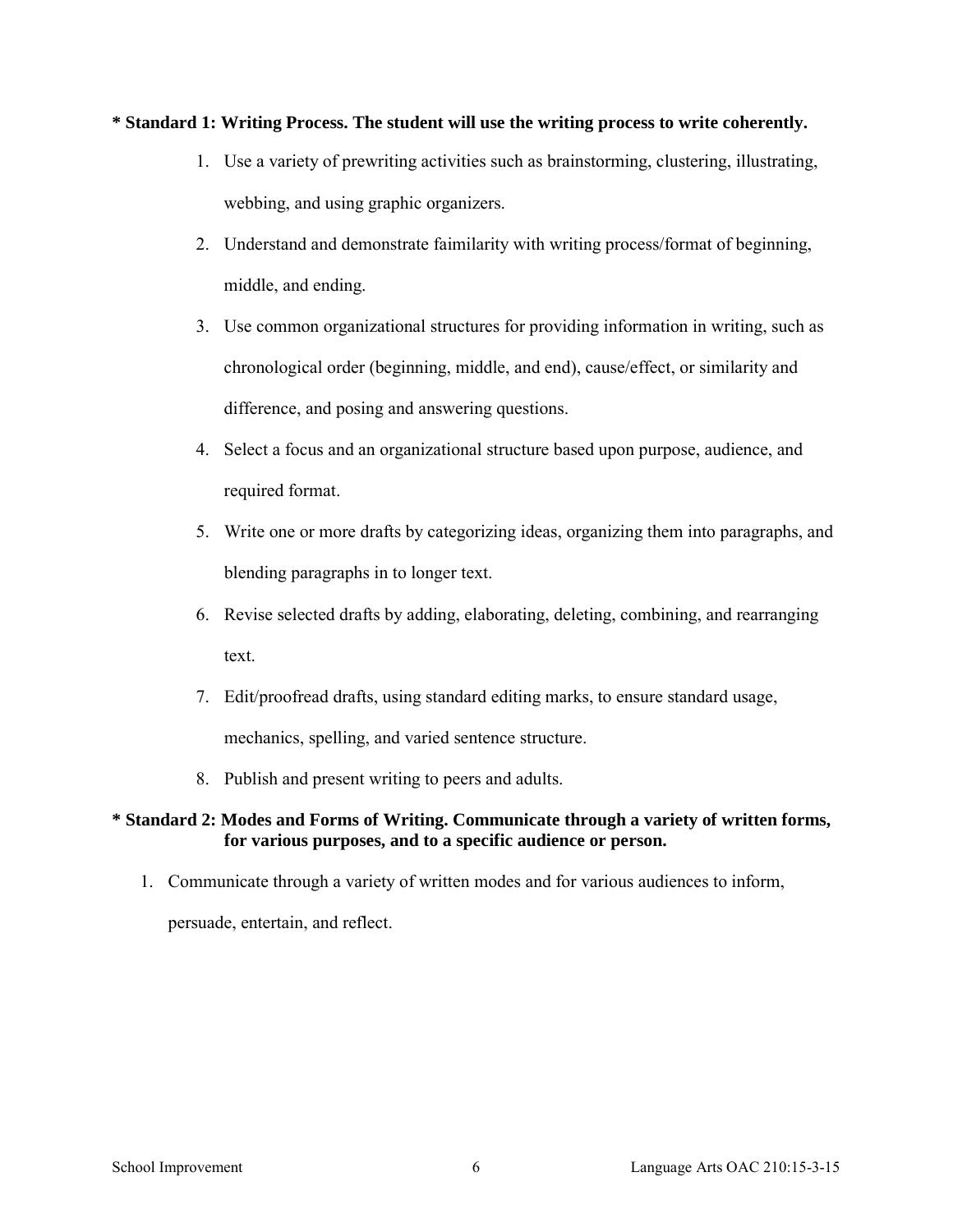### **\* Standard 1: Writing Process. The student will use the writing process to write coherently.**

- 1. Use a variety of prewriting activities such as brainstorming, clustering, illustrating, webbing, and using graphic organizers.
- 2. Understand and demonstrate faimilarity with writing process/format of beginning, middle, and ending.
- 3. Use common organizational structures for providing information in writing, such as chronological order (beginning, middle, and end), cause/effect, or similarity and difference, and posing and answering questions.
- 4. Select a focus and an organizational structure based upon purpose, audience, and required format.
- 5. Write one or more drafts by categorizing ideas, organizing them into paragraphs, and blending paragraphs in to longer text.
- 6. Revise selected drafts by adding, elaborating, deleting, combining, and rearranging text.
- 7. Edit/proofread drafts, using standard editing marks, to ensure standard usage, mechanics, spelling, and varied sentence structure.
- 8. Publish and present writing to peers and adults.

# **\* Standard 2: Modes and Forms of Writing. Communicate through a variety of written forms, for various purposes, and to a specific audience or person.**

1. Communicate through a variety of written modes and for various audiences to inform,

persuade, entertain, and reflect.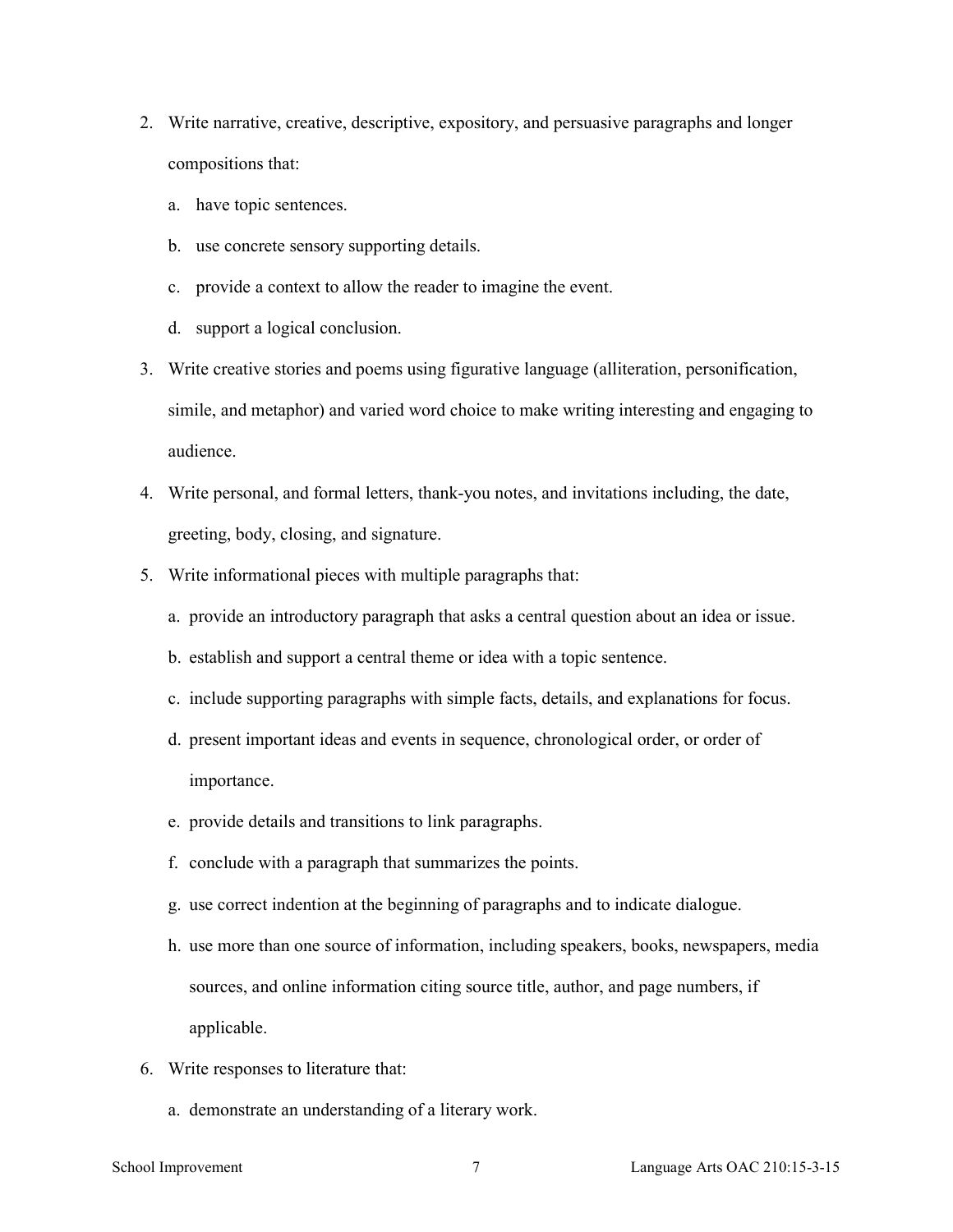- 2. Write narrative, creative, descriptive, expository, and persuasive paragraphs and longer compositions that:
	- a. have topic sentences.
	- b. use concrete sensory supporting details.
	- c. provide a context to allow the reader to imagine the event.
	- d. support a logical conclusion.
- 3. Write creative stories and poems using figurative language (alliteration, personification, simile, and metaphor) and varied word choice to make writing interesting and engaging to audience.
- 4. Write personal, and formal letters, thank-you notes, and invitations including, the date, greeting, body, closing, and signature.
- 5. Write informational pieces with multiple paragraphs that:
	- a. provide an introductory paragraph that asks a central question about an idea or issue.
	- b. establish and support a central theme or idea with a topic sentence.
	- c. include supporting paragraphs with simple facts, details, and explanations for focus.
	- d. present important ideas and events in sequence, chronological order, or order of importance.
	- e. provide details and transitions to link paragraphs.
	- f. conclude with a paragraph that summarizes the points.
	- g. use correct indention at the beginning of paragraphs and to indicate dialogue.
	- h. use more than one source of information, including speakers, books, newspapers, media sources, and online information citing source title, author, and page numbers, if applicable.
- 6. Write responses to literature that:
	- a. demonstrate an understanding of a literary work.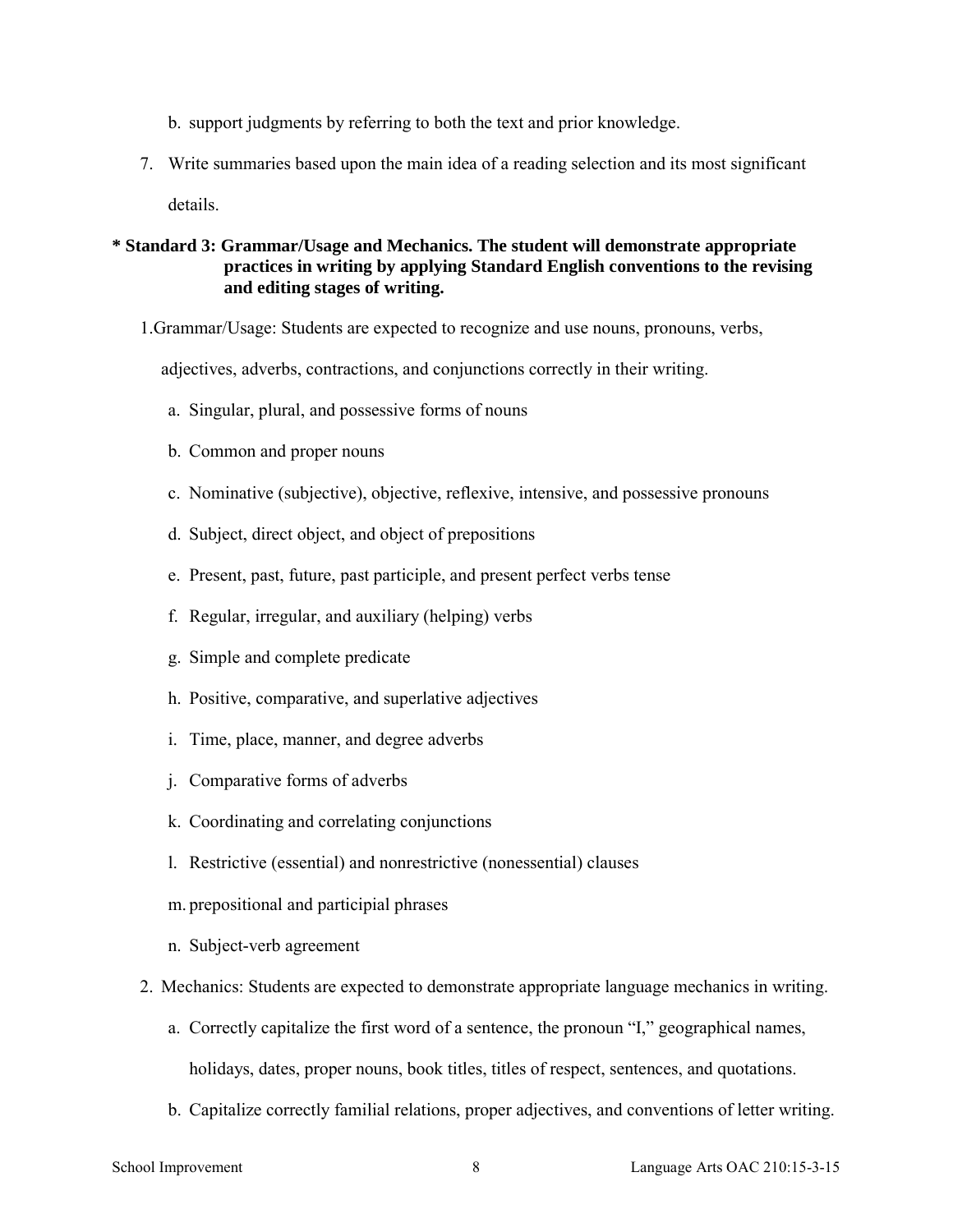- b. support judgments by referring to both the text and prior knowledge.
- 7. Write summaries based upon the main idea of a reading selection and its most significant details.

### **\* Standard 3: Grammar/Usage and Mechanics. The student will demonstrate appropriate practices in writing by applying Standard English conventions to the revising and editing stages of writing.**

1.Grammar/Usage: Students are expected to recognize and use nouns, pronouns, verbs,

adjectives, adverbs, contractions, and conjunctions correctly in their writing.

- a. Singular, plural, and possessive forms of nouns
- b. Common and proper nouns
- c. Nominative (subjective), objective, reflexive, intensive, and possessive pronouns
- d. Subject, direct object, and object of prepositions
- e. Present, past, future, past participle, and present perfect verbs tense
- f. Regular, irregular, and auxiliary (helping) verbs
- g. Simple and complete predicate
- h. Positive, comparative, and superlative adjectives
- i. Time, place, manner, and degree adverbs
- j. Comparative forms of adverbs
- k. Coordinating and correlating conjunctions
- l. Restrictive (essential) and nonrestrictive (nonessential) clauses
- m. prepositional and participial phrases
- n. Subject-verb agreement
- 2. Mechanics: Students are expected to demonstrate appropriate language mechanics in writing.
	- a. Correctly capitalize the first word of a sentence, the pronoun "I," geographical names, holidays, dates, proper nouns, book titles, titles of respect, sentences, and quotations.
	- b. Capitalize correctly familial relations, proper adjectives, and conventions of letter writing.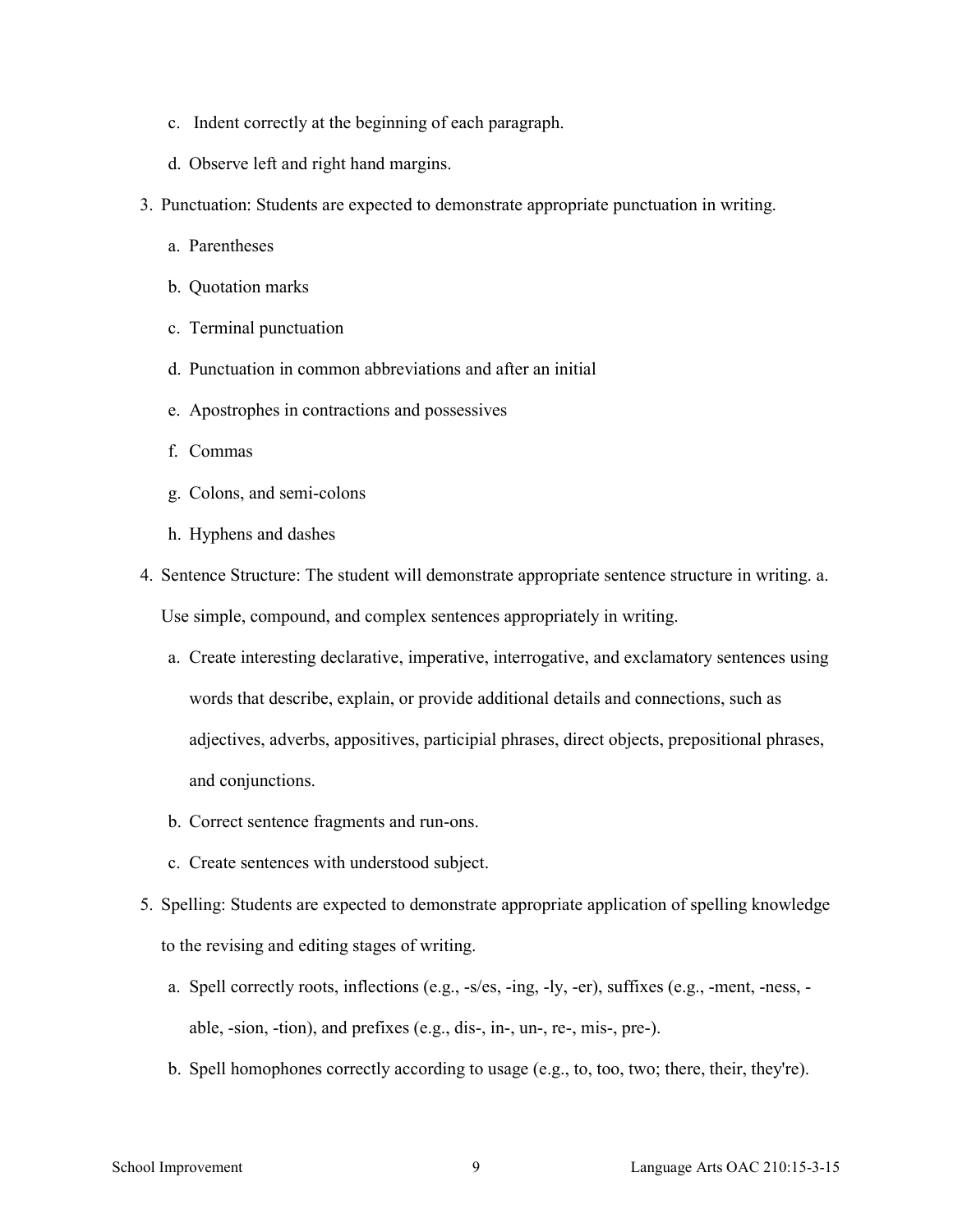- c. Indent correctly at the beginning of each paragraph.
- d. Observe left and right hand margins.
- 3. Punctuation: Students are expected to demonstrate appropriate punctuation in writing.
	- a. Parentheses
	- b. Quotation marks
	- c. Terminal punctuation
	- d. Punctuation in common abbreviations and after an initial
	- e. Apostrophes in contractions and possessives
	- f. Commas
	- g. Colons, and semi-colons
	- h. Hyphens and dashes
- 4. Sentence Structure: The student will demonstrate appropriate sentence structure in writing. a. Use simple, compound, and complex sentences appropriately in writing.
	- a. Create interesting declarative, imperative, interrogative, and exclamatory sentences using words that describe, explain, or provide additional details and connections, such as adjectives, adverbs, appositives, participial phrases, direct objects, prepositional phrases, and conjunctions.
	- b. Correct sentence fragments and run-ons.
	- c. Create sentences with understood subject.
- 5. Spelling: Students are expected to demonstrate appropriate application of spelling knowledge to the revising and editing stages of writing.
	- a. Spell correctly roots, inflections (e.g., -s/es, -ing, -ly, -er), suffixes (e.g., -ment, -ness, able, -sion, -tion), and prefixes (e.g., dis-, in-, un-, re-, mis-, pre-).
	- b. Spell homophones correctly according to usage (e.g., to, too, two; there, their, they're).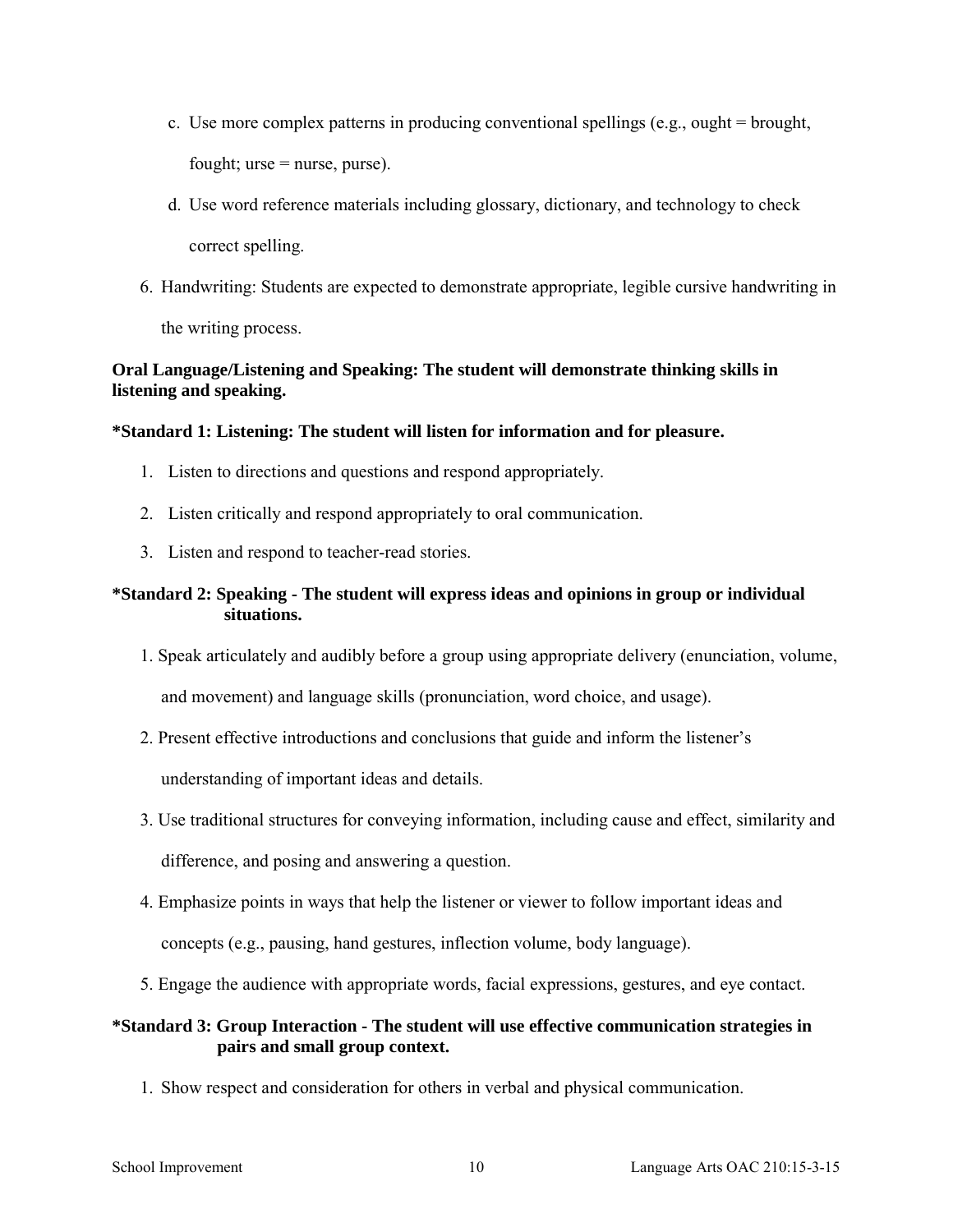- c. Use more complex patterns in producing conventional spellings (e.g., ought  $=$  brought, fought;  $urse = nurse$ , purse).
- d. Use word reference materials including glossary, dictionary, and technology to check correct spelling.
- 6. Handwriting: Students are expected to demonstrate appropriate, legible cursive handwriting in

the writing process.

# **Oral Language/Listening and Speaking: The student will demonstrate thinking skills in listening and speaking.**

# **\*Standard 1: Listening: The student will listen for information and for pleasure.**

- 1. Listen to directions and questions and respond appropriately.
- 2. Listen critically and respond appropriately to oral communication.
- 3. Listen and respond to teacher-read stories.

# **\*Standard 2: Speaking - The student will express ideas and opinions in group or individual situations.**

- 1. Speak articulately and audibly before a group using appropriate delivery (enunciation, volume, and movement) and language skills (pronunciation, word choice, and usage).
- 2. Present effective introductions and conclusions that guide and inform the listener's

understanding of important ideas and details.

- 3. Use traditional structures for conveying information, including cause and effect, similarity and difference, and posing and answering a question.
- 4. Emphasize points in ways that help the listener or viewer to follow important ideas and concepts (e.g., pausing, hand gestures, inflection volume, body language).
- 5. Engage the audience with appropriate words, facial expressions, gestures, and eye contact.

# **\*Standard 3: Group Interaction - The student will use effective communication strategies in pairs and small group context.**

1. Show respect and consideration for others in verbal and physical communication.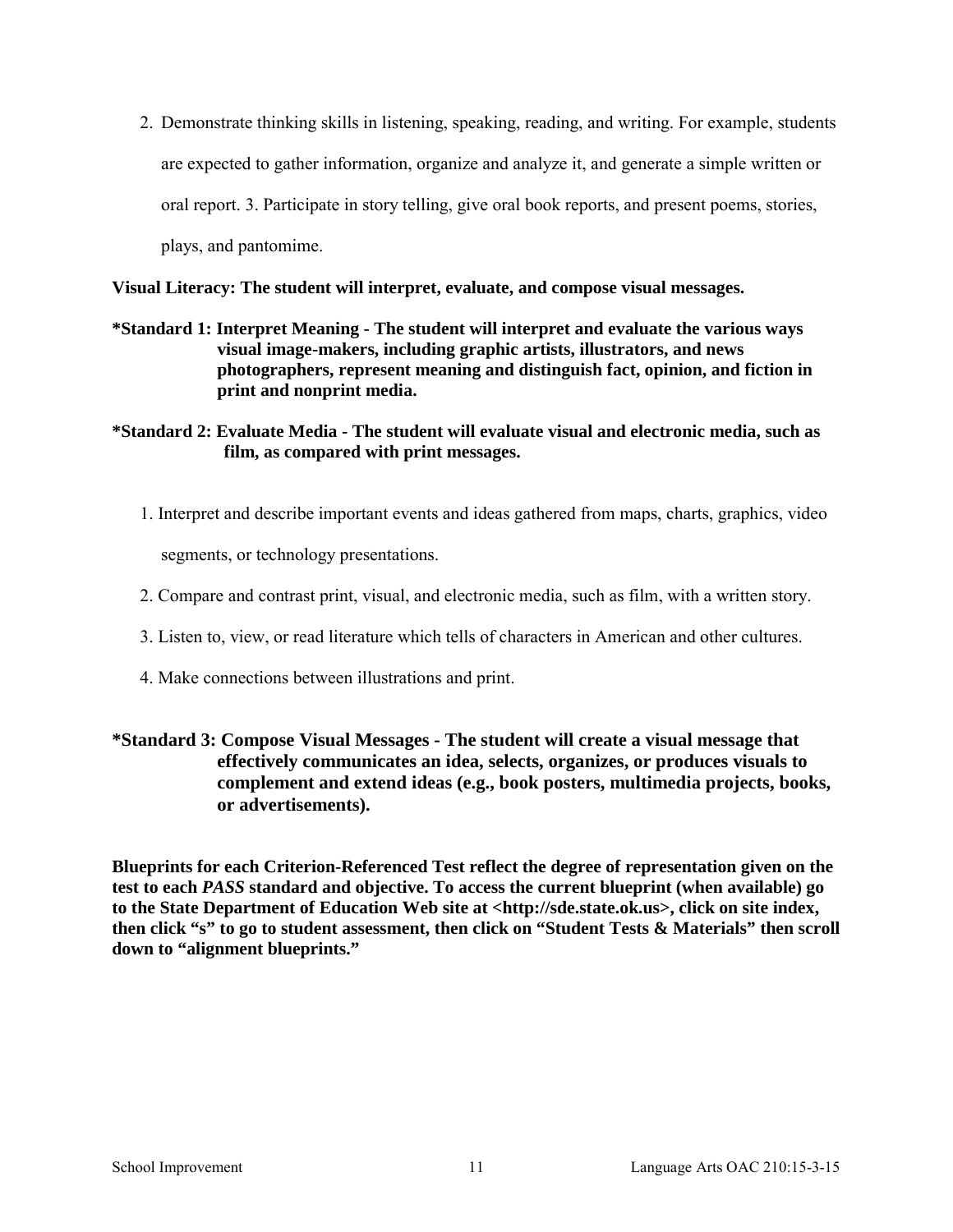2. Demonstrate thinking skills in listening, speaking, reading, and writing. For example, students are expected to gather information, organize and analyze it, and generate a simple written or oral report. 3. Participate in story telling, give oral book reports, and present poems, stories, plays, and pantomime.

**Visual Literacy: The student will interpret, evaluate, and compose visual messages.** 

- **\*Standard 1: Interpret Meaning The student will interpret and evaluate the various ways visual image-makers, including graphic artists, illustrators, and news photographers, represent meaning and distinguish fact, opinion, and fiction in print and nonprint media.**
- **\*Standard 2: Evaluate Media The student will evaluate visual and electronic media, such as film, as compared with print messages.** 
	- 1. Interpret and describe important events and ideas gathered from maps, charts, graphics, video segments, or technology presentations.
	- 2. Compare and contrast print, visual, and electronic media, such as film, with a written story.
	- 3. Listen to, view, or read literature which tells of characters in American and other cultures.
	- 4. Make connections between illustrations and print.

# **\*Standard 3: Compose Visual Messages - The student will create a visual message that effectively communicates an idea, selects, organizes, or produces visuals to complement and extend ideas (e.g., book posters, multimedia projects, books, or advertisements).**

**Blueprints for each Criterion-Referenced Test reflect the degree of representation given on the test to each** *PASS* **standard and objective. To access the current blueprint (when available) go to the State Department of Education Web site at <http://sde.state.ok.us>, click on site index, then click "s" to go to student assessment, then click on "Student Tests & Materials" then scroll down to "alignment blueprints."**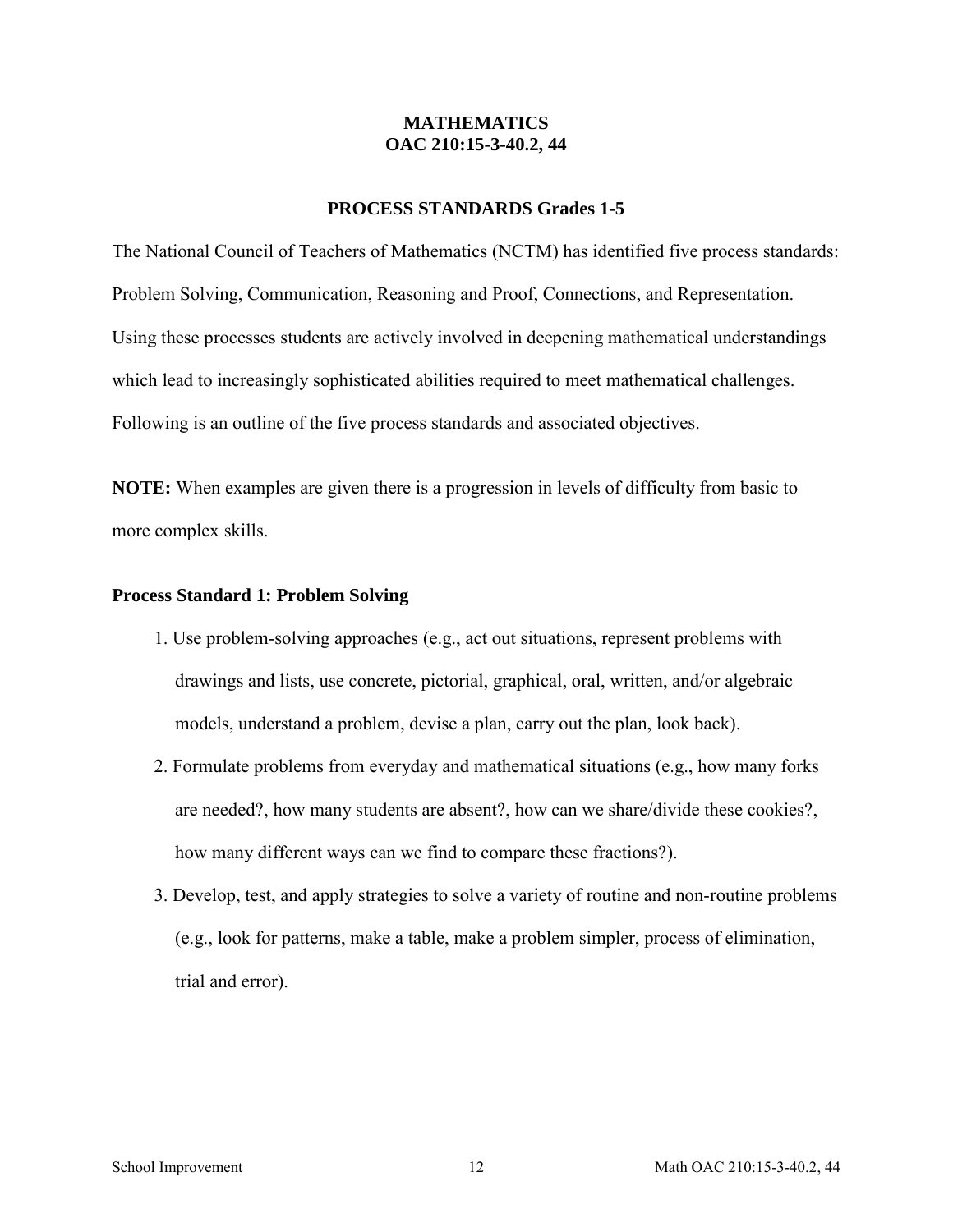### **MATHEMATICS OAC 210:15-3-40.2, 44**

### **PROCESS STANDARDS Grades 1-5**

The National Council of Teachers of Mathematics (NCTM) has identified five process standards: Problem Solving, Communication, Reasoning and Proof, Connections, and Representation. Using these processes students are actively involved in deepening mathematical understandings which lead to increasingly sophisticated abilities required to meet mathematical challenges. Following is an outline of the five process standards and associated objectives.

**NOTE:** When examples are given there is a progression in levels of difficulty from basic to more complex skills.

#### **Process Standard 1: Problem Solving**

- 1. Use problem-solving approaches (e.g., act out situations, represent problems with drawings and lists, use concrete, pictorial, graphical, oral, written, and/or algebraic models, understand a problem, devise a plan, carry out the plan, look back).
- 2. Formulate problems from everyday and mathematical situations (e.g., how many forks are needed?, how many students are absent?, how can we share/divide these cookies?, how many different ways can we find to compare these fractions?).
- 3. Develop, test, and apply strategies to solve a variety of routine and non-routine problems (e.g., look for patterns, make a table, make a problem simpler, process of elimination, trial and error).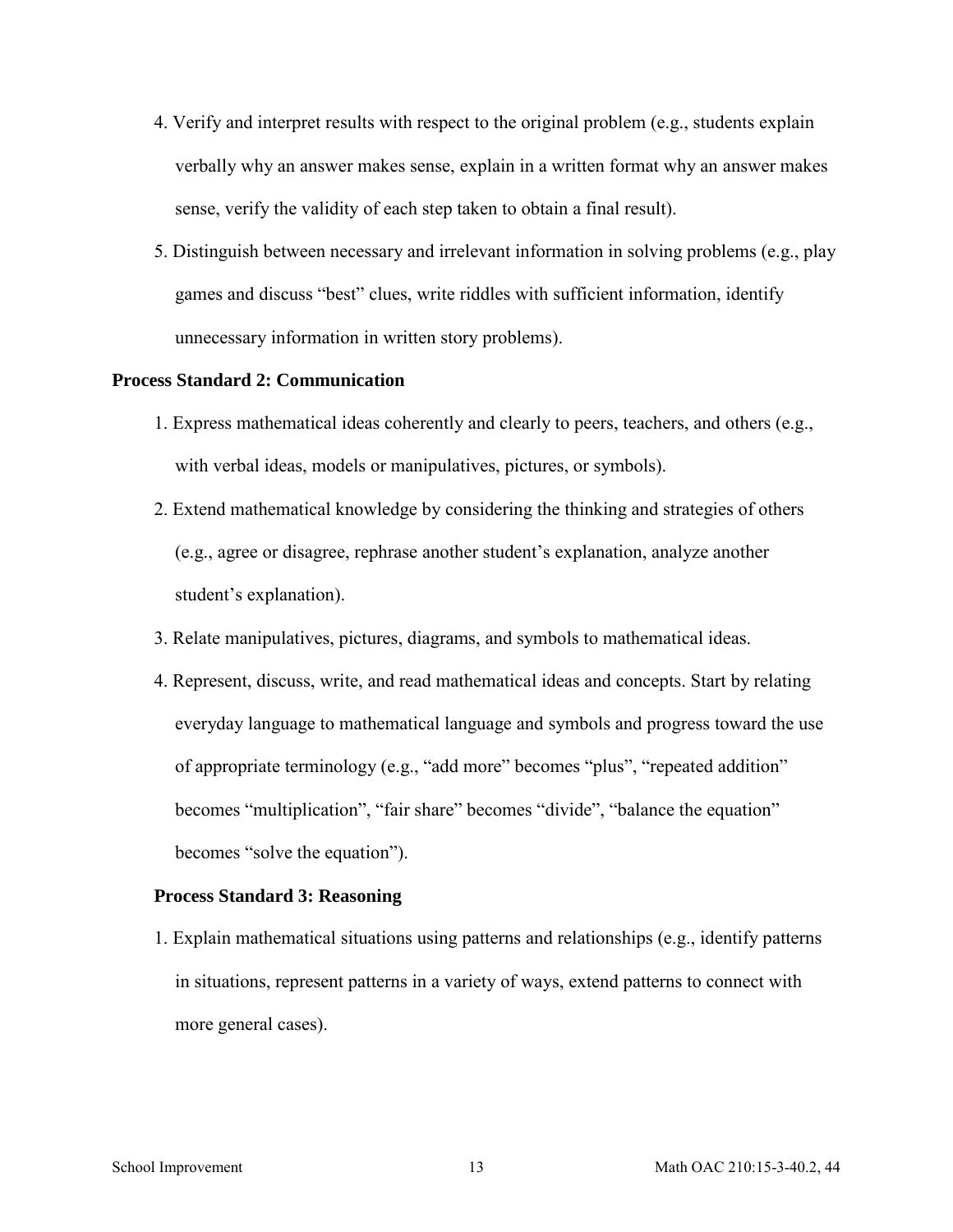- 4. Verify and interpret results with respect to the original problem (e.g., students explain verbally why an answer makes sense, explain in a written format why an answer makes sense, verify the validity of each step taken to obtain a final result).
- 5. Distinguish between necessary and irrelevant information in solving problems (e.g., play games and discuss "best" clues, write riddles with sufficient information, identify unnecessary information in written story problems).

### **Process Standard 2: Communication**

- 1. Express mathematical ideas coherently and clearly to peers, teachers, and others (e.g., with verbal ideas, models or manipulatives, pictures, or symbols).
- 2. Extend mathematical knowledge by considering the thinking and strategies of others (e.g., agree or disagree, rephrase another student's explanation, analyze another student's explanation).
- 3. Relate manipulatives, pictures, diagrams, and symbols to mathematical ideas.
- 4. Represent, discuss, write, and read mathematical ideas and concepts. Start by relating everyday language to mathematical language and symbols and progress toward the use of appropriate terminology (e.g., "add more" becomes "plus", "repeated addition" becomes "multiplication", "fair share" becomes "divide", "balance the equation" becomes "solve the equation").

#### **Process Standard 3: Reasoning**

1. Explain mathematical situations using patterns and relationships (e.g., identify patterns in situations, represent patterns in a variety of ways, extend patterns to connect with more general cases).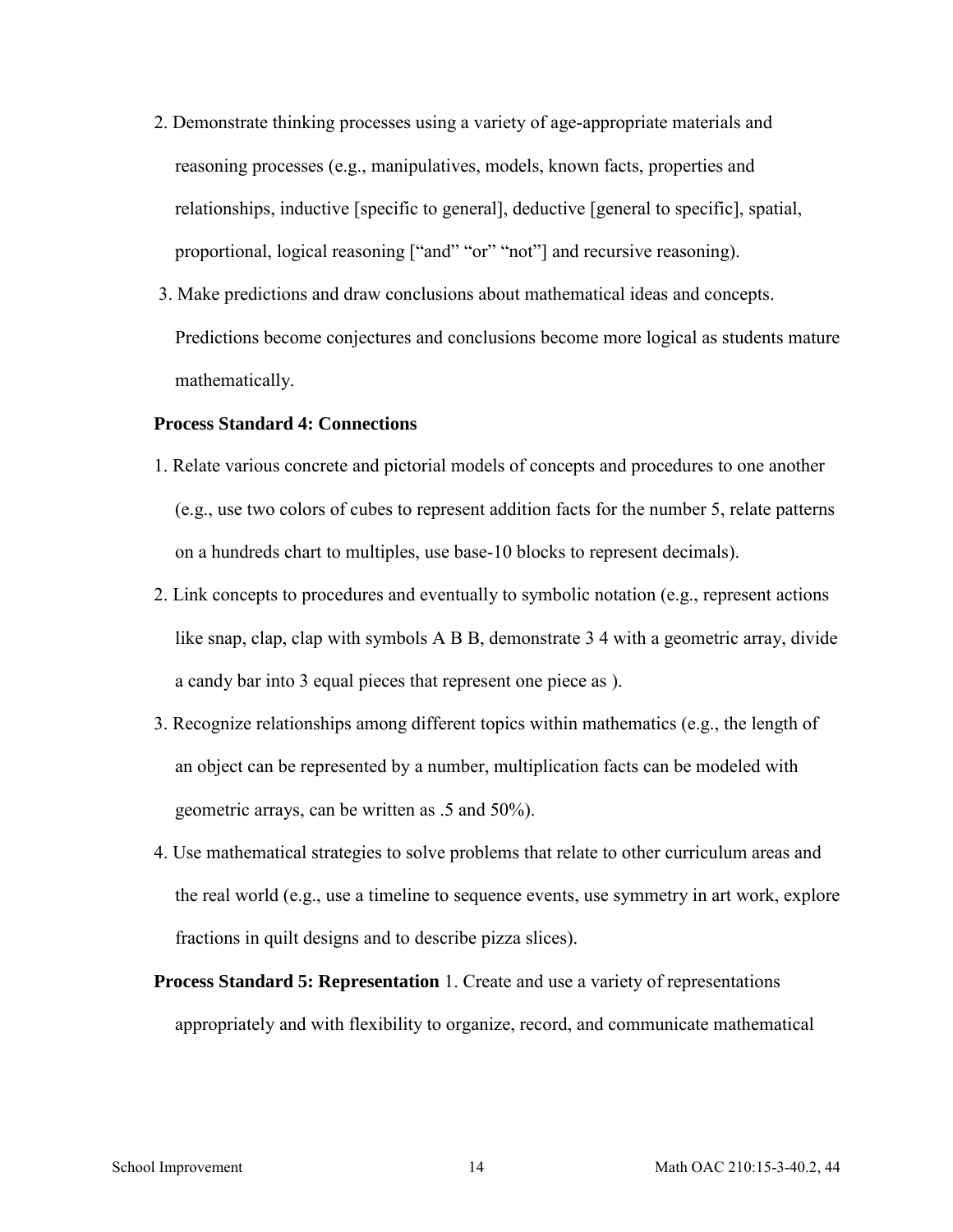- 2. Demonstrate thinking processes using a variety of age-appropriate materials and reasoning processes (e.g., manipulatives, models, known facts, properties and relationships, inductive [specific to general], deductive [general to specific], spatial, proportional, logical reasoning ["and" "or" "not"] and recursive reasoning).
- 3. Make predictions and draw conclusions about mathematical ideas and concepts. Predictions become conjectures and conclusions become more logical as students mature mathematically.

#### **Process Standard 4: Connections**

- 1. Relate various concrete and pictorial models of concepts and procedures to one another (e.g., use two colors of cubes to represent addition facts for the number 5, relate patterns on a hundreds chart to multiples, use base-10 blocks to represent decimals).
- 2. Link concepts to procedures and eventually to symbolic notation (e.g., represent actions like snap, clap, clap with symbols A B B, demonstrate 3 4 with a geometric array, divide a candy bar into 3 equal pieces that represent one piece as ).
- 3. Recognize relationships among different topics within mathematics (e.g., the length of an object can be represented by a number, multiplication facts can be modeled with geometric arrays, can be written as .5 and 50%).
- 4. Use mathematical strategies to solve problems that relate to other curriculum areas and the real world (e.g., use a timeline to sequence events, use symmetry in art work, explore fractions in quilt designs and to describe pizza slices).
- **Process Standard 5: Representation** 1. Create and use a variety of representations appropriately and with flexibility to organize, record, and communicate mathematical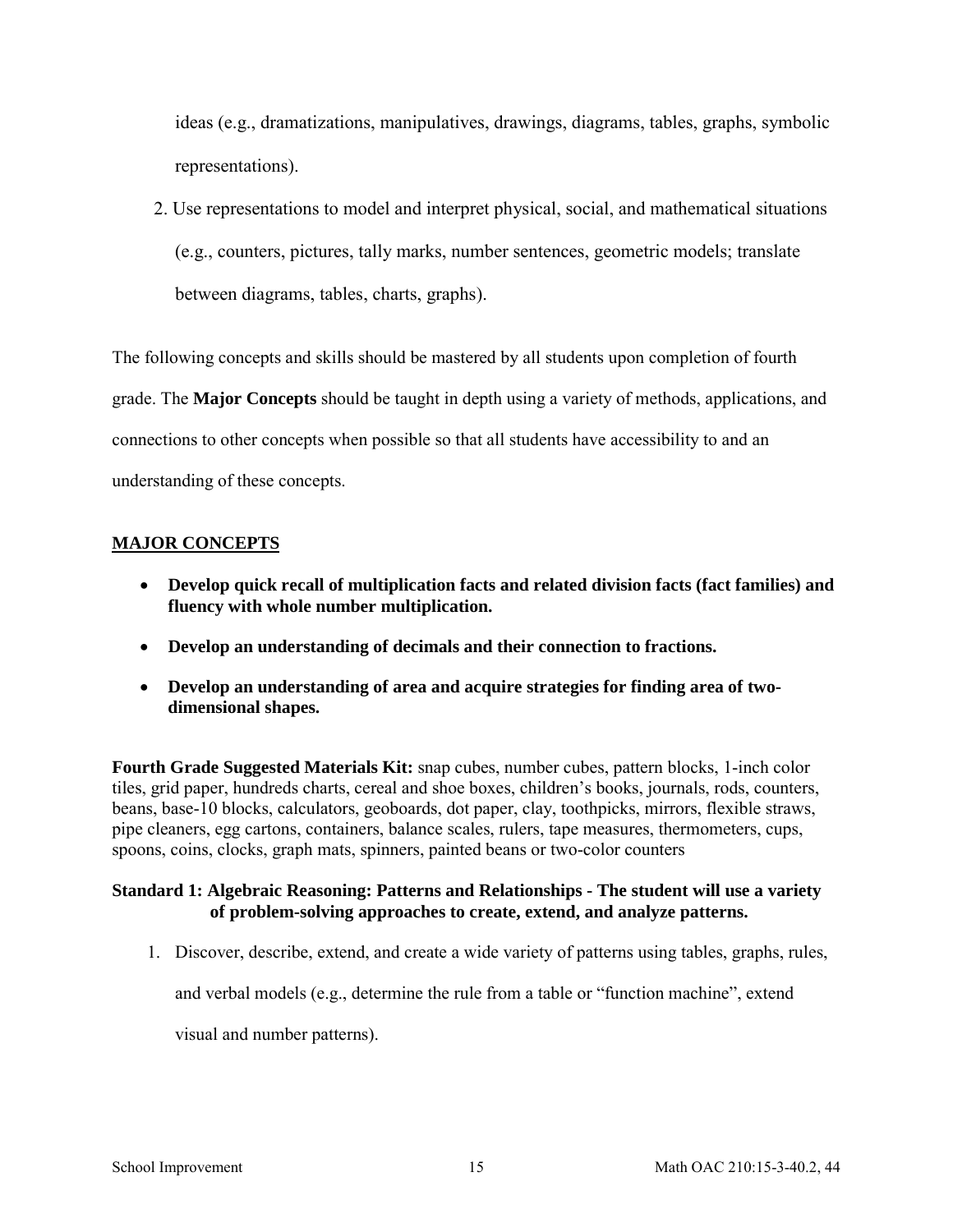ideas (e.g., dramatizations, manipulatives, drawings, diagrams, tables, graphs, symbolic representations).

2. Use representations to model and interpret physical, social, and mathematical situations (e.g., counters, pictures, tally marks, number sentences, geometric models; translate between diagrams, tables, charts, graphs).

The following concepts and skills should be mastered by all students upon completion of fourth grade. The **Major Concepts** should be taught in depth using a variety of methods, applications, and connections to other concepts when possible so that all students have accessibility to and an understanding of these concepts.

# **MAJOR CONCEPTS**

- **Develop quick recall of multiplication facts and related division facts (fact families) and fluency with whole number multiplication.**
- **Develop an understanding of decimals and their connection to fractions.**
- **Develop an understanding of area and acquire strategies for finding area of twodimensional shapes.**

**Fourth Grade Suggested Materials Kit:** snap cubes, number cubes, pattern blocks, 1-inch color tiles, grid paper, hundreds charts, cereal and shoe boxes, children's books, journals, rods, counters, beans, base-10 blocks, calculators, geoboards, dot paper, clay, toothpicks, mirrors, flexible straws, pipe cleaners, egg cartons, containers, balance scales, rulers, tape measures, thermometers, cups, spoons, coins, clocks, graph mats, spinners, painted beans or two-color counters

# **Standard 1: Algebraic Reasoning: Patterns and Relationships - The student will use a variety of problem-solving approaches to create, extend, and analyze patterns.**

1. Discover, describe, extend, and create a wide variety of patterns using tables, graphs, rules,

and verbal models (e.g., determine the rule from a table or "function machine", extend

visual and number patterns).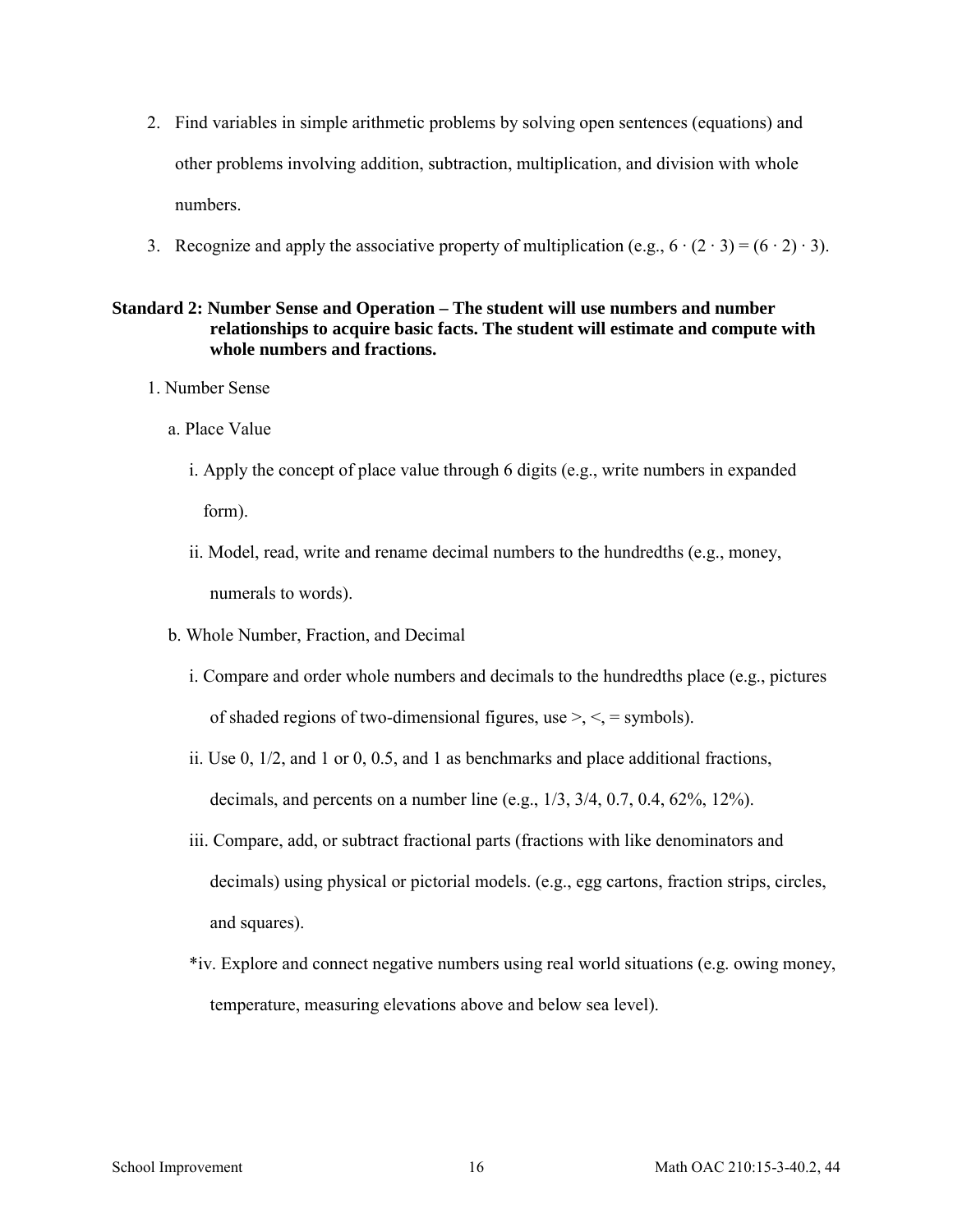- 2. Find variables in simple arithmetic problems by solving open sentences (equations) and other problems involving addition, subtraction, multiplication, and division with whole numbers.
- 3. Recognize and apply the associative property of multiplication (e.g.,  $6 \cdot (2 \cdot 3) = (6 \cdot 2) \cdot 3$ ).

## **Standard 2: Number Sense and Operation – The student will use numbers and number relationships to acquire basic facts. The student will estimate and compute with whole numbers and fractions.**

- 1. Number Sense
	- a. Place Value
		- i. Apply the concept of place value through 6 digits (e.g., write numbers in expanded form).
		- ii. Model, read, write and rename decimal numbers to the hundredths (e.g., money, numerals to words).
	- b. Whole Number, Fraction, and Decimal
		- i. Compare and order whole numbers and decimals to the hundredths place (e.g., pictures of shaded regions of two-dimensional figures, use  $\geq, \leq, \leq$  symbols).
		- ii. Use 0, 1/2, and 1 or 0, 0.5, and 1 as benchmarks and place additional fractions, decimals, and percents on a number line (e.g., 1/3, 3/4, 0.7, 0.4, 62%, 12%).
		- iii. Compare, add, or subtract fractional parts (fractions with like denominators and decimals) using physical or pictorial models. (e.g., egg cartons, fraction strips, circles, and squares).
		- \*iv. Explore and connect negative numbers using real world situations (e.g. owing money, temperature, measuring elevations above and below sea level).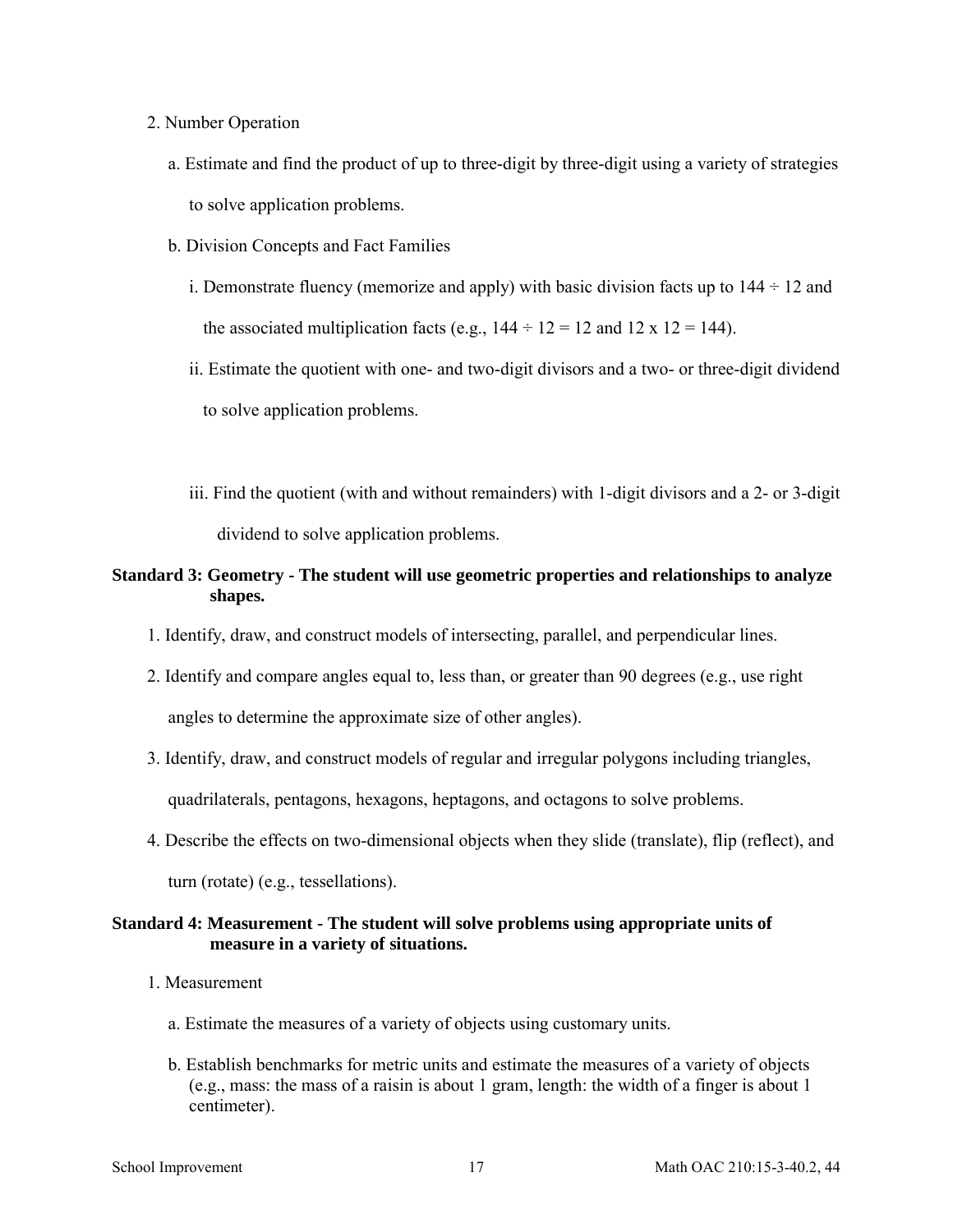- 2. Number Operation
	- a. Estimate and find the product of up to three-digit by three-digit using a variety of strategies to solve application problems.
	- b. Division Concepts and Fact Families
		- i. Demonstrate fluency (memorize and apply) with basic division facts up to  $144 \div 12$  and the associated multiplication facts (e.g.,  $144 \div 12 = 12$  and  $12 \times 12 = 144$ ).
		- ii. Estimate the quotient with one- and two-digit divisors and a two- or three-digit dividend to solve application problems.
		- iii. Find the quotient (with and without remainders) with 1-digit divisors and a 2- or 3-digit dividend to solve application problems.

### **Standard 3: Geometry - The student will use geometric properties and relationships to analyze shapes.**

- 1. Identify, draw, and construct models of intersecting, parallel, and perpendicular lines.
- 2. Identify and compare angles equal to, less than, or greater than 90 degrees (e.g., use right angles to determine the approximate size of other angles).
- 3. Identify, draw, and construct models of regular and irregular polygons including triangles, quadrilaterals, pentagons, hexagons, heptagons, and octagons to solve problems.
- 4. Describe the effects on two-dimensional objects when they slide (translate), flip (reflect), and turn (rotate) (e.g., tessellations).

### **Standard 4: Measurement - The student will solve problems using appropriate units of measure in a variety of situations.**

- 1. Measurement
	- a. Estimate the measures of a variety of objects using customary units.
	- b. Establish benchmarks for metric units and estimate the measures of a variety of objects (e.g., mass: the mass of a raisin is about 1 gram, length: the width of a finger is about 1 centimeter).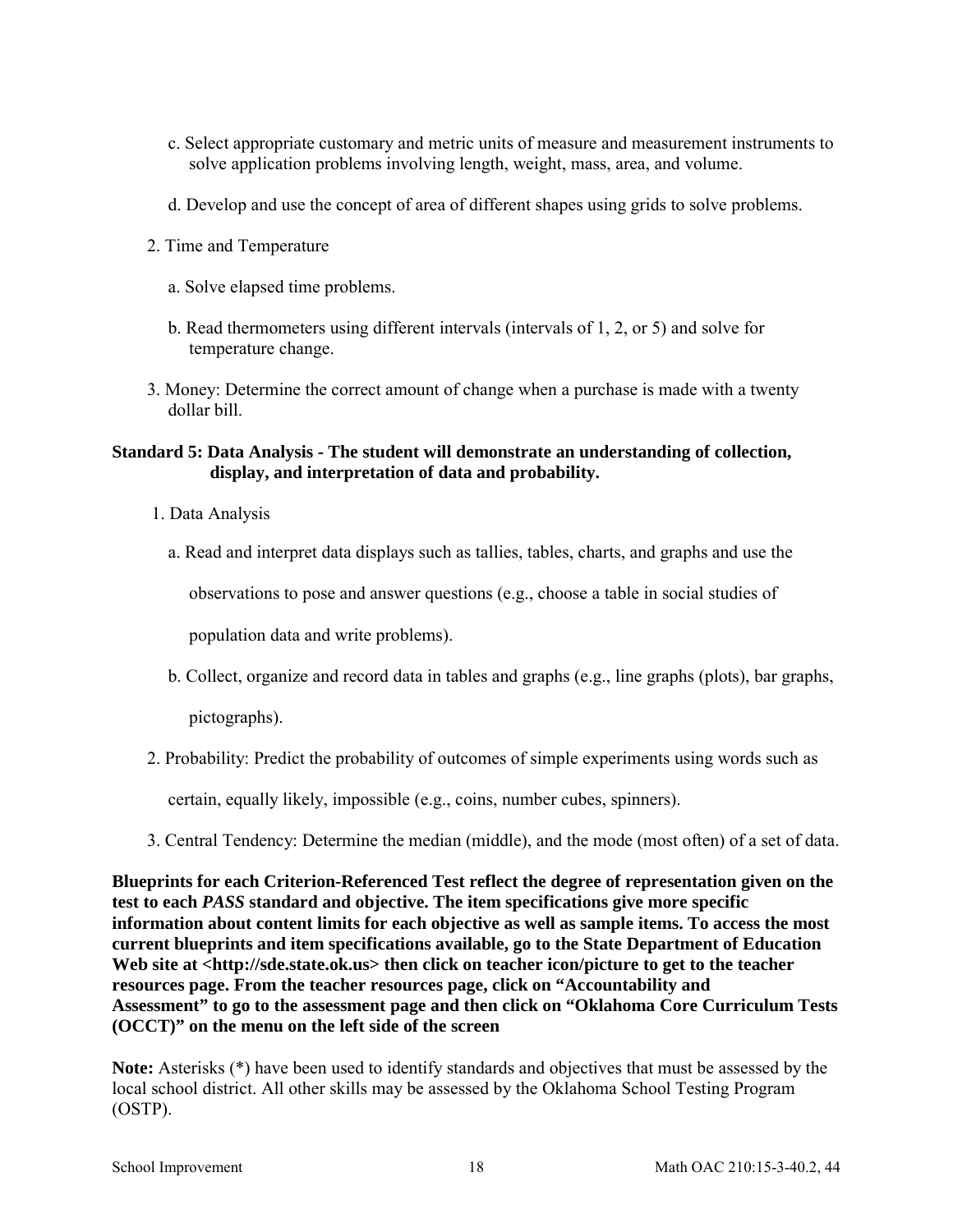- c. Select appropriate customary and metric units of measure and measurement instruments to solve application problems involving length, weight, mass, area, and volume.
- d. Develop and use the concept of area of different shapes using grids to solve problems.
- 2. Time and Temperature
	- a. Solve elapsed time problems.
	- b. Read thermometers using different intervals (intervals of 1, 2, or 5) and solve for temperature change.
- 3. Money: Determine the correct amount of change when a purchase is made with a twenty dollar bill.

### **Standard 5: Data Analysis - The student will demonstrate an understanding of collection, display, and interpretation of data and probability.**

- 1. Data Analysis
	- a. Read and interpret data displays such as tallies, tables, charts, and graphs and use the

observations to pose and answer questions (e.g., choose a table in social studies of

population data and write problems).

b. Collect, organize and record data in tables and graphs (e.g., line graphs (plots), bar graphs,

pictographs).

2. Probability: Predict the probability of outcomes of simple experiments using words such as

certain, equally likely, impossible (e.g., coins, number cubes, spinners).

3. Central Tendency: Determine the median (middle), and the mode (most often) of a set of data.

**Blueprints for each Criterion-Referenced Test reflect the degree of representation given on the test to each** *PASS* **standard and objective. The item specifications give more specific information about content limits for each objective as well as sample items. To access the most current blueprints and item specifications available, go to the State Department of Education**  Web site at <http://sde.state.ok.us> then click on teacher icon/picture to get to the teacher **resources page. From the teacher resources page, click on "Accountability and Assessment" to go to the assessment page and then click on "Oklahoma Core Curriculum Tests (OCCT)" on the menu on the left side of the screen** 

**Note:** Asterisks (\*) have been used to identify standards and objectives that must be assessed by the local school district. All other skills may be assessed by the Oklahoma School Testing Program (OSTP).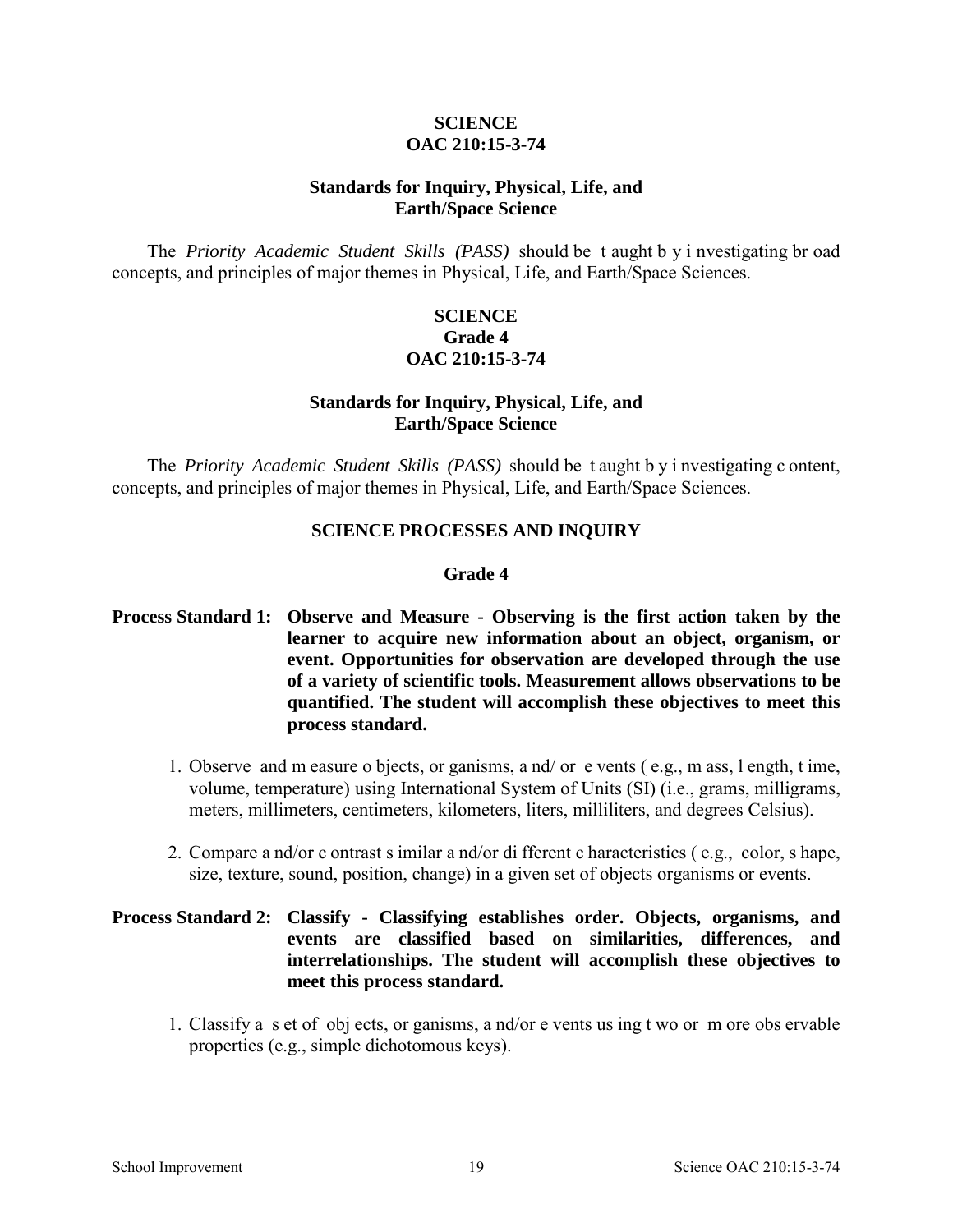## **SCIENCE OAC 210:15-3-74**

## **Standards for Inquiry, Physical, Life, and Earth/Space Science**

The *Priority Academic Student Skills (PASS)* should be t aught b y i nvestigating br oad concepts, and principles of major themes in Physical, Life, and Earth/Space Sciences.

# **SCIENCE Grade 4 OAC 210:15-3-74**

# **Standards for Inquiry, Physical, Life, and Earth/Space Science**

The *Priority Academic Student Skills (PASS)* should be t aught b y i nvestigating c ontent, concepts, and principles of major themes in Physical, Life, and Earth/Space Sciences.

# **SCIENCE PROCESSES AND INQUIRY**

### **Grade 4**

# **Process Standard 1: Observe and Measure - Observing is the first action taken by the learner to acquire new information about an object, organism, or event. Opportunities for observation are developed through the use of a variety of scientific tools. Measurement allows observations to be quantified. The student will accomplish these objectives to meet this process standard.**

- 1. Observe and m easure o bjects, or ganisms, a nd/ or e vents ( e.g., m ass, l ength, t ime, volume, temperature) using International System of Units (SI) (i.e., grams, milligrams, meters, millimeters, centimeters, kilometers, liters, milliliters, and degrees Celsius).
- 2. Compare a nd/or c ontrast s imilar a nd/or di fferent c haracteristics ( e.g., color, s hape, size, texture, sound, position, change) in a given set of objects organisms or events.

# **Process Standard 2: Classify - Classifying establishes order. Objects, organisms, and events are classified based on similarities, differences, and interrelationships. The student will accomplish these objectives to meet this process standard.**

1. Classify a s et of obj ects, or ganisms, a nd/or e vents us ing t wo or m ore obs ervable properties (e.g., simple dichotomous keys).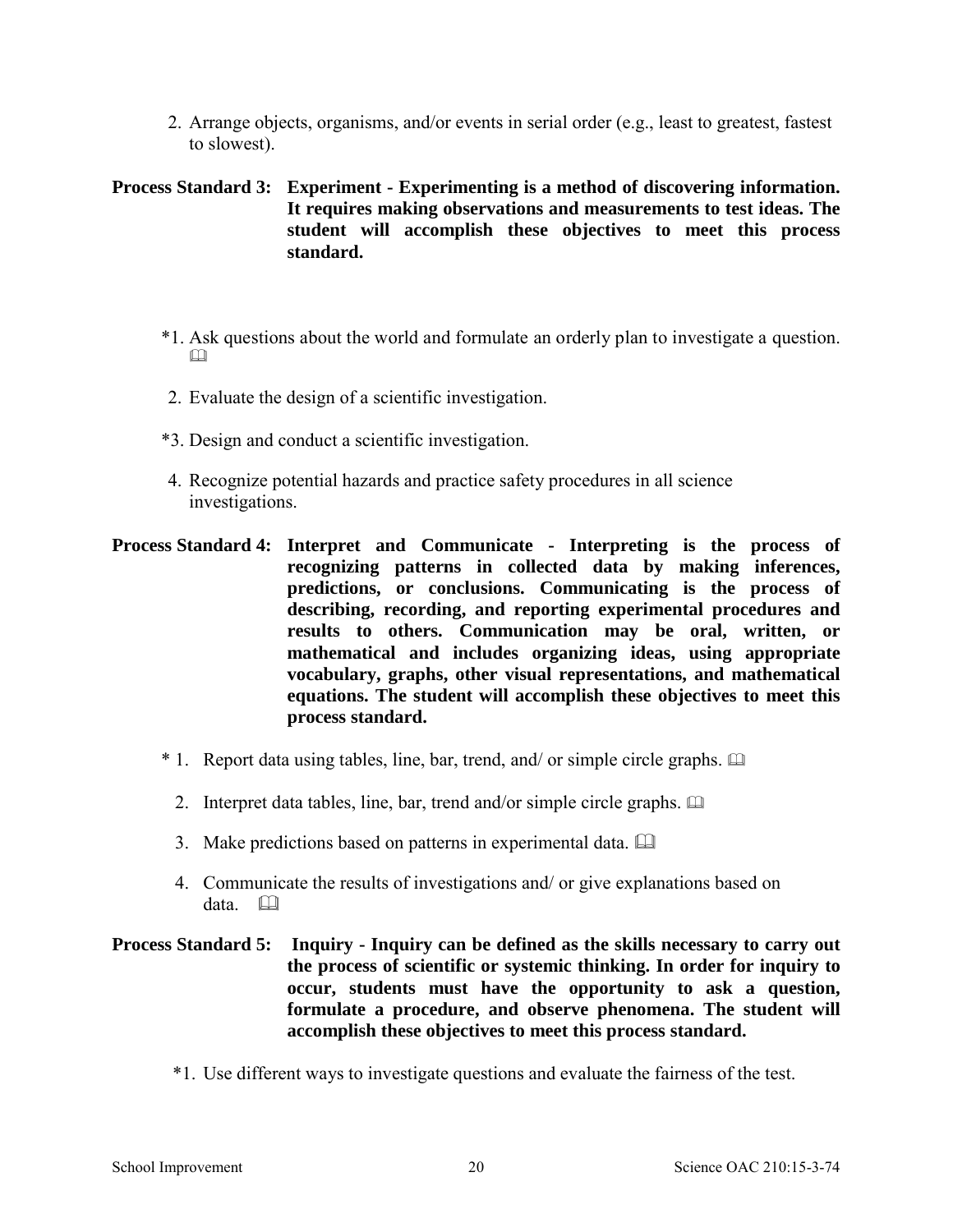2. Arrange objects, organisms, and/or events in serial order (e.g., least to greatest, fastest to slowest).

**Process Standard 3: Experiment - Experimenting is a method of discovering information. It requires making observations and measurements to test ideas. The student will accomplish these objectives to meet this process standard.** 

- \*1. Ask questions about the world and formulate an orderly plan to investigate a question. m
- 2. Evaluate the design of a scientific investigation.
- \*3. Design and conduct a scientific investigation.
- 4. Recognize potential hazards and practice safety procedures in all science investigations.
- **Process Standard 4: Interpret and Communicate Interpreting is the process of recognizing patterns in collected data by making inferences, predictions, or conclusions. Communicating is the process of describing, recording, and reporting experimental procedures and results to others. Communication may be oral, written, or mathematical and includes organizing ideas, using appropriate vocabulary, graphs, other visual representations, and mathematical equations. The student will accomplish these objectives to meet this process standard.** 
	- $*$  1. Report data using tables, line, bar, trend, and/ or simple circle graphs.  $\Box$ 
		- 2. Interpret data tables, line, bar, trend and/or simple circle graphs.
		- 3. Make predictions based on patterns in experimental data.
		- 4. Communicate the results of investigations and/ or give explanations based on data.

# **Process Standard 5: Inquiry - Inquiry can be defined as the skills necessary to carry out the process of scientific or systemic thinking. In order for inquiry to occur, students must have the opportunity to ask a question, formulate a procedure, and observe phenomena. The student will accomplish these objectives to meet this process standard.**

\*1. Use different ways to investigate questions and evaluate the fairness of the test.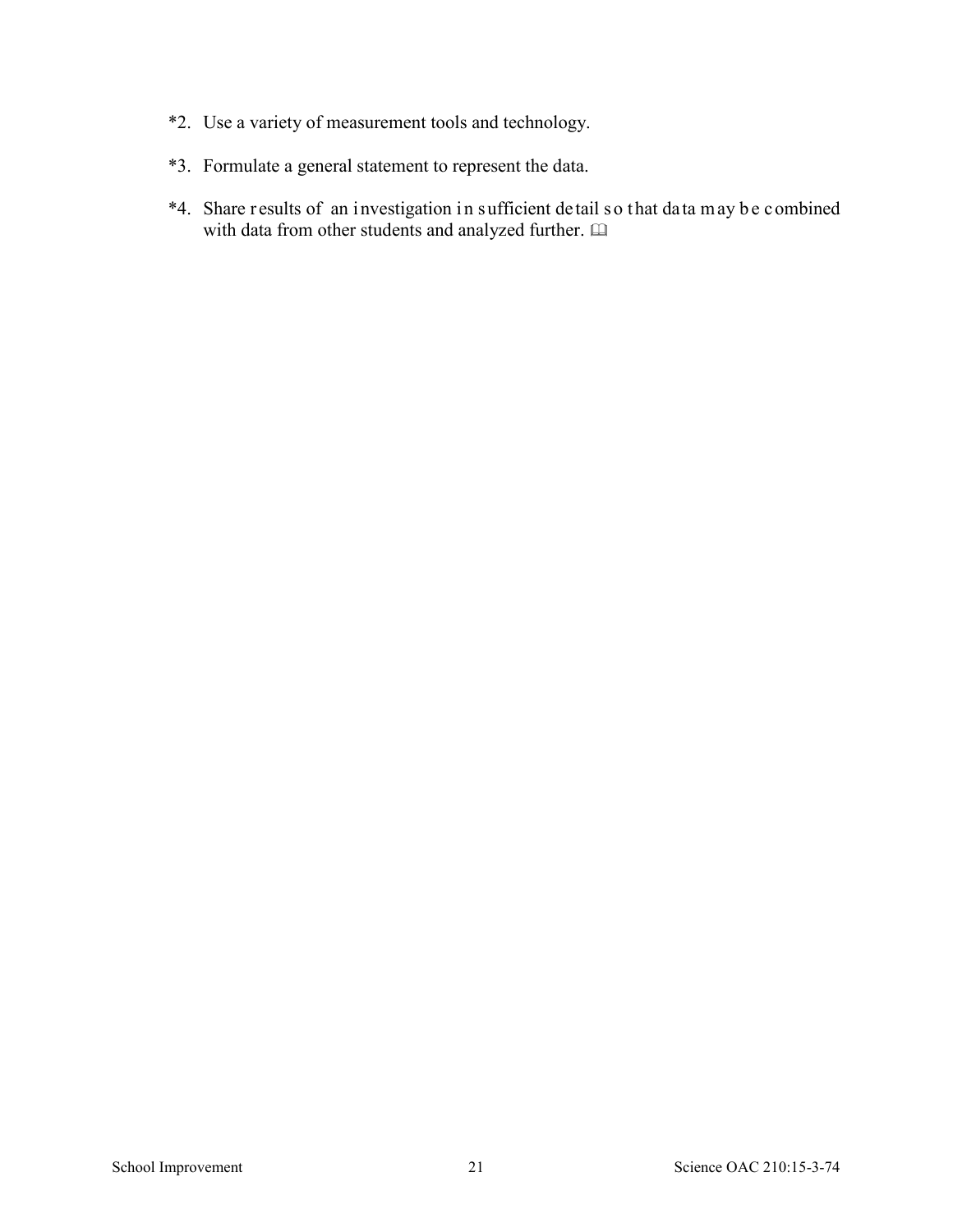- \*2. Use a variety of measurement tools and technology.
- \*3. Formulate a general statement to represent the data.
- \*4. Share r esults of an investigation in sufficient de tail so that data may b e combined with data from other students and analyzed further.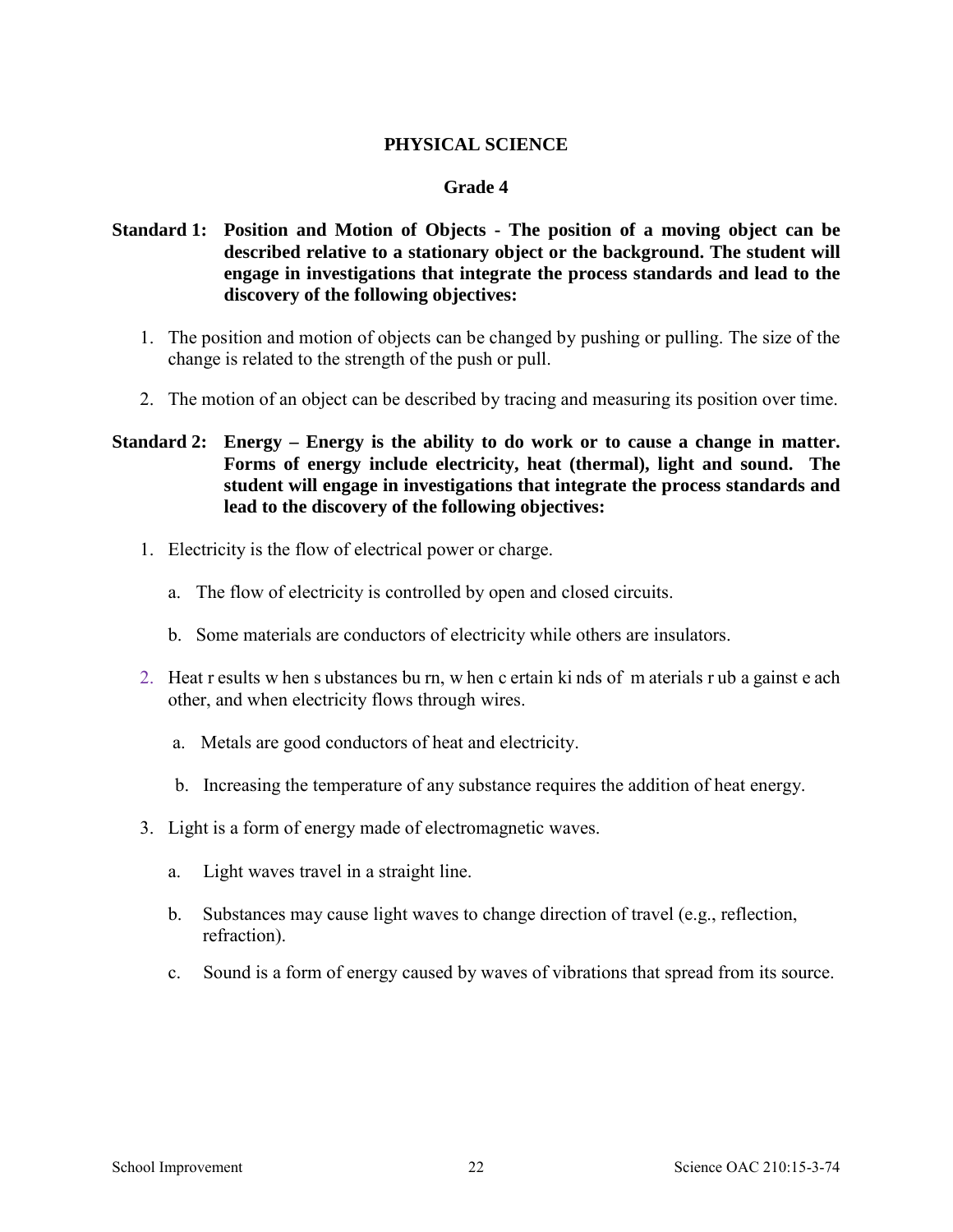# **PHYSICAL SCIENCE**

### **Grade 4**

# **Standard 1: Position and Motion of Objects - The position of a moving object can be described relative to a stationary object or the background. The student will engage in investigations that integrate the process standards and lead to the discovery of the following objectives:**

- 1. The position and motion of objects can be changed by pushing or pulling. The size of the change is related to the strength of the push or pull.
- 2. The motion of an object can be described by tracing and measuring its position over time.

# **Standard 2: Energy – Energy is the ability to do work or to cause a change in matter. Forms of energy include electricity, heat (thermal), light and sound. The student will engage in investigations that integrate the process standards and lead to the discovery of the following objectives:**

- 1. Electricity is the flow of electrical power or charge.
	- a. The flow of electricity is controlled by open and closed circuits.
	- b. Some materials are conductors of electricity while others are insulators.
- 2. Heat r esults w hen s ubstances bu rn, w hen c ertain ki nds of m aterials r ub a gainst e ach other, and when electricity flows through wires.
	- a. Metals are good conductors of heat and electricity.
	- b. Increasing the temperature of any substance requires the addition of heat energy.
- 3. Light is a form of energy made of electromagnetic waves.
	- a. Light waves travel in a straight line.
	- b. Substances may cause light waves to change direction of travel (e.g., reflection, refraction).
	- c. Sound is a form of energy caused by waves of vibrations that spread from its source.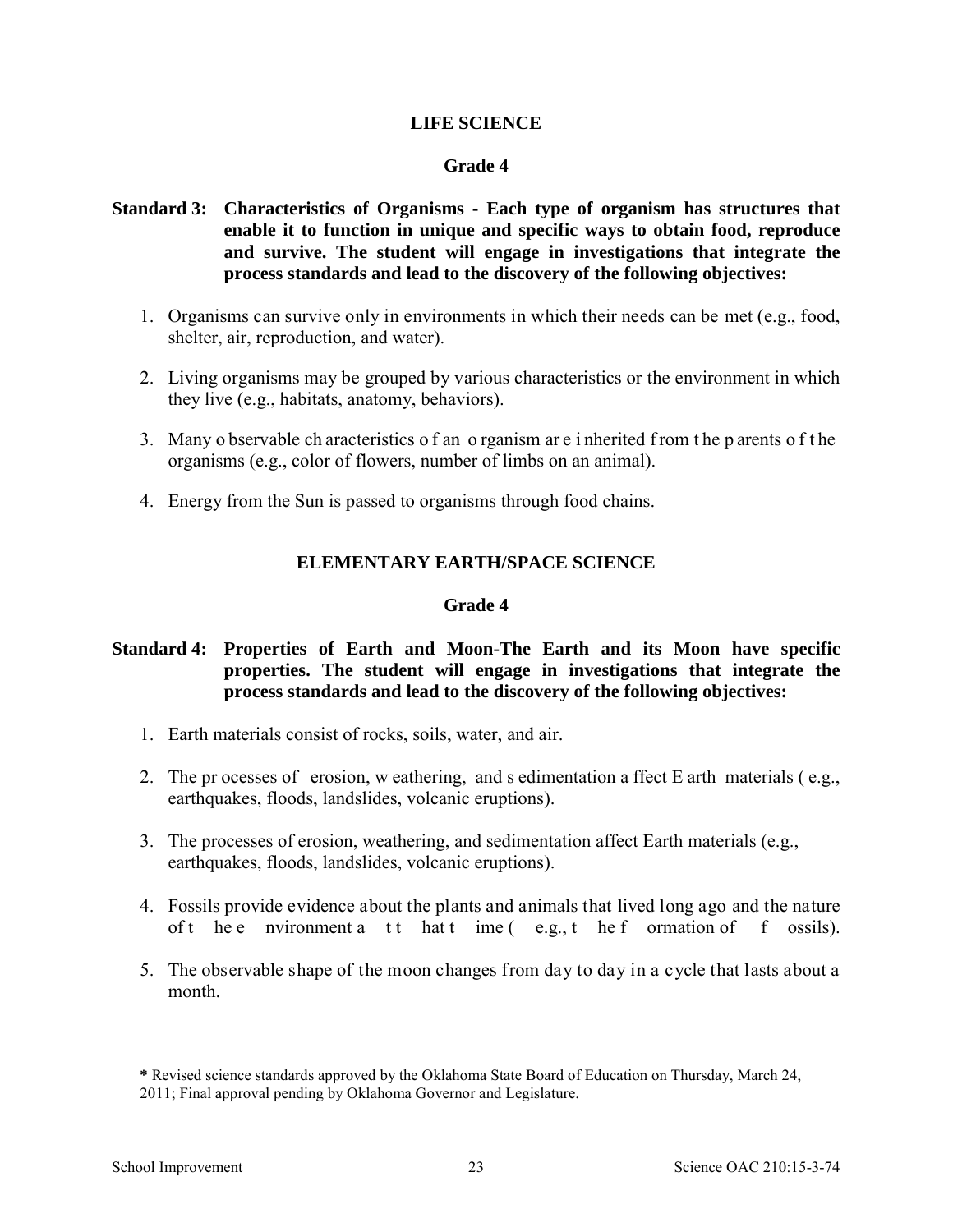### **LIFE SCIENCE**

### **Grade 4**

# **Standard 3: Characteristics of Organisms - Each type of organism has structures that enable it to function in unique and specific ways to obtain food, reproduce and survive. The student will engage in investigations that integrate the process standards and lead to the discovery of the following objectives:**

- 1. Organisms can survive only in environments in which their needs can be met (e.g., food, shelter, air, reproduction, and water).
- 2. Living organisms may be grouped by various characteristics or the environment in which they live (e.g., habitats, anatomy, behaviors).
- 3. Many o bservable ch aracteristics o f an o rganism ar e i nherited f rom t he p arents o f t he organisms (e.g., color of flowers, number of limbs on an animal).
- 4. Energy from the Sun is passed to organisms through food chains.

### **ELEMENTARY EARTH/SPACE SCIENCE**

### **Grade 4**

# **Standard 4: Properties of Earth and Moon-The Earth and its Moon have specific properties. The student will engage in investigations that integrate the process standards and lead to the discovery of the following objectives:**

- 1. Earth materials consist of rocks, soils, water, and air.
- 2. The pr ocesses of erosion, w eathering, and s edimentation a ffect E arth materials ( e.g., earthquakes, floods, landslides, volcanic eruptions).
- 3. The processes of erosion, weathering, and sedimentation affect Earth materials (e.g., earthquakes, floods, landslides, volcanic eruptions).
- 4. Fossils provide evidence about the plants and animals that lived long ago and the nature of t he e nvironment a t t hat  $t$  ime  $(e.g., t$  he f ormation of f ossils).
- 5. The observable shape of the moon changes from day to day in a cycle that lasts about a month.

**<sup>\*</sup>** Revised science standards approved by the Oklahoma State Board of Education on Thursday, March 24, 2011; Final approval pending by Oklahoma Governor and Legislature.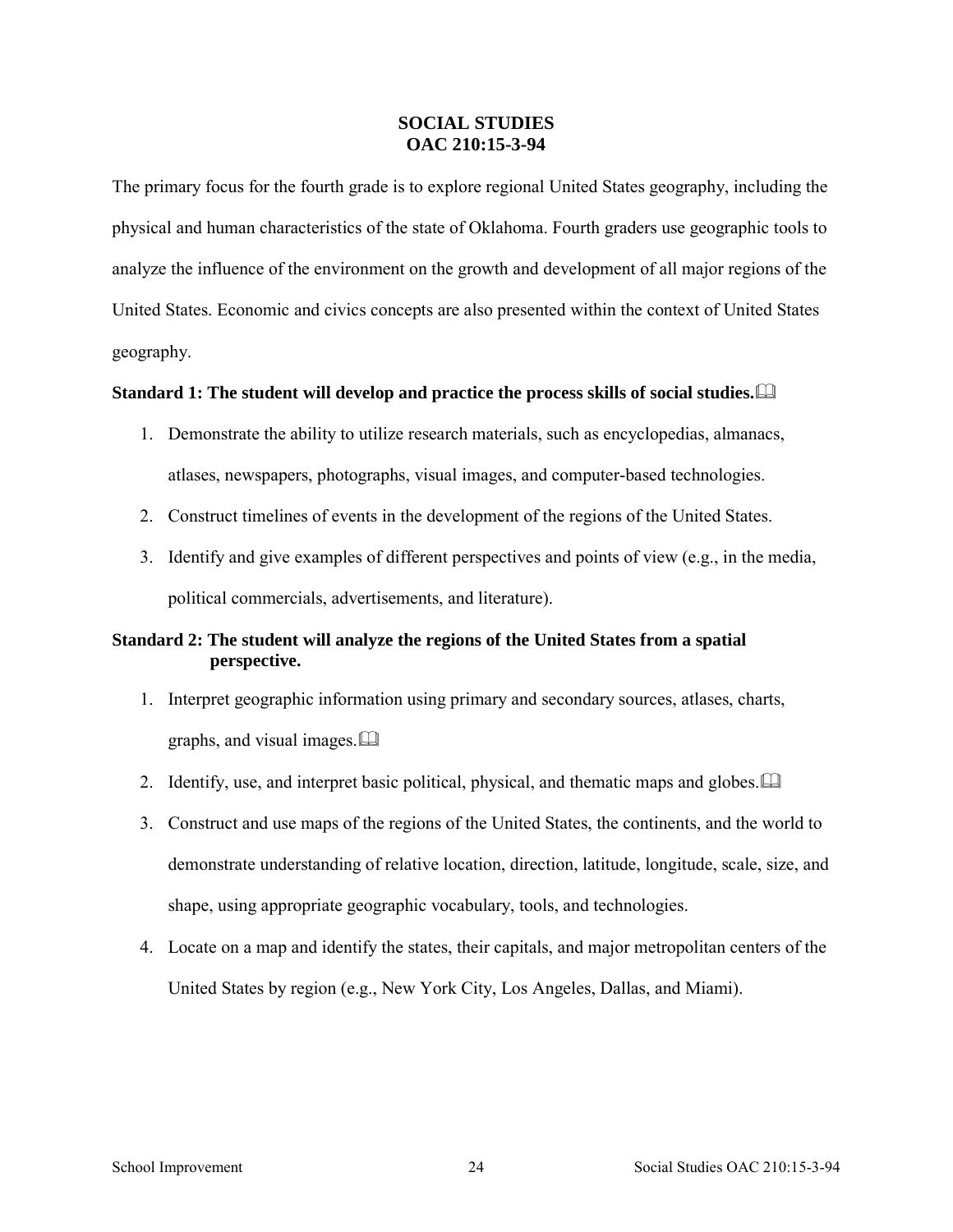### **SOCIAL STUDIES OAC 210:15-3-94**

The primary focus for the fourth grade is to explore regional United States geography, including the physical and human characteristics of the state of Oklahoma. Fourth graders use geographic tools to analyze the influence of the environment on the growth and development of all major regions of the United States. Economic and civics concepts are also presented within the context of United States geography.

### **Standard 1: The student will develop and practice the process skills of social studies.**

- 1. Demonstrate the ability to utilize research materials, such as encyclopedias, almanacs, atlases, newspapers, photographs, visual images, and computer-based technologies.
- 2. Construct timelines of events in the development of the regions of the United States.
- 3. Identify and give examples of different perspectives and points of view (e.g., in the media, political commercials, advertisements, and literature).

# **Standard 2: The student will analyze the regions of the United States from a spatial perspective.**

- 1. Interpret geographic information using primary and secondary sources, atlases, charts, graphs, and visual images.
- 2. Identify, use, and interpret basic political, physical, and thematic maps and globes.
- 3. Construct and use maps of the regions of the United States, the continents, and the world to demonstrate understanding of relative location, direction, latitude, longitude, scale, size, and shape, using appropriate geographic vocabulary, tools, and technologies.
- 4. Locate on a map and identify the states, their capitals, and major metropolitan centers of the United States by region (e.g., New York City, Los Angeles, Dallas, and Miami).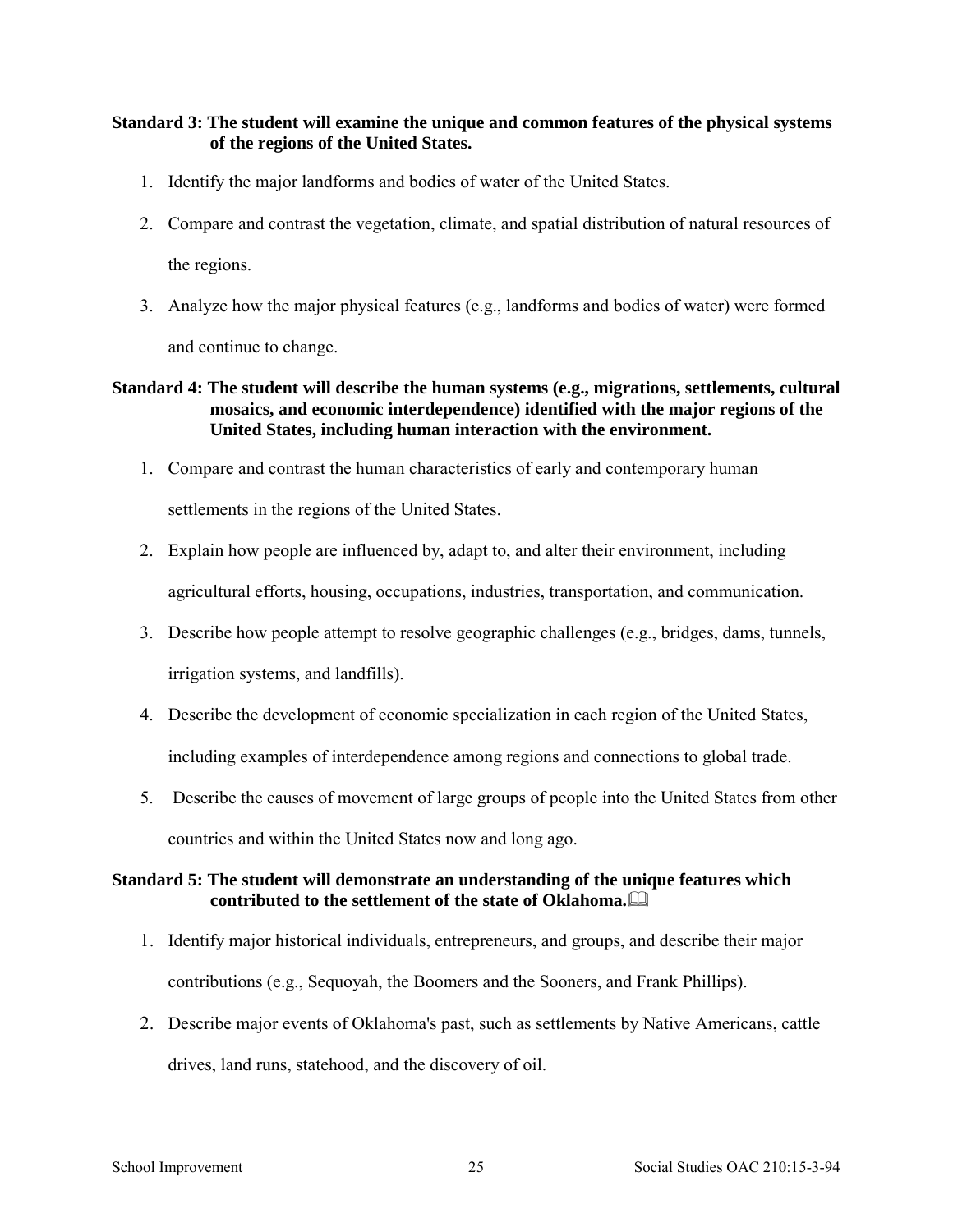### **Standard 3: The student will examine the unique and common features of the physical systems of the regions of the United States.**

- 1. Identify the major landforms and bodies of water of the United States.
- 2. Compare and contrast the vegetation, climate, and spatial distribution of natural resources of the regions.
- 3. Analyze how the major physical features (e.g., landforms and bodies of water) were formed and continue to change.

### **Standard 4: The student will describe the human systems (e.g., migrations, settlements, cultural mosaics, and economic interdependence) identified with the major regions of the United States, including human interaction with the environment.**

1. Compare and contrast the human characteristics of early and contemporary human

settlements in the regions of the United States.

- 2. Explain how people are influenced by, adapt to, and alter their environment, including agricultural efforts, housing, occupations, industries, transportation, and communication.
- 3. Describe how people attempt to resolve geographic challenges (e.g., bridges, dams, tunnels, irrigation systems, and landfills).
- 4. Describe the development of economic specialization in each region of the United States, including examples of interdependence among regions and connections to global trade.
- 5. Describe the causes of movement of large groups of people into the United States from other countries and within the United States now and long ago.

### **Standard 5: The student will demonstrate an understanding of the unique features which contributed to the settlement of the state of Oklahoma.**

- 1. Identify major historical individuals, entrepreneurs, and groups, and describe their major contributions (e.g., Sequoyah, the Boomers and the Sooners, and Frank Phillips).
- 2. Describe major events of Oklahoma's past, such as settlements by Native Americans, cattle drives, land runs, statehood, and the discovery of oil.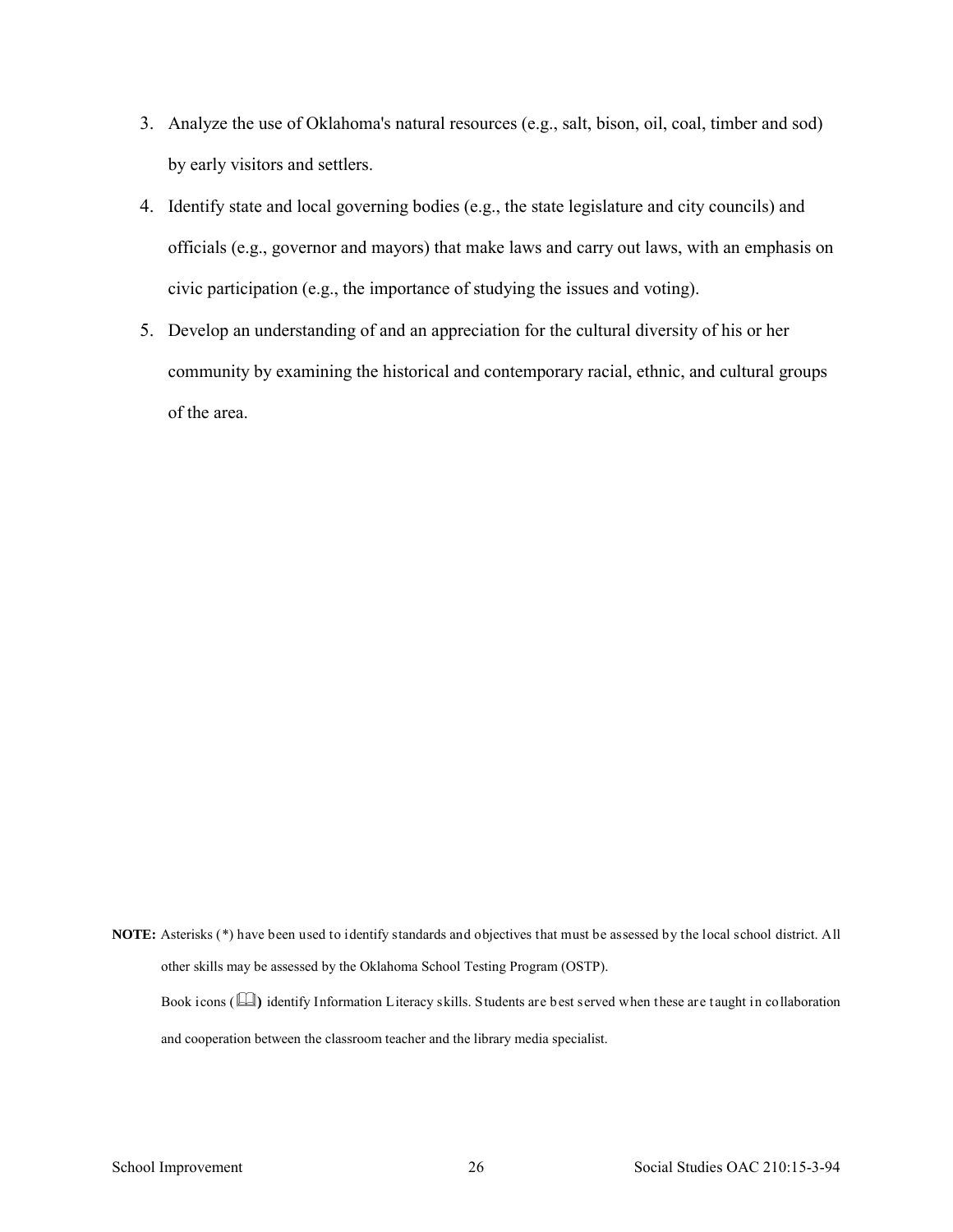- 3. Analyze the use of Oklahoma's natural resources (e.g., salt, bison, oil, coal, timber and sod) by early visitors and settlers.
- 4. Identify state and local governing bodies (e.g., the state legislature and city councils) and officials (e.g., governor and mayors) that make laws and carry out laws, with an emphasis on civic participation (e.g., the importance of studying the issues and voting).
- 5. Develop an understanding of and an appreciation for the cultural diversity of his or her community by examining the historical and contemporary racial, ethnic, and cultural groups of the area.

**NOTE:** Asterisks (\*) have been used to identify standards and objectives that must be assessed by the local school district. All other skills may be assessed by the Oklahoma School Testing Program (OSTP).

Book icons ( $\Box$ ) identify Information Literacy skills. Students are best served when these are taught in collaboration and cooperation between the classroom teacher and the library media specialist.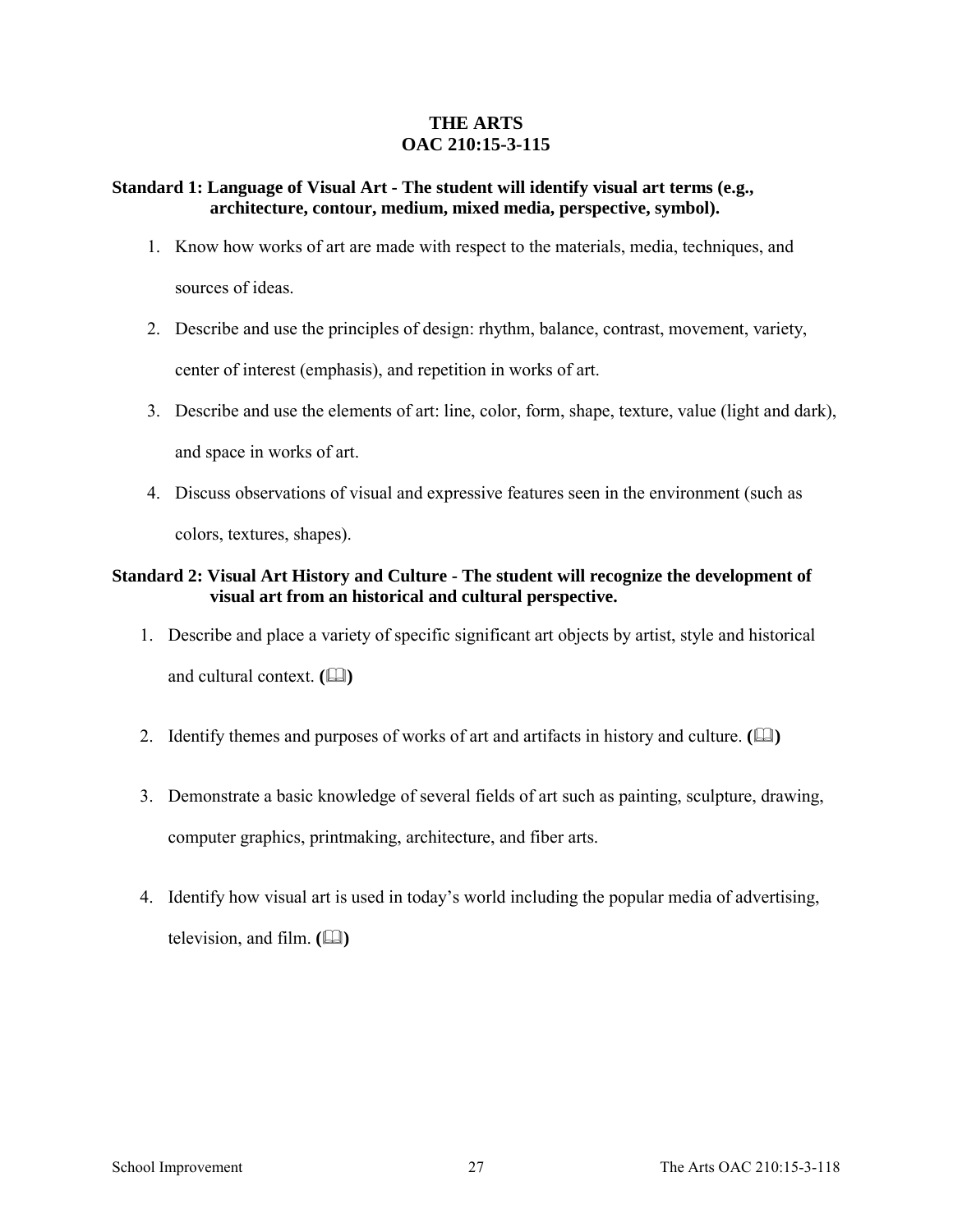## **THE ARTS OAC 210:15-3-115**

### **Standard 1: Language of Visual Art - The student will identify visual art terms (e.g., architecture, contour, medium, mixed media, perspective, symbol).**

- 1. Know how works of art are made with respect to the materials, media, techniques, and sources of ideas.
- 2. Describe and use the principles of design: rhythm, balance, contrast, movement, variety, center of interest (emphasis), and repetition in works of art.
- 3. Describe and use the elements of art: line, color, form, shape, texture, value (light and dark), and space in works of art.
- 4. Discuss observations of visual and expressive features seen in the environment (such as colors, textures, shapes).

# **Standard 2: Visual Art History and Culture - The student will recognize the development of visual art from an historical and cultural perspective.**

- 1. Describe and place a variety of specific significant art objects by artist, style and historical and cultural context. **(** $\Box$ )
- 2. Identify themes and purposes of works of art and artifacts in history and culture. **(** $\Box$ )
- 3. Demonstrate a basic knowledge of several fields of art such as painting, sculpture, drawing, computer graphics, printmaking, architecture, and fiber arts.
- 4. Identify how visual art is used in today's world including the popular media of advertising, television, and film.  $(\Box)$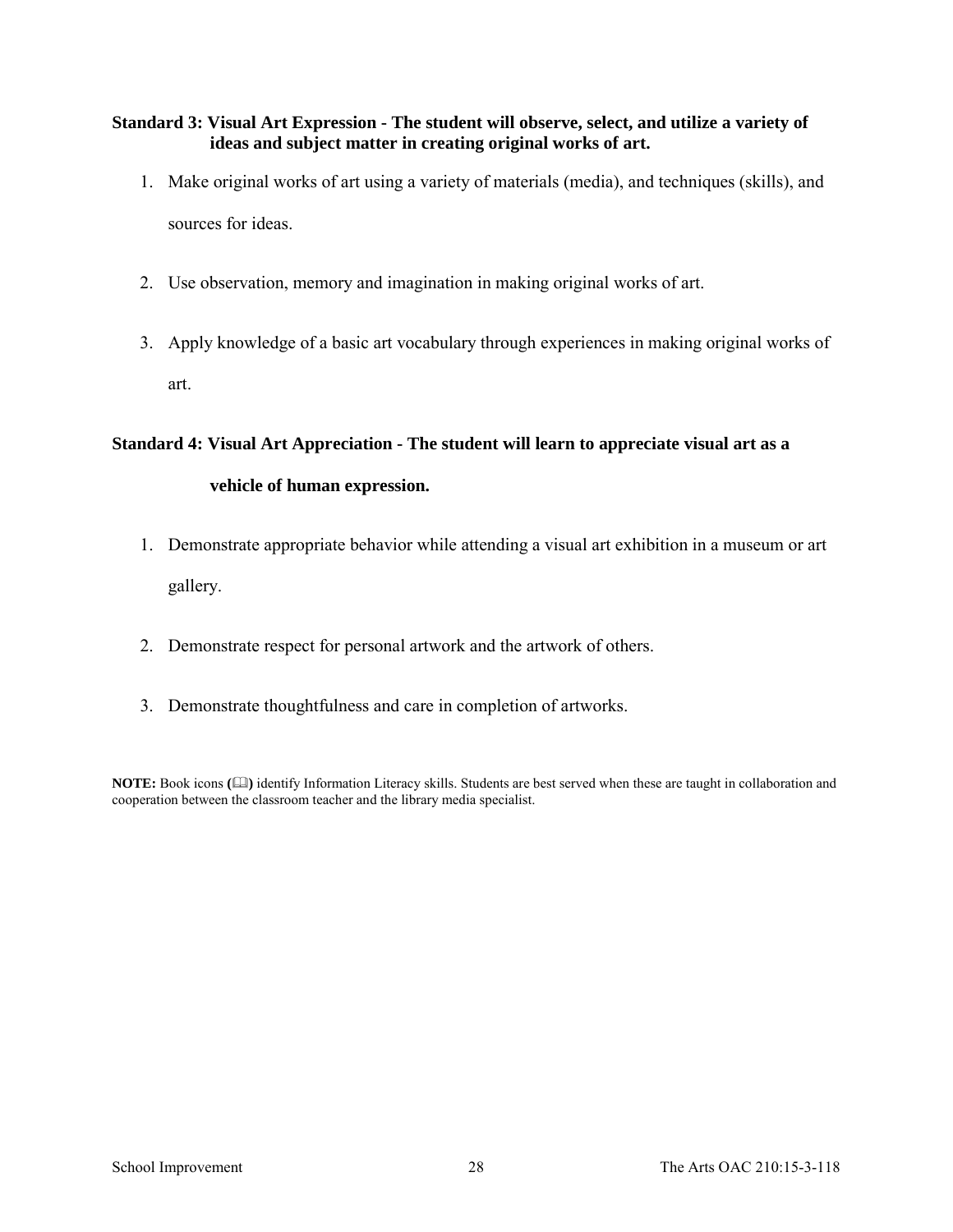## **Standard 3: Visual Art Expression - The student will observe, select, and utilize a variety of ideas and subject matter in creating original works of art.**

- 1. Make original works of art using a variety of materials (media), and techniques (skills), and sources for ideas.
- 2. Use observation, memory and imagination in making original works of art.
- 3. Apply knowledge of a basic art vocabulary through experiences in making original works of art.

# **Standard 4: Visual Art Appreciation - The student will learn to appreciate visual art as a vehicle of human expression.**

- 1. Demonstrate appropriate behavior while attending a visual art exhibition in a museum or art gallery.
- 2. Demonstrate respect for personal artwork and the artwork of others.
- 3. Demonstrate thoughtfulness and care in completion of artworks.

**NOTE:** Book icons **()** identify Information Literacy skills. Students are best served when these are taught in collaboration and cooperation between the classroom teacher and the library media specialist.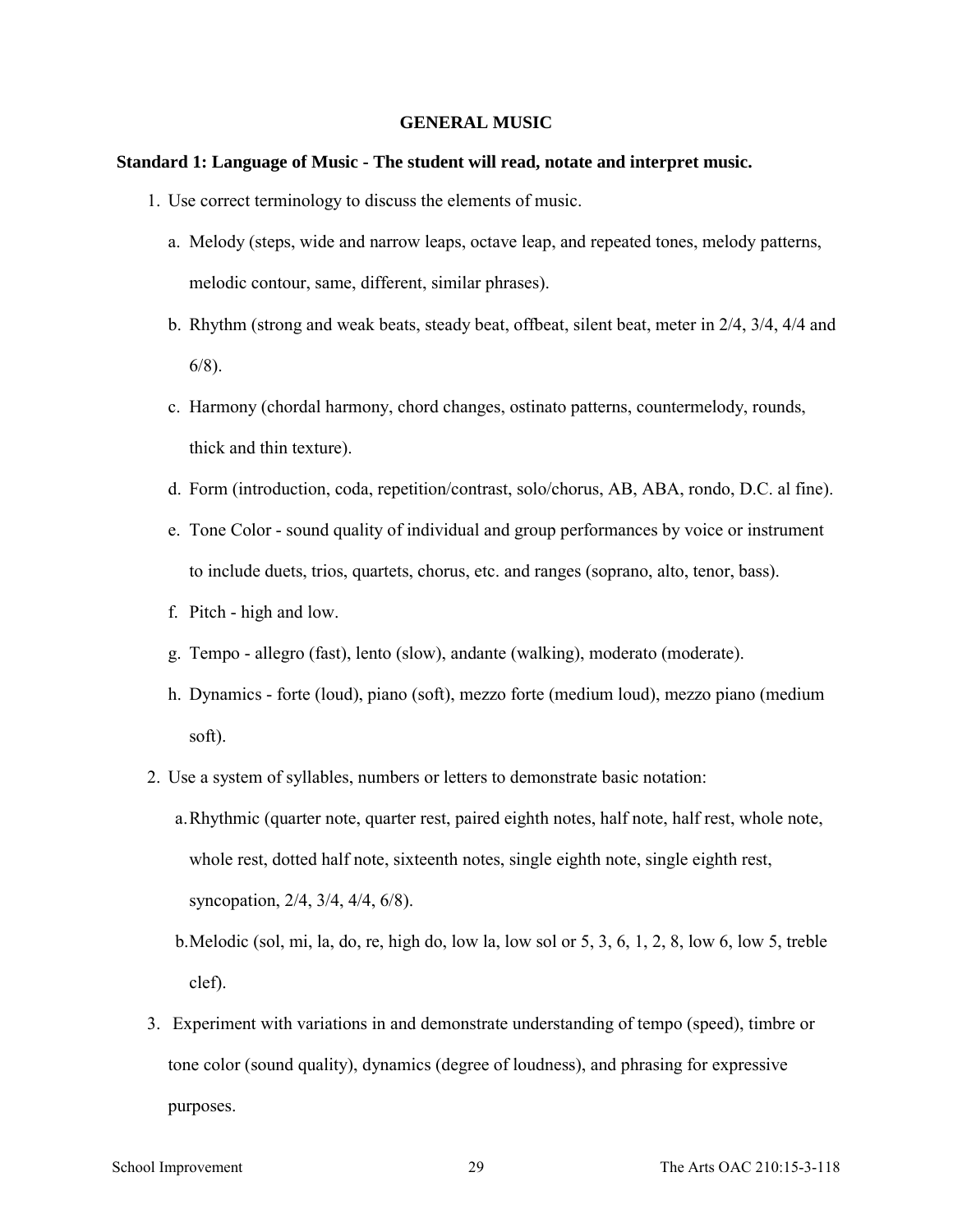#### **GENERAL MUSIC**

#### **Standard 1: Language of Music - The student will read, notate and interpret music.**

- 1. Use correct terminology to discuss the elements of music.
	- a. Melody (steps, wide and narrow leaps, octave leap, and repeated tones, melody patterns, melodic contour, same, different, similar phrases).
	- b. Rhythm (strong and weak beats, steady beat, offbeat, silent beat, meter in 2/4, 3/4, 4/4 and 6/8).
	- c. Harmony (chordal harmony, chord changes, ostinato patterns, countermelody, rounds, thick and thin texture).
	- d. Form (introduction, coda, repetition/contrast, solo/chorus, AB, ABA, rondo, D.C. al fine).
	- e. Tone Color sound quality of individual and group performances by voice or instrument to include duets, trios, quartets, chorus, etc. and ranges (soprano, alto, tenor, bass).
	- f. Pitch high and low.
	- g. Tempo allegro (fast), lento (slow), andante (walking), moderato (moderate).
	- h. Dynamics forte (loud), piano (soft), mezzo forte (medium loud), mezzo piano (medium soft).
- 2. Use a system of syllables, numbers or letters to demonstrate basic notation:
	- a.Rhythmic (quarter note, quarter rest, paired eighth notes, half note, half rest, whole note, whole rest, dotted half note, sixteenth notes, single eighth note, single eighth rest, syncopation, 2/4, 3/4, 4/4, 6/8).
	- b.Melodic (sol, mi, la, do, re, high do, low la, low sol or 5, 3, 6, 1, 2, 8, low 6, low 5, treble clef).
- 3. Experiment with variations in and demonstrate understanding of tempo (speed), timbre or tone color (sound quality), dynamics (degree of loudness), and phrasing for expressive purposes.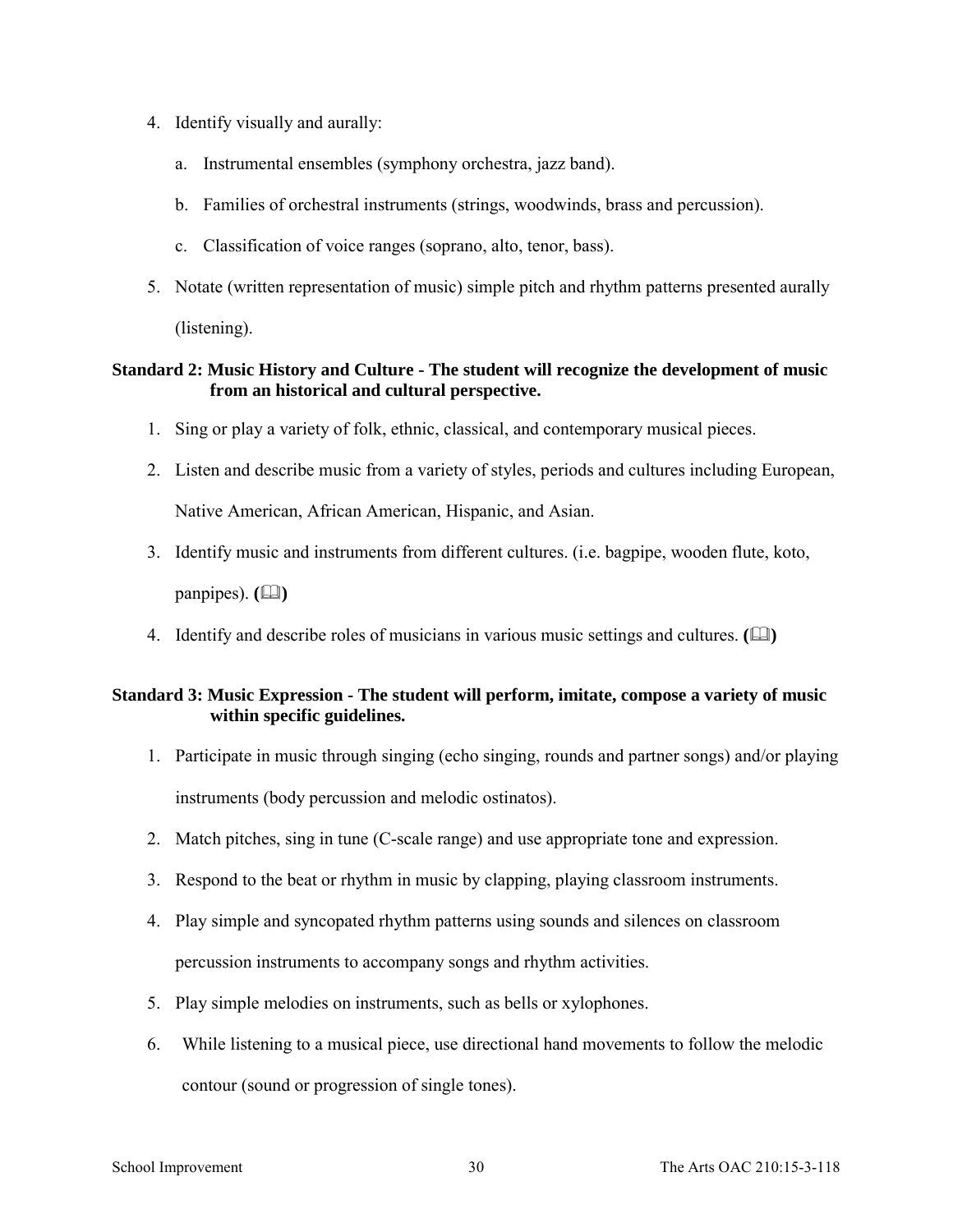- 4. Identify visually and aurally:
	- a. Instrumental ensembles (symphony orchestra, jazz band).
	- b. Families of orchestral instruments (strings, woodwinds, brass and percussion).
	- c. Classification of voice ranges (soprano, alto, tenor, bass).
- 5. Notate (written representation of music) simple pitch and rhythm patterns presented aurally (listening).

# **Standard 2: Music History and Culture - The student will recognize the development of music from an historical and cultural perspective.**

- 1. Sing or play a variety of folk, ethnic, classical, and contemporary musical pieces.
- 2. Listen and describe music from a variety of styles, periods and cultures including European, Native American, African American, Hispanic, and Asian.
- 3. Identify music and instruments from different cultures. (i.e. bagpipe, wooden flute, koto, panpipes).  $(\Box)$
- 4. Identify and describe roles of musicians in various music settings and cultures. ( $\Box$ )

### **Standard 3: Music Expression - The student will perform, imitate, compose a variety of music within specific guidelines.**

- 1. Participate in music through singing (echo singing, rounds and partner songs) and/or playing instruments (body percussion and melodic ostinatos).
- 2. Match pitches, sing in tune (C-scale range) and use appropriate tone and expression.
- 3. Respond to the beat or rhythm in music by clapping, playing classroom instruments.
- 4. Play simple and syncopated rhythm patterns using sounds and silences on classroom percussion instruments to accompany songs and rhythm activities.
- 5. Play simple melodies on instruments, such as bells or xylophones.
- 6. While listening to a musical piece, use directional hand movements to follow the melodic contour (sound or progression of single tones).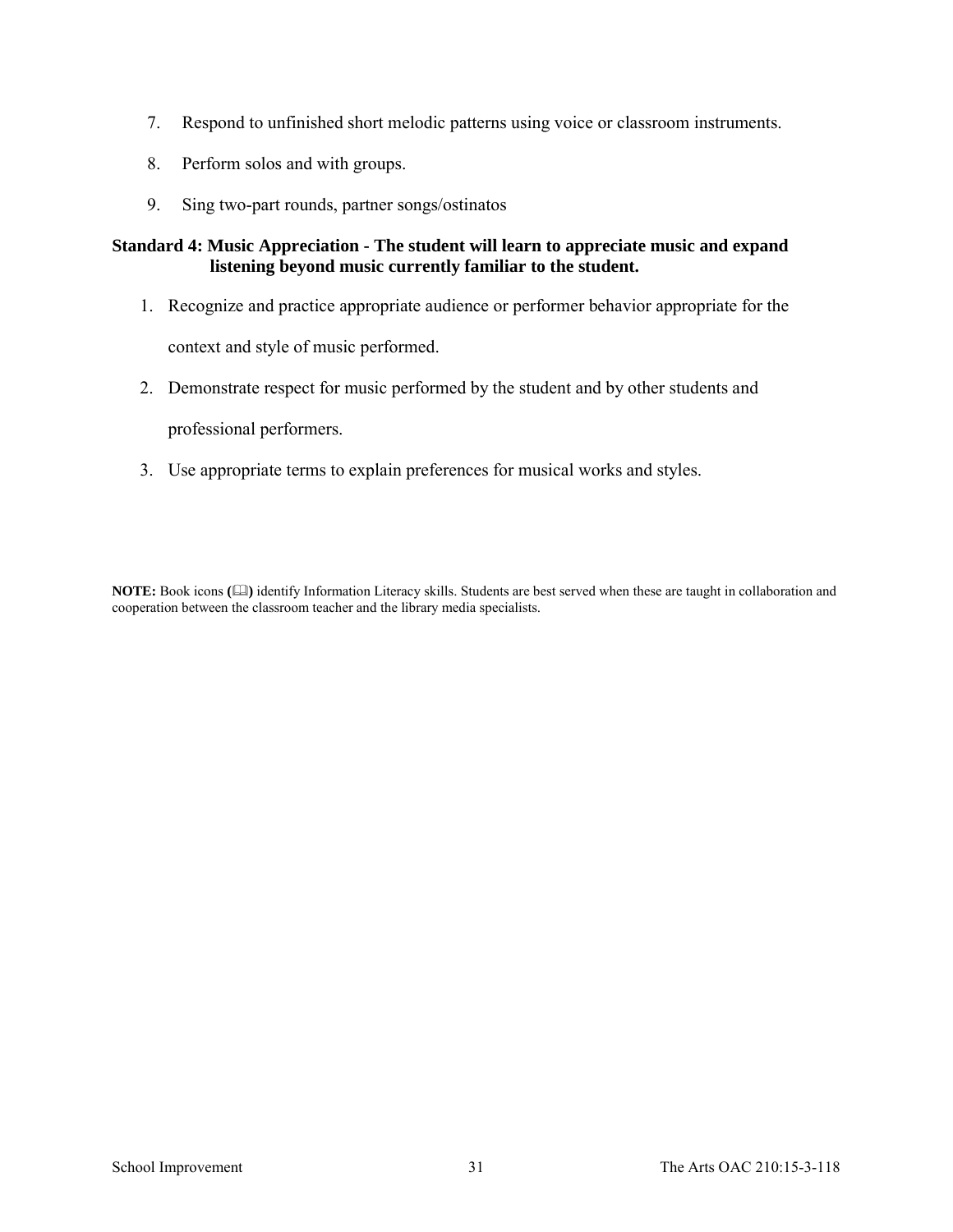- 7. Respond to unfinished short melodic patterns using voice or classroom instruments.
- 8. Perform solos and with groups.
- 9. Sing two-part rounds, partner songs/ostinatos

### **Standard 4: Music Appreciation - The student will learn to appreciate music and expand listening beyond music currently familiar to the student.**

- 1. Recognize and practice appropriate audience or performer behavior appropriate for the context and style of music performed.
- 2. Demonstrate respect for music performed by the student and by other students and

professional performers.

3. Use appropriate terms to explain preferences for musical works and styles.

**NOTE:** Book icons **()** identify Information Literacy skills. Students are best served when these are taught in collaboration and cooperation between the classroom teacher and the library media specialists.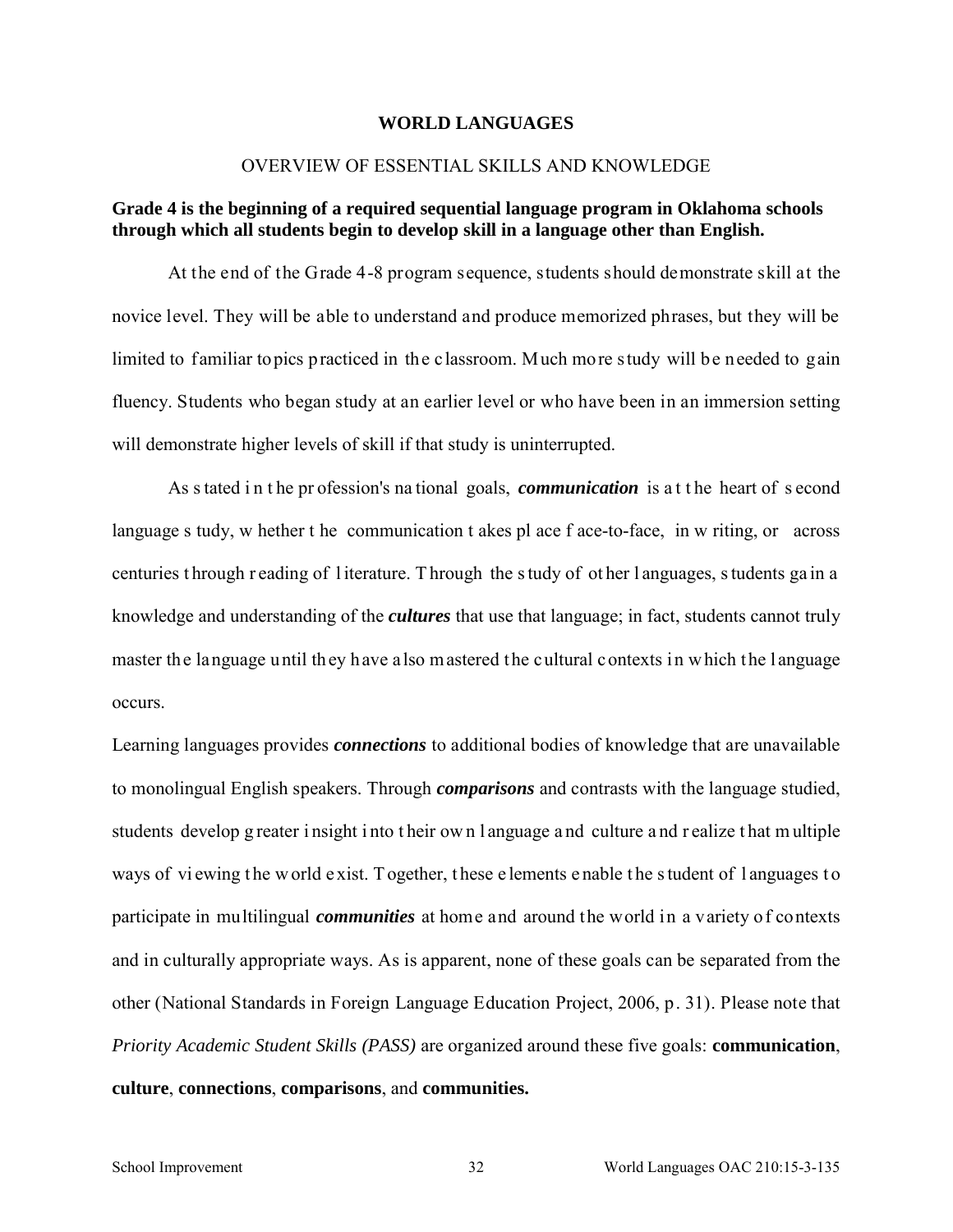#### **WORLD LANGUAGES**

#### OVERVIEW OF ESSENTIAL SKILLS AND KNOWLEDGE

## **Grade 4 is the beginning of a required sequential language program in Oklahoma schools through which all students begin to develop skill in a language other than English.**

At the end of the Grade 4-8 program sequence, students should demonstrate skill at the novice level. They will be able to understand and produce memorized phrases, but they will be limited to familiar topics practiced in the classroom. Much more study will be needed to gain fluency. Students who began study at an earlier level or who have been in an immersion setting will demonstrate higher levels of skill if that study is uninterrupted.

As s tated in the pr ofession's national goals, *communication* is at the heart of second language s tudy, w hether t he communication t akes pl ace f ace-to-face, in w riting, or across centuries t hrough r eading of l iterature. T hrough the s tudy of ot her l anguages, s tudents ga in a knowledge and understanding of the *cultures* that use that language; in fact, students cannot truly master the language until they have also mastered the cultural contexts in which the language occurs.

Learning languages provides *connections* to additional bodies of knowledge that are unavailable to monolingual English speakers. Through *comparisons* and contrasts with the language studied, students develop g reater i nsight i nto t heir ow n l anguage a nd culture a nd r ealize t hat m ultiple ways of viewing the w orld exist. Together, these elements enable the student of languages to participate in multilingual *communities* at home and around the world in a variety of contexts and in culturally appropriate ways. As is apparent, none of these goals can be separated from the other (National Standards in Foreign Language Education Project, 2006, p. 31). Please note that *Priority Academic Student Skills (PASS)* are organized around these five goals: **communication**, **culture**, **connections**, **comparisons**, and **communities.**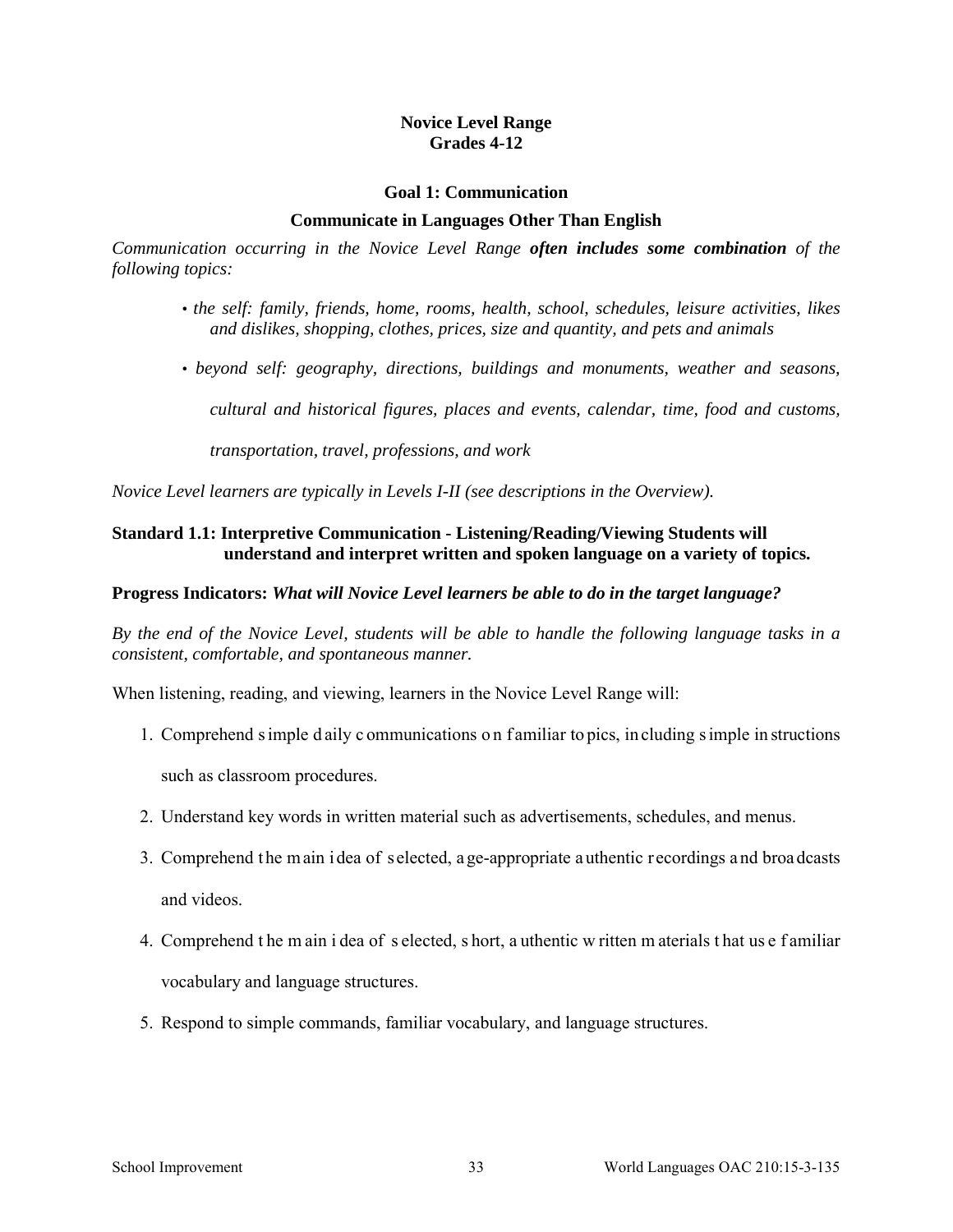### **Novice Level Range Grades 4-12**

#### **Goal 1: Communication**

#### **Communicate in Languages Other Than English**

*Communication occurring in the Novice Level Range often includes some combination of the following topics:* 

- *the self: family, friends, home, rooms, health, school, schedules, leisure activities, likes and dislikes, shopping, clothes, prices, size and quantity, and pets and animals*
- *beyond self: geography, directions, buildings and monuments, weather and seasons,*

*cultural and historical figures, places and events, calendar, time, food and customs,* 

*transportation, travel, professions, and work* 

*Novice Level learners are typically in Levels I-II (see descriptions in the Overview).* 

### **Standard 1.1: Interpretive Communication - Listening/Reading/Viewing Students will understand and interpret written and spoken language on a variety of topics.**

#### **Progress Indicators:** *What will Novice Level learners be able to do in the target language?*

*By the end of the Novice Level, students will be able to handle the following language tasks in a consistent, comfortable, and spontaneous manner.* 

When listening, reading, and viewing, learners in the Novice Level Range will:

- 1. Comprehend s imple d aily c ommunications o n f amiliar to pics, in cluding s imple in structions such as classroom procedures.
- 2. Understand key words in written material such as advertisements, schedules, and menus.
- 3. Comprehend t he m ain i dea of selected, a ge-appropriate a uthentic recordings a nd broa dcasts and videos.
- 4. Comprehend t he m ain i dea of s elected, s hort, a uthentic w ritten m aterials t hat us e f amiliar vocabulary and language structures.
- 5. Respond to simple commands, familiar vocabulary, and language structures.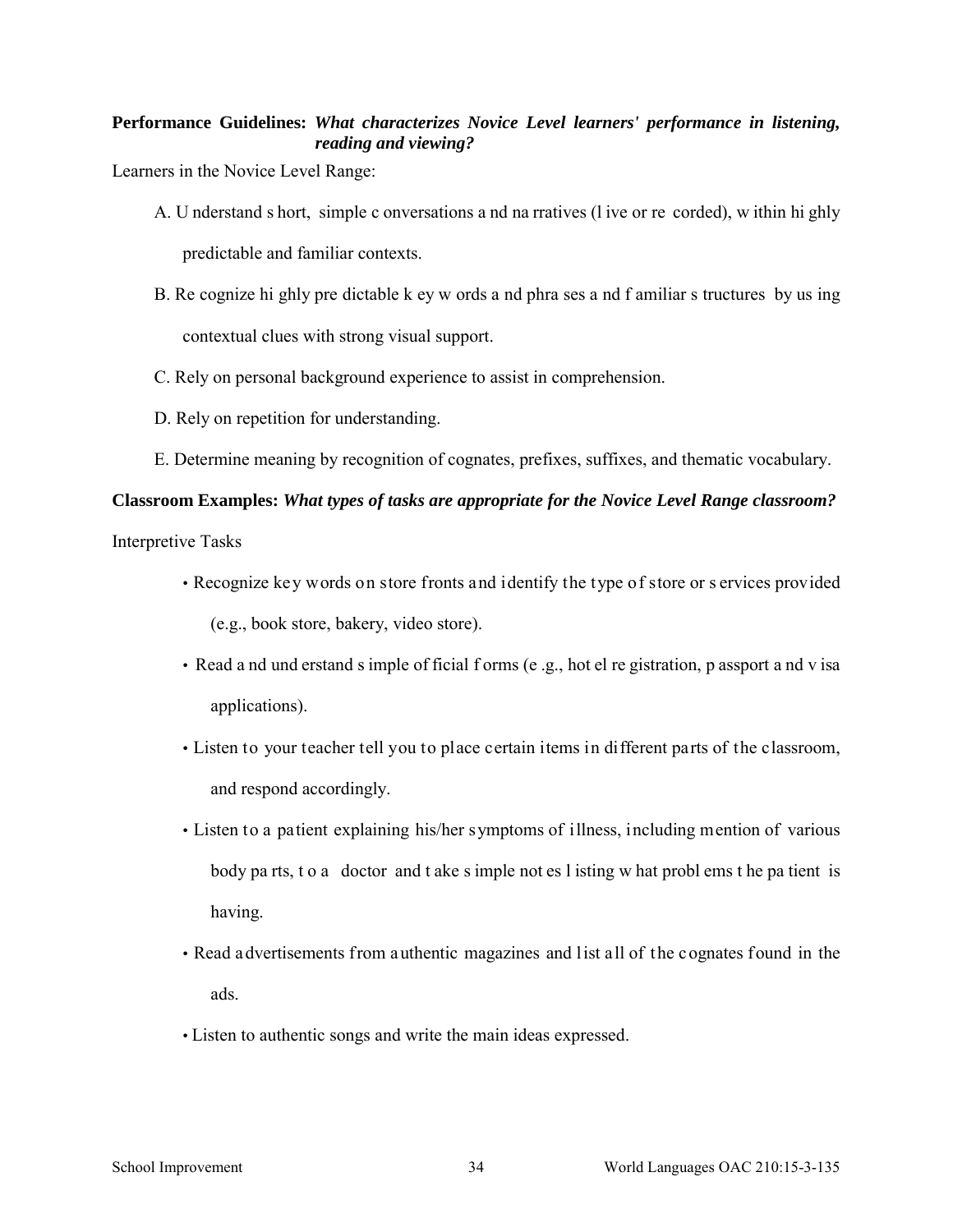# **Performance Guidelines:** *What characterizes Novice Level learners' performance in listening, reading and viewing?*

Learners in the Novice Level Range:

- A. U nderstand s hort, simple c onversations a nd na rratives (l ive or re corded), w ithin hi ghly predictable and familiar contexts.
- B. Re cognize hi ghly pre dictable k ey w ords a nd phra ses a nd f amiliar s tructures by us ing contextual clues with strong visual support.
- C. Rely on personal background experience to assist in comprehension.
- D. Rely on repetition for understanding.
- E. Determine meaning by recognition of cognates, prefixes, suffixes, and thematic vocabulary.

### **Classroom Examples:** *What types of tasks are appropriate for the Novice Level Range classroom?*

Interpretive Tasks

- Recognize key words on store fronts and identify the type of store or s ervices provided (e.g., book store, bakery, video store).
- Read a nd und erstand s imple of ficial f orms (e .g., hot el re gistration, p assport a nd v isa applications).
- Listen to your teacher tell you to place certain items in different parts of the classroom, and respond accordingly.
- Listen to a patient explaining his/her symptoms of illness, including mention of various body pa rts, t o a doctor and t ake s imple not es l isting w hat probl ems t he pa tient is having.
- Read advertisements from authentic magazines and list all of the cognates found in the ads.
- Listen to authentic songs and write the main ideas expressed.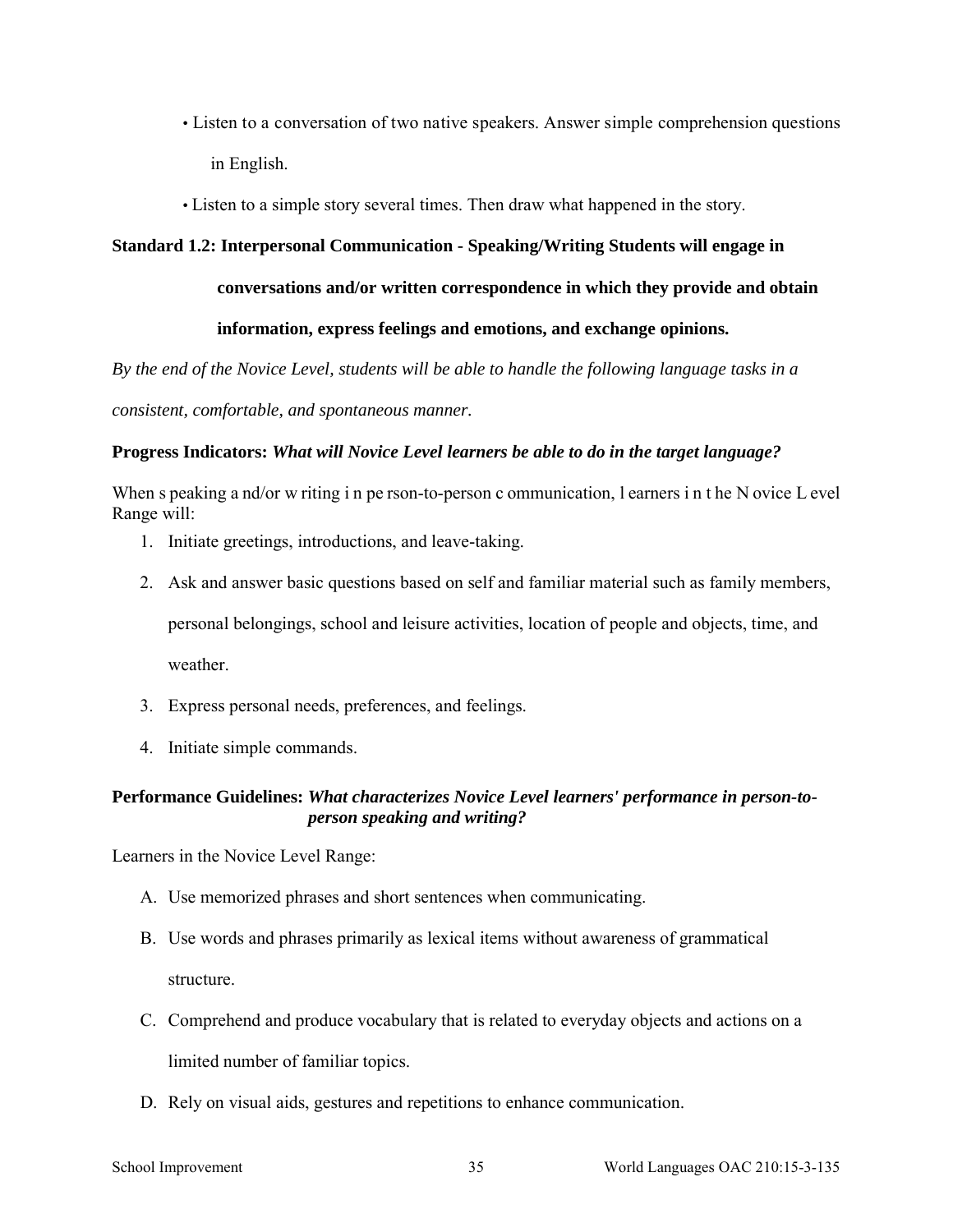- Listen to a conversation of two native speakers. Answer simple comprehension questions in English.
- Listen to a simple story several times. Then draw what happened in the story.

## **Standard 1.2: Interpersonal Communication - Speaking/Writing Students will engage in**

**conversations and/or written correspondence in which they provide and obtain** 

### **information, express feelings and emotions, and exchange opinions.**

*By the end of the Novice Level, students will be able to handle the following language tasks in a* 

*consistent, comfortable, and spontaneous manner.* 

### **Progress Indicators:** *What will Novice Level learners be able to do in the target language?*

When s peaking a nd/or w riting i n pe rson-to-person c ommunication, I earners in the N ovice L evel Range will:

- 1. Initiate greetings, introductions, and leave-taking.
- 2. Ask and answer basic questions based on self and familiar material such as family members,

personal belongings, school and leisure activities, location of people and objects, time, and weather

- 3. Express personal needs, preferences, and feelings.
- 4. Initiate simple commands.

# **Performance Guidelines:** *What characterizes Novice Level learners' performance in person-toperson speaking and writing?*

- A. Use memorized phrases and short sentences when communicating.
- B. Use words and phrases primarily as lexical items without awareness of grammatical structure.
- C. Comprehend and produce vocabulary that is related to everyday objects and actions on a limited number of familiar topics.
- D. Rely on visual aids, gestures and repetitions to enhance communication.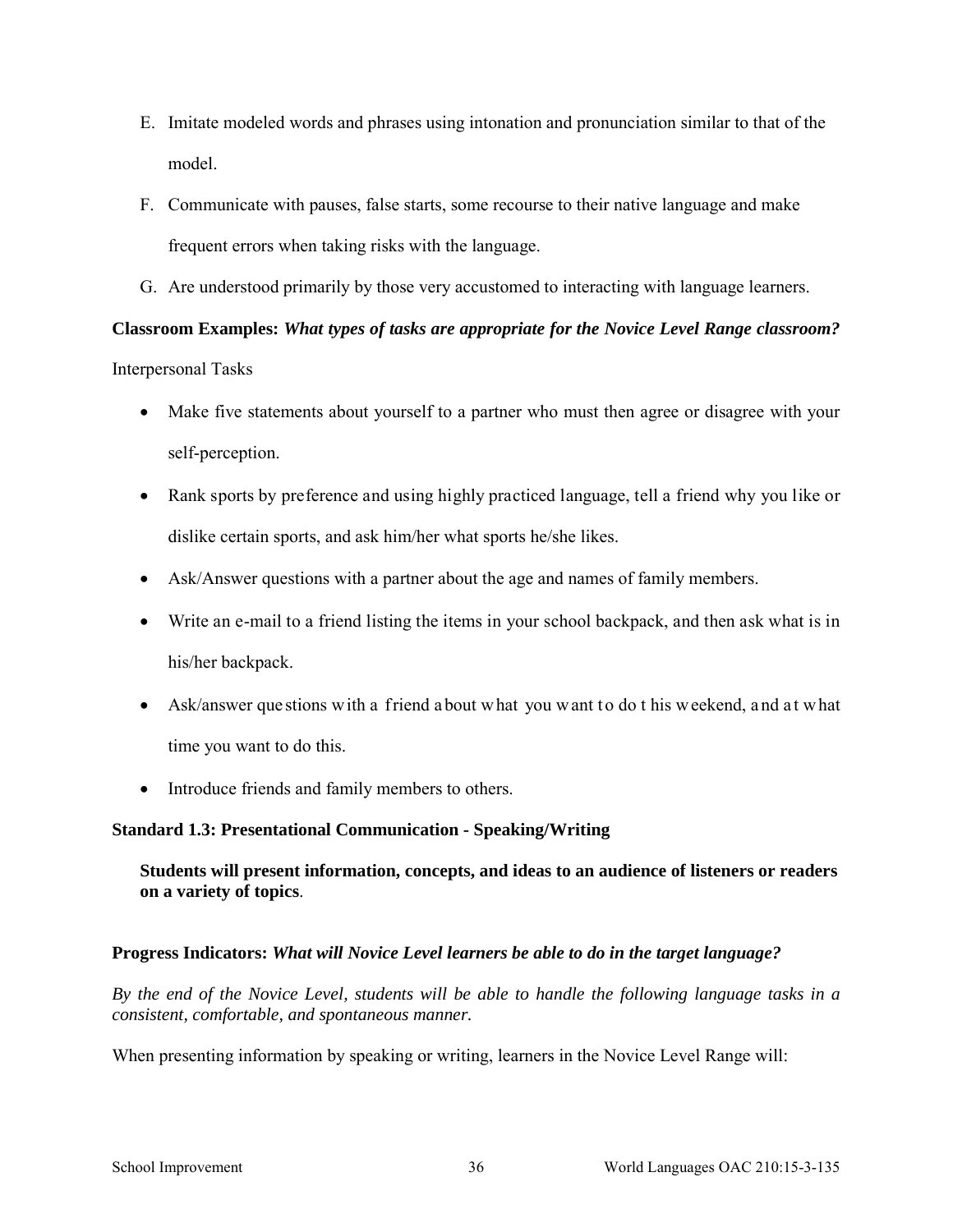- E. Imitate modeled words and phrases using intonation and pronunciation similar to that of the model.
- F. Communicate with pauses, false starts, some recourse to their native language and make frequent errors when taking risks with the language.
- G. Are understood primarily by those very accustomed to interacting with language learners.

# **Classroom Examples:** *What types of tasks are appropriate for the Novice Level Range classroom?*  Interpersonal Tasks

- Make five statements about yourself to a partner who must then agree or disagree with your self-perception.
- Rank sports by preference and using highly practiced language, tell a friend why you like or dislike certain sports, and ask him/her what sports he/she likes.
- Ask/Answer questions with a partner about the age and names of family members.
- Write an e-mail to a friend listing the items in your school backpack, and then ask what is in his/her backpack.
- Ask/answer que stions with a friend a bout what you want to do t his weekend, and at what time you want to do this.
- Introduce friends and family members to others.

# **Standard 1.3: Presentational Communication - Speaking/Writing**

# **Students will present information, concepts, and ideas to an audience of listeners or readers on a variety of topics**.

# **Progress Indicators:** *What will Novice Level learners be able to do in the target language?*

*By the end of the Novice Level, students will be able to handle the following language tasks in a consistent, comfortable, and spontaneous manner.* 

When presenting information by speaking or writing, learners in the Novice Level Range will: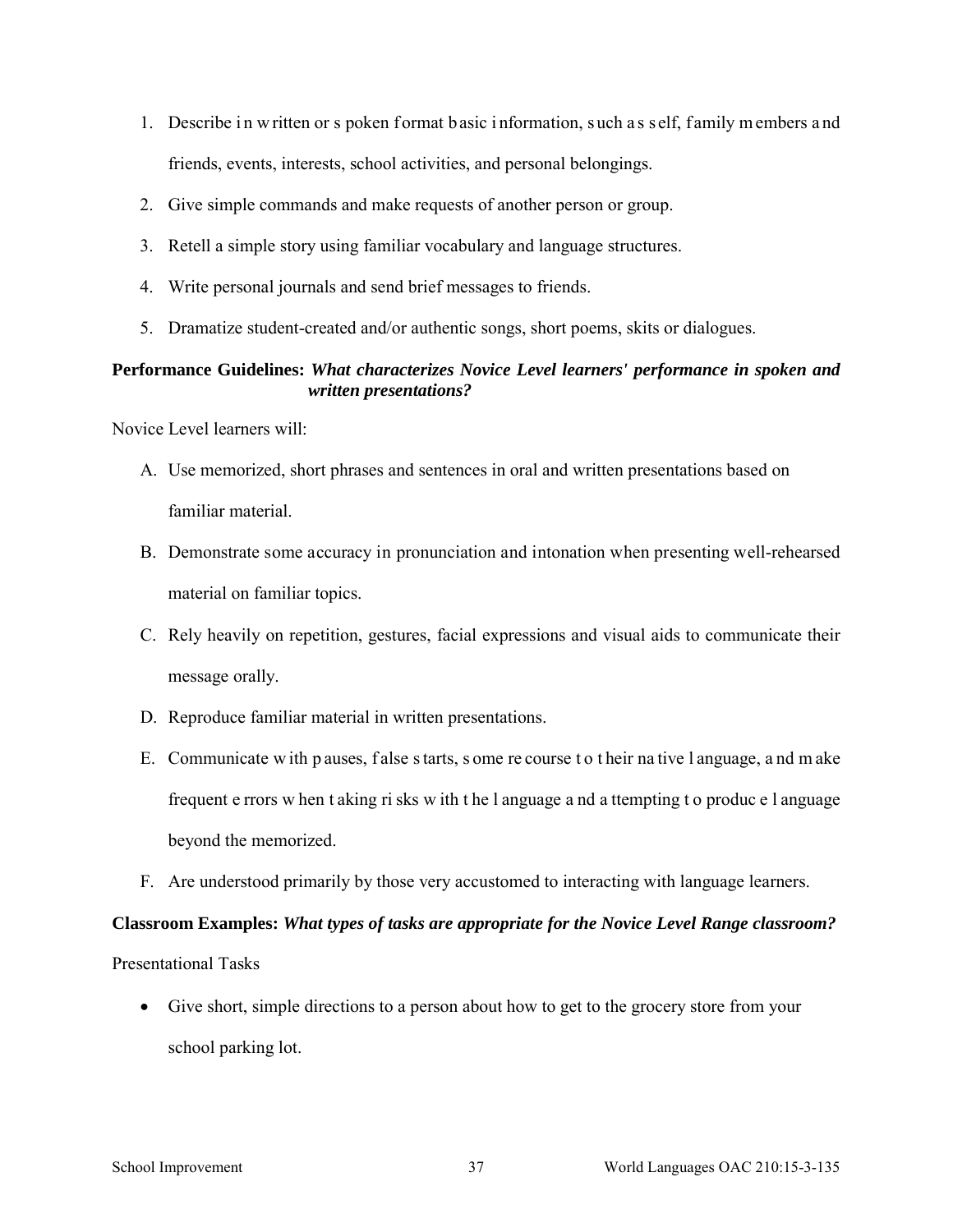- 1. Describe in w ritten or s poken format basic information, such a s self, family m embers and friends, events, interests, school activities, and personal belongings.
- 2. Give simple commands and make requests of another person or group.
- 3. Retell a simple story using familiar vocabulary and language structures.
- 4. Write personal journals and send brief messages to friends.
- 5. Dramatize student-created and/or authentic songs, short poems, skits or dialogues.

### **Performance Guidelines:** *What characterizes Novice Level learners' performance in spoken and written presentations?*

Novice Level learners will:

- A. Use memorized, short phrases and sentences in oral and written presentations based on familiar material.
- B. Demonstrate some accuracy in pronunciation and intonation when presenting well-rehearsed material on familiar topics.
- C. Rely heavily on repetition, gestures, facial expressions and visual aids to communicate their message orally.
- D. Reproduce familiar material in written presentations.
- E. Communicate w ith p auses, f alse s tarts, s ome re course t o t heir na tive l anguage, a nd m ake frequent e rrors w hen t aking ri sks w ith t he l anguage a nd a ttempting t o produc e l anguage beyond the memorized.
- F. Are understood primarily by those very accustomed to interacting with language learners.

### **Classroom Examples:** *What types of tasks are appropriate for the Novice Level Range classroom?*

Presentational Tasks

• Give short, simple directions to a person about how to get to the grocery store from your school parking lot.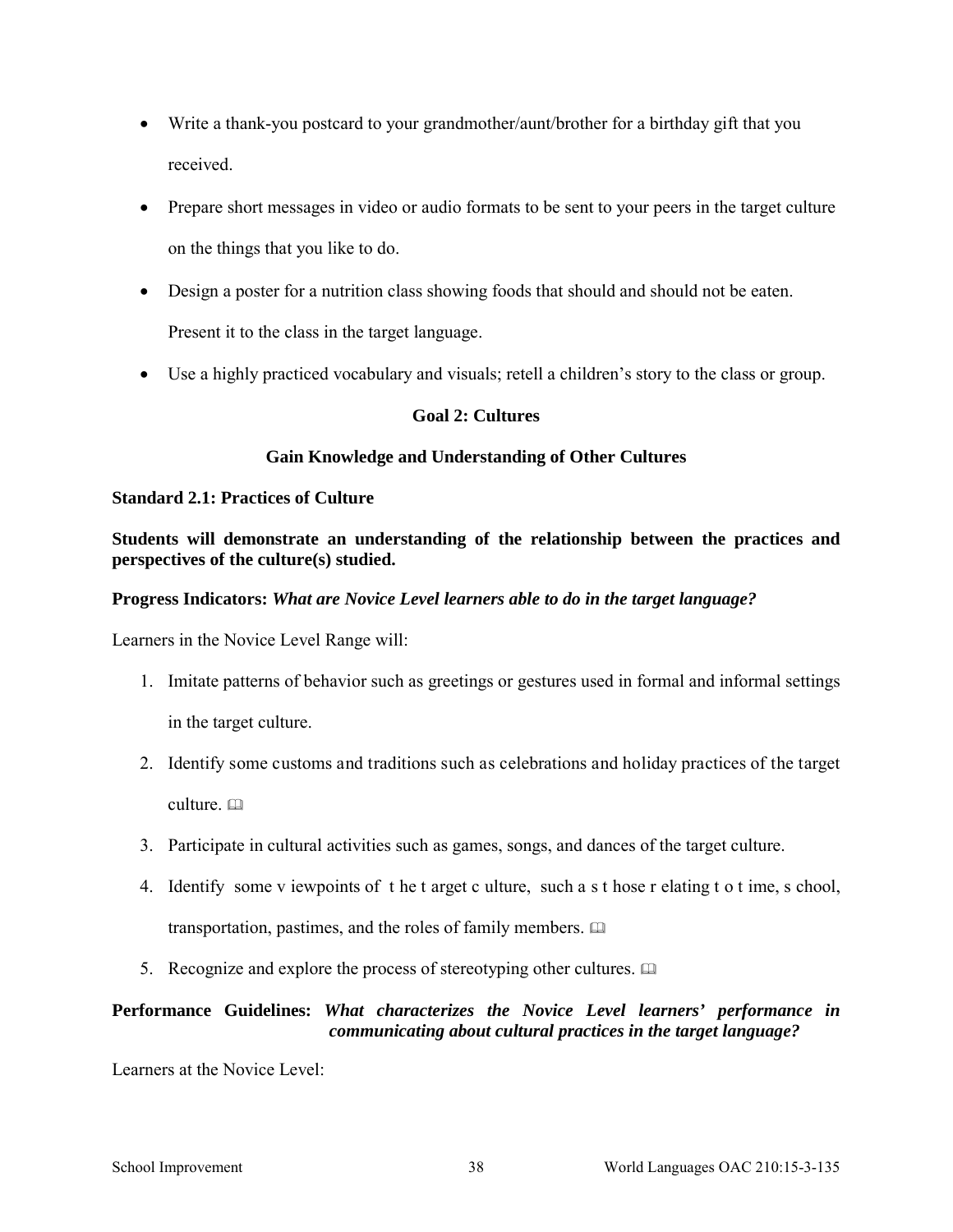- Write a thank-you postcard to your grandmother/aunt/brother for a birthday gift that you received.
- Prepare short messages in video or audio formats to be sent to your peers in the target culture on the things that you like to do.
- Design a poster for a nutrition class showing foods that should and should not be eaten. Present it to the class in the target language.
- Use a highly practiced vocabulary and visuals; retell a children's story to the class or group.

# **Goal 2: Cultures**

# **Gain Knowledge and Understanding of Other Cultures**

### **Standard 2.1: Practices of Culture**

**Students will demonstrate an understanding of the relationship between the practices and perspectives of the culture(s) studied.** 

### **Progress Indicators:** *What are Novice Level learners able to do in the target language?*

Learners in the Novice Level Range will:

- 1. Imitate patterns of behavior such as greetings or gestures used in formal and informal settings in the target culture.
- 2. Identify some customs and traditions such as celebrations and holiday practices of the target culture. a
- 3. Participate in cultural activities such as games, songs, and dances of the target culture.
- 4. Identify some v iewpoints of t he t arget c ulture, such a s t hose r elating t o t ime, s chool, transportation, pastimes, and the roles of family members.
- 5. Recognize and explore the process of stereotyping other cultures.  $\Box$

# **Performance Guidelines:** *What characterizes the Novice Level learners' performance in communicating about cultural practices in the target language?*

Learners at the Novice Level: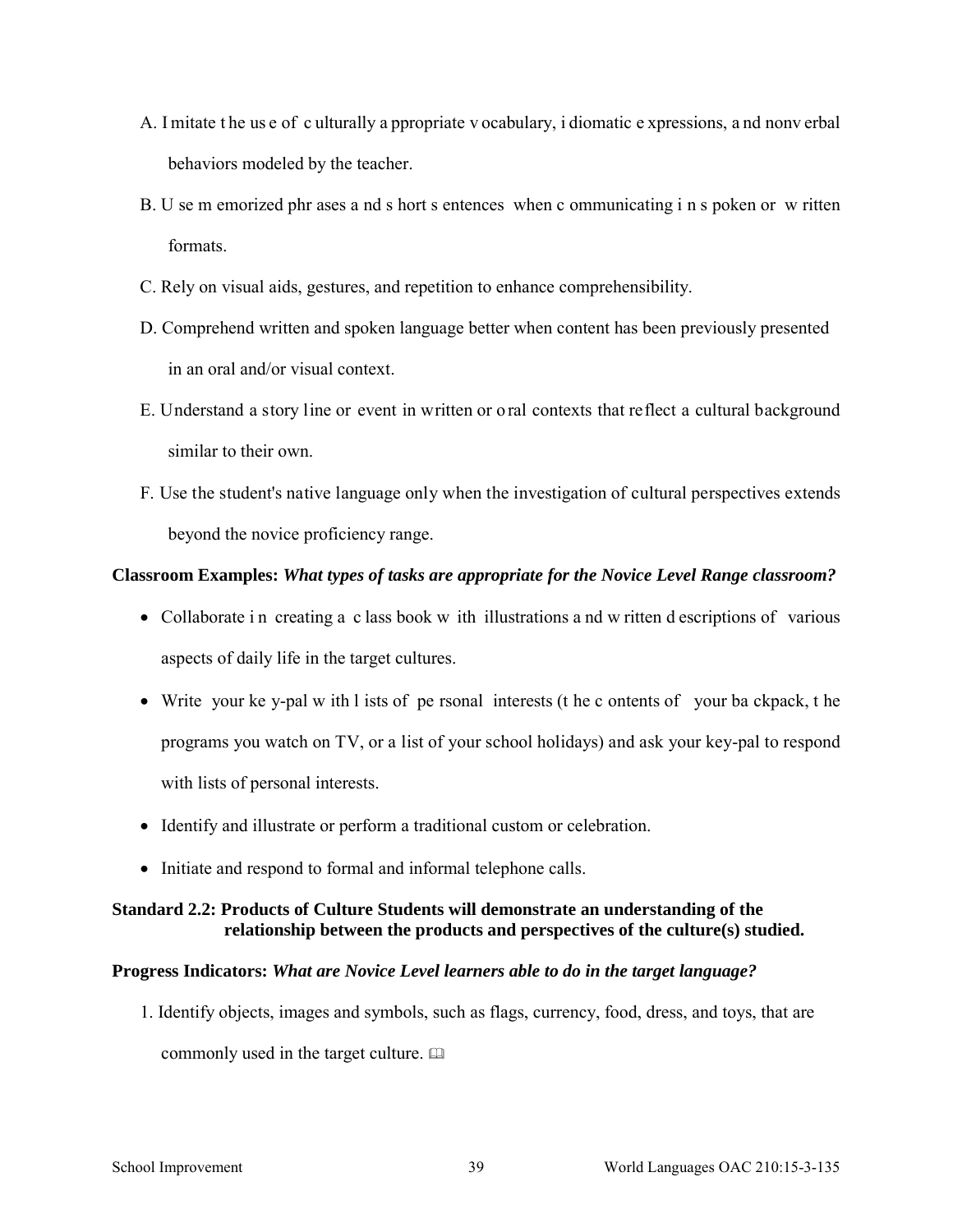- A. I mitate t he us e of c ulturally a ppropriate v ocabulary, i diomatic e xpressions, a nd nonv erbal behaviors modeled by the teacher.
- B. U se m emorized phr ases a nd s hort s entences when c ommunicating i n s poken or w ritten formats.
- C. Rely on visual aids, gestures, and repetition to enhance comprehensibility.
- D. Comprehend written and spoken language better when content has been previously presented in an oral and/or visual context.
- E. Understand a story line or event in written or o ral contexts that reflect a cultural background similar to their own.
- F. Use the student's native language only when the investigation of cultural perspectives extends beyond the novice proficiency range.

### **Classroom Examples:** *What types of tasks are appropriate for the Novice Level Range classroom?*

- Collaborate in creating a class book w ith illustrations and w ritten d escriptions of various aspects of daily life in the target cultures.
- Write your ke y-pal w ith l ists of pe rsonal interests (t he c ontents of your ba ckpack, t he programs you watch on TV, or a list of your school holidays) and ask your key-pal to respond with lists of personal interests.
- Identify and illustrate or perform a traditional custom or celebration.
- Initiate and respond to formal and informal telephone calls.

### **Standard 2.2: Products of Culture Students will demonstrate an understanding of the relationship between the products and perspectives of the culture(s) studied.**

### **Progress Indicators:** *What are Novice Level learners able to do in the target language?*

1. Identify objects, images and symbols, such as flags, currency, food, dress, and toys, that are commonly used in the target culture.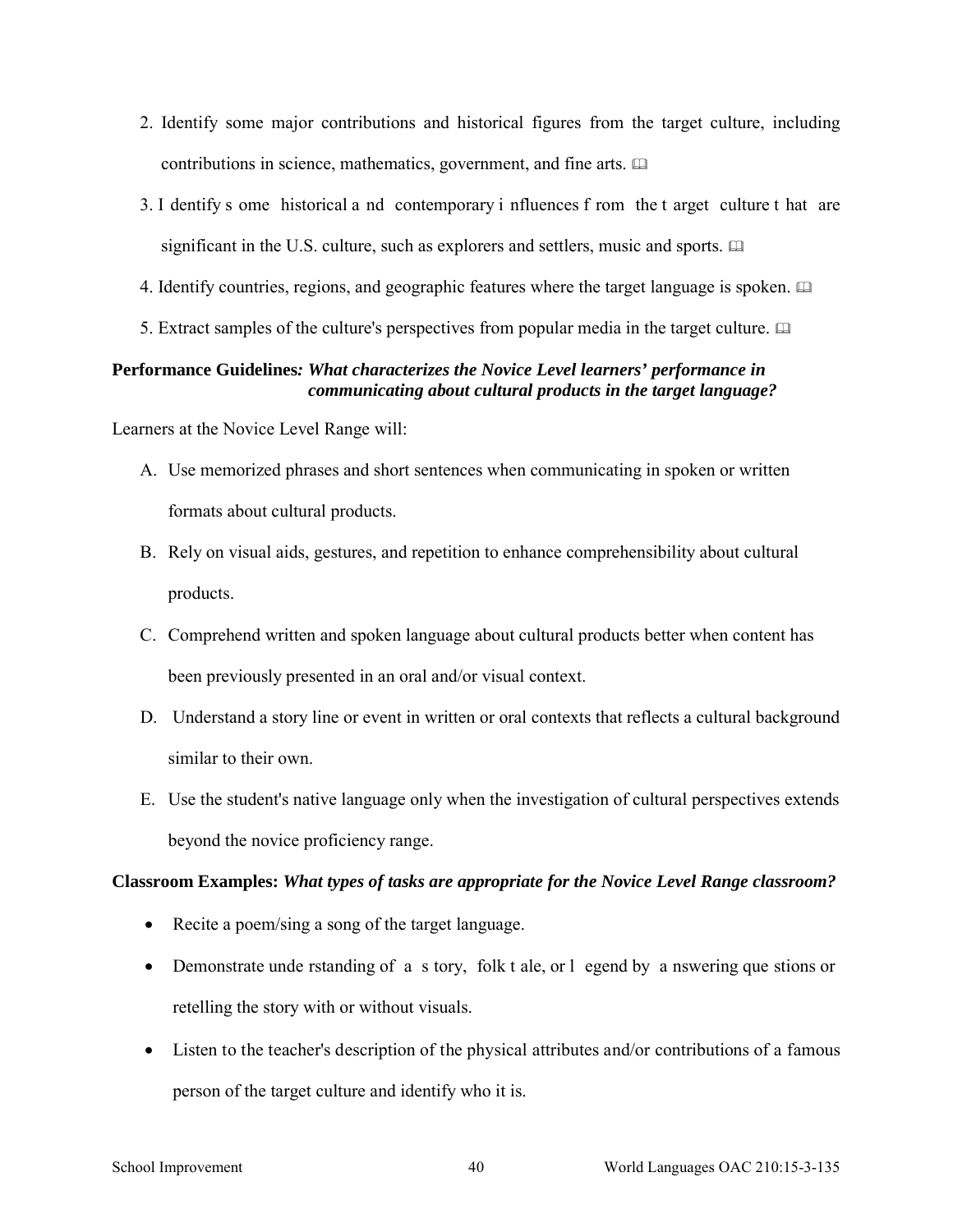- 2. Identify some major contributions and historical figures from the target culture, including contributions in science, mathematics, government, and fine arts.
- 3. I dentify s ome historical a nd contemporary i nfluences f rom the t arget culture t hat are significant in the U.S. culture, such as explorers and settlers, music and sports.
- 4. Identify countries, regions, and geographic features where the target language is spoken.
- 5. Extract samples of the culture's perspectives from popular media in the target culture.

# **Performance Guidelines***: What characterizes the Novice Level learners' performance in communicating about cultural products in the target language?*

Learners at the Novice Level Range will:

- A. Use memorized phrases and short sentences when communicating in spoken or written formats about cultural products.
- B. Rely on visual aids, gestures, and repetition to enhance comprehensibility about cultural products.
- C. Comprehend written and spoken language about cultural products better when content has been previously presented in an oral and/or visual context.
- D. Understand a story line or event in written or oral contexts that reflects a cultural background similar to their own.
- E. Use the student's native language only when the investigation of cultural perspectives extends beyond the novice proficiency range.

### **Classroom Examples:** *What types of tasks are appropriate for the Novice Level Range classroom?*

- Recite a poem/sing a song of the target language.
- Demonstrate unde rstanding of a s tory, folk t ale, or l egend by a nswering que stions or retelling the story with or without visuals.
- Listen to the teacher's description of the physical attributes and/or contributions of a famous person of the target culture and identify who it is.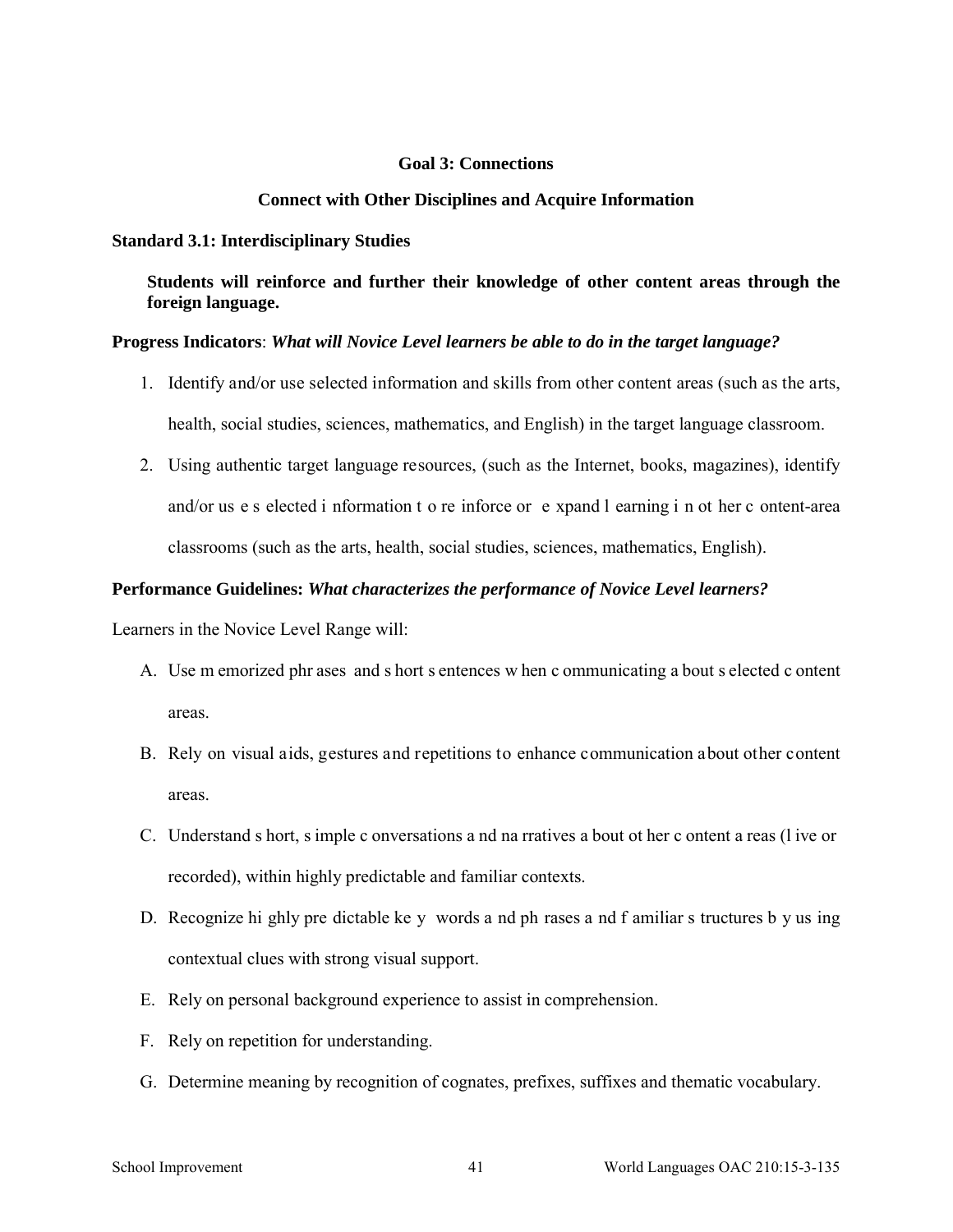### **Goal 3: Connections**

#### **Connect with Other Disciplines and Acquire Information**

#### **Standard 3.1: Interdisciplinary Studies**

**Students will reinforce and further their knowledge of other content areas through the foreign language.** 

#### **Progress Indicators**: *What will Novice Level learners be able to do in the target language?*

- 1. Identify and/or use selected information and skills from other content areas (such as the arts, health, social studies, sciences, mathematics, and English) in the target language classroom.
- 2. Using authentic target language resources, (such as the Internet, books, magazines), identify and/or us e s elected i nformation t o re inforce or e xpand l earning i n ot her c ontent-area classrooms (such as the arts, health, social studies, sciences, mathematics, English).

#### **Performance Guidelines:** *What characterizes the performance of Novice Level learners?*

- A. Use m emorized phr ases and s hort s entences w hen c ommunicating a bout s elected c ontent areas.
- B. Rely on visual aids, gestures and repetitions to enhance communication about other content areas.
- C. Understand s hort, s imple c onversations a nd na rratives a bout ot her c ontent a reas (l ive or recorded), within highly predictable and familiar contexts.
- D. Recognize hi ghly pre dictable ke y words a nd ph rases a nd f amiliar s tructures b y us ing contextual clues with strong visual support.
- E. Rely on personal background experience to assist in comprehension.
- F. Rely on repetition for understanding.
- G. Determine meaning by recognition of cognates, prefixes, suffixes and thematic vocabulary.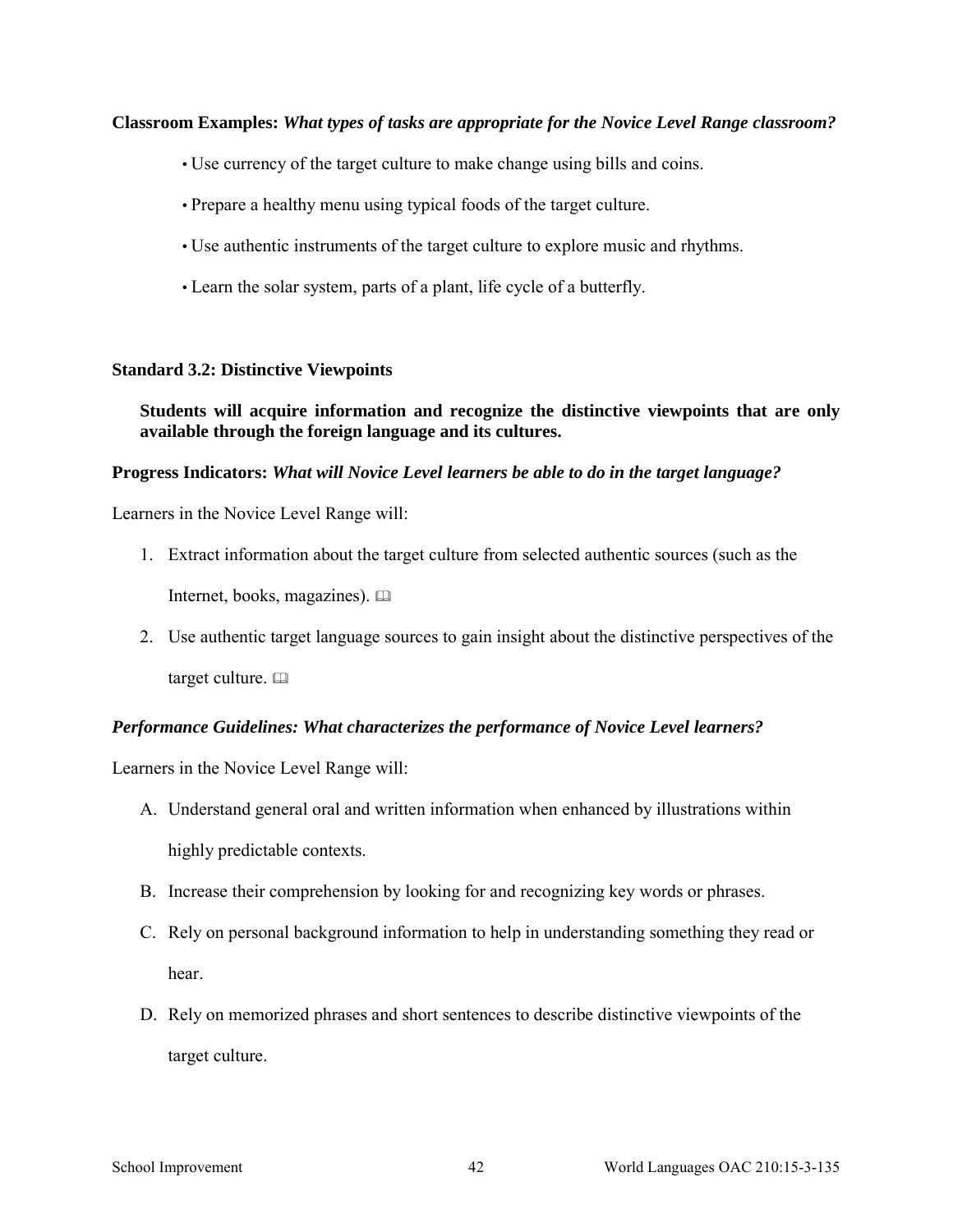### **Classroom Examples:** *What types of tasks are appropriate for the Novice Level Range classroom?*

- Use currency of the target culture to make change using bills and coins.
- Prepare a healthy menu using typical foods of the target culture.
- Use authentic instruments of the target culture to explore music and rhythms.
- Learn the solar system, parts of a plant, life cycle of a butterfly.

#### **Standard 3.2: Distinctive Viewpoints**

**Students will acquire information and recognize the distinctive viewpoints that are only available through the foreign language and its cultures.** 

### **Progress Indicators:** *What will Novice Level learners be able to do in the target language?*

Learners in the Novice Level Range will:

1. Extract information about the target culture from selected authentic sources (such as the

Internet, books, magazines).

2. Use authentic target language sources to gain insight about the distinctive perspectives of the target culture.  $\Box$ 

### *Performance Guidelines: What characterizes the performance of Novice Level learners?*

- A. Understand general oral and written information when enhanced by illustrations within highly predictable contexts.
- B. Increase their comprehension by looking for and recognizing key words or phrases.
- C. Rely on personal background information to help in understanding something they read or hear.
- D. Rely on memorized phrases and short sentences to describe distinctive viewpoints of the target culture.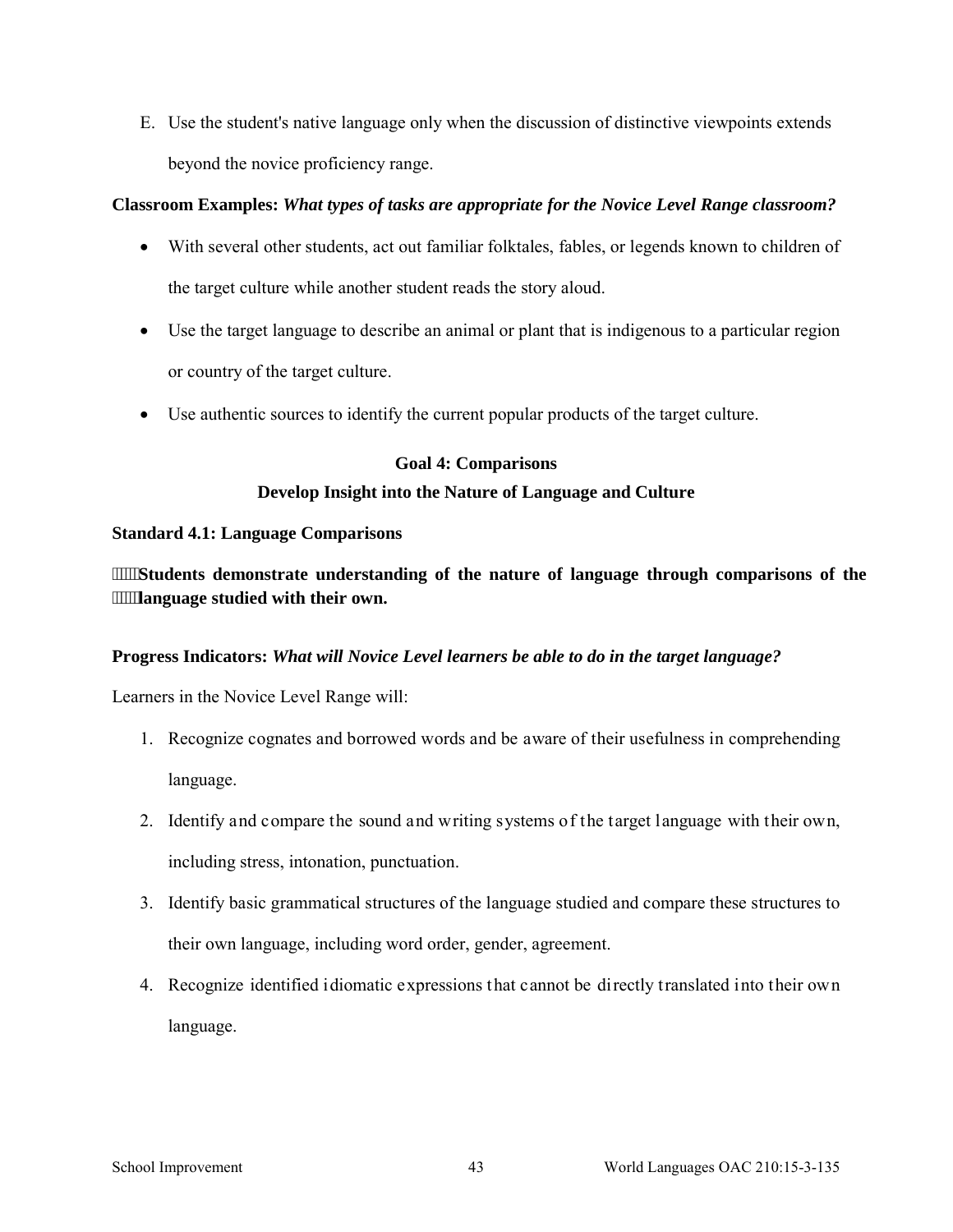E. Use the student's native language only when the discussion of distinctive viewpoints extends beyond the novice proficiency range.

## **Classroom Examples:** *What types of tasks are appropriate for the Novice Level Range classroom?*

- With several other students, act out familiar folktales, fables, or legends known to children of the target culture while another student reads the story aloud.
- Use the target language to describe an animal or plant that is indigenous to a particular region or country of the target culture.
- Use authentic sources to identify the current popular products of the target culture.

### **Goal 4: Comparisons**

# **Develop Insight into the Nature of Language and Culture**

# **Standard 4.1: Language Comparisons**

**Students demonstrate understanding of the nature of language through comparisons of the language studied with their own.** 

### **Progress Indicators:** *What will Novice Level learners be able to do in the target language?*

- 1. Recognize cognates and borrowed words and be aware of their usefulness in comprehending language.
- 2. Identify and compare the sound and writing systems of the target language with their own, including stress, intonation, punctuation.
- 3. Identify basic grammatical structures of the language studied and compare these structures to their own language, including word order, gender, agreement.
- 4. Recognize identified idiomatic expressions that cannot be directly translated into their own language.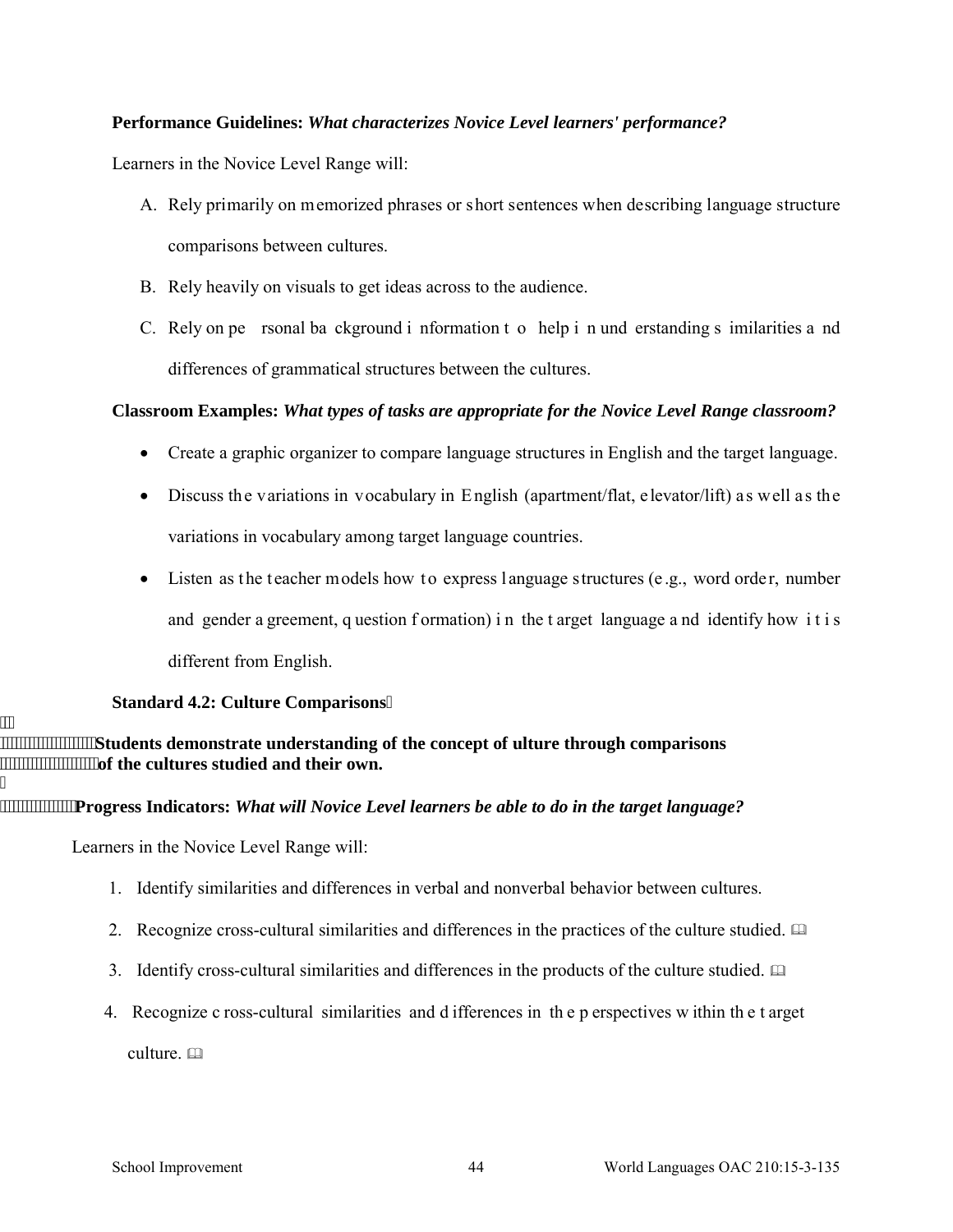Learners in the Novice Level Range will:

- A. Rely primarily on memorized phrases or short sentences when describing language structure comparisons between cultures.
- B. Rely heavily on visuals to get ideas across to the audience.
- C. Rely on pe rsonal ba ckground i nformation t o help i n und erstanding s imilarities a nd differences of grammatical structures between the cultures.

### **Classroom Examples:** *What types of tasks are appropriate for the Novice Level Range classroom?*

- Create a graphic organizer to compare language structures in English and the target language.
- Discuss the variations in vocabulary in English (apartment/flat, elevator/lift) as well as the variations in vocabulary among target language countries.
- Listen as the teacher models how to express language structures (e.g., word order, number and gender a greement, q uestion formation) in the t arget language a nd identify how it is different from English.

#### **Standard 4.2: Culture Comparisons**

 $"$ **Students demonstrate understanding of the concept of ulture through comparisons of the cultures studied and their own.**   $\cdot$ 

**Progress Indicators:** *What will Novice Level learners be able to do in the target language?* 

Learners in the Novice Level Range will:

- 1. Identify similarities and differences in verbal and nonverbal behavior between cultures.
- 2. Recognize cross-cultural similarities and differences in the practices of the culture studied.
- 3. Identify cross-cultural similarities and differences in the products of the culture studied.
- 4. Recognize c ross-cultural similarities and d ifferences in th e p erspectives w ithin th e t arget

culture. a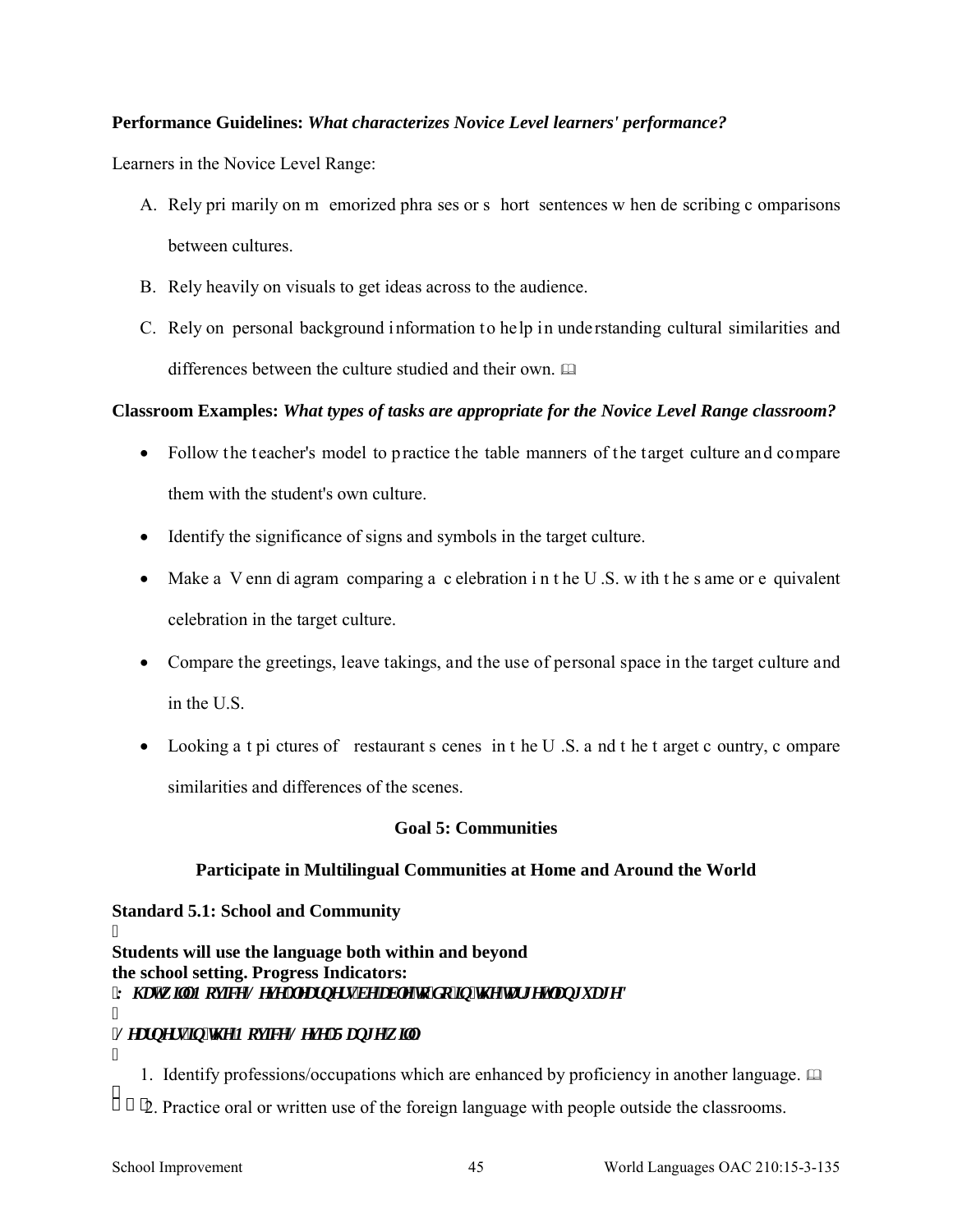Learners in the Novice Level Range:

- A. Rely pri marily on m emorized phra ses or s hort sentences w hen de scribing c omparisons between cultures.
- B. Rely heavily on visuals to get ideas across to the audience.
- C. Rely on personal background information to help in understanding cultural similarities and differences between the culture studied and their own.

### **Classroom Examples:** *What types of tasks are appropriate for the Novice Level Range classroom?*

- Follow the teacher's model to practice the table manners of the target culture and compare them with the student's own culture.
- Identify the significance of signs and symbols in the target culture.
- Make a V enn di agram comparing a c elebration in t he U.S. w ith t he s ame or e quivalent celebration in the target culture.
- Compare the greetings, leave takings, and the use of personal space in the target culture and in the U.S.
- Looking a t pi ctures of restaurant s cenes in t he U.S. a nd t he t arget c ountry, c ompare similarities and differences of the scenes.

### **Goal 5: Communities**

### **Participate in Multilingual Communities at Home and Around the World**

### **Standard 5.1: School and Community**

I **Students will use the language both within and beyond the school setting. Progress Indicators:**  *'Y j cv'y knlP qxkeg'Ngxgnligctpgtu'dg'cdng'iq'f q'kp'ij g'icti gy'lcpi wci gA* ľ

# *<i>Ngctpgtullp* 'ij g'Pqxleg'Ngxgn'Tcpi g'y lans'

- ľ 1. Identify professions/occupations which are enhanced by proficiency in another language.  $\Box$ ÷.
	- 2. Practice oral or written use of the foreign language with people outside the classrooms.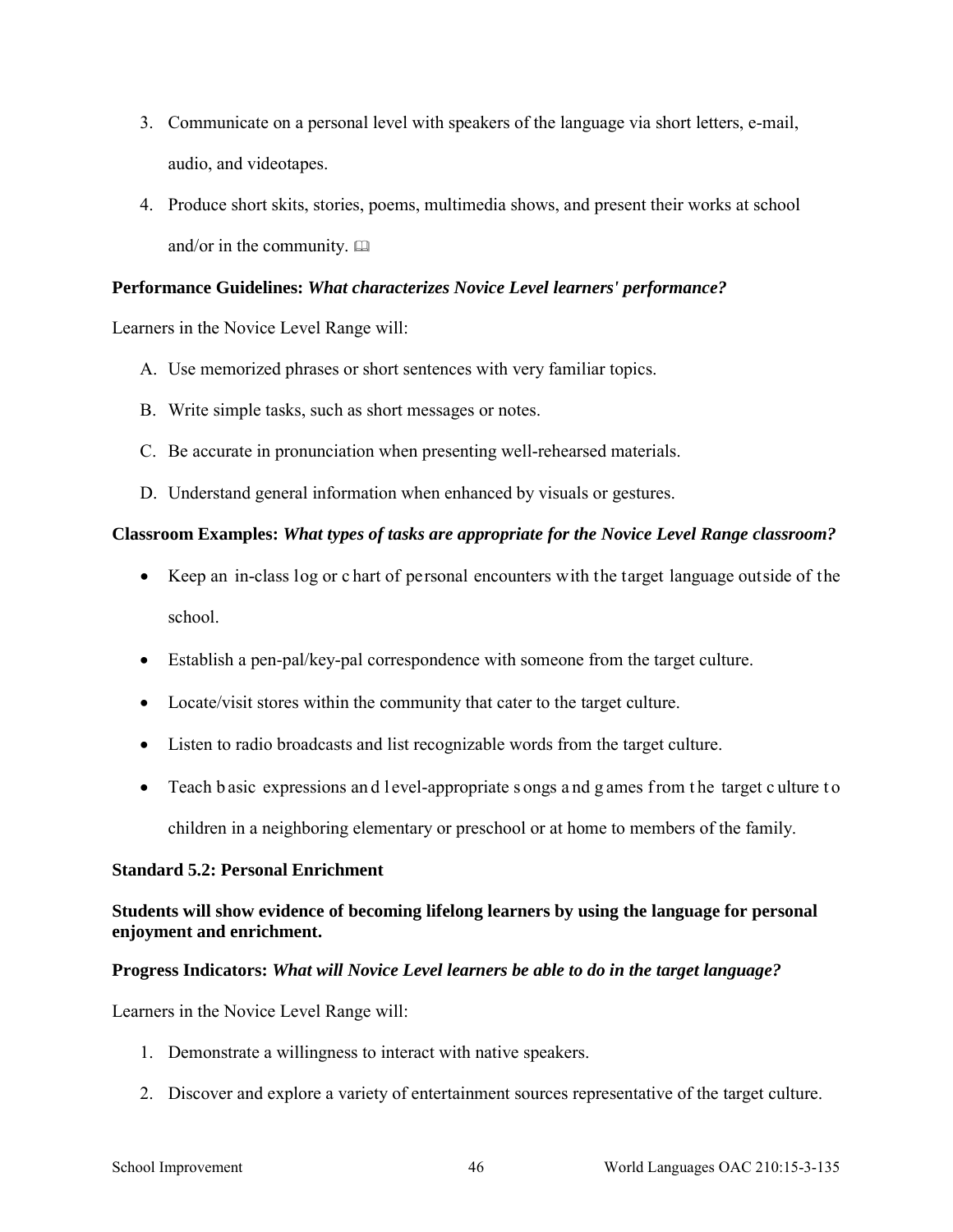- 3. Communicate on a personal level with speakers of the language via short letters, e-mail, audio, and videotapes.
- 4. Produce short skits, stories, poems, multimedia shows, and present their works at school and/or in the community.  $\square$

Learners in the Novice Level Range will:

- A. Use memorized phrases or short sentences with very familiar topics.
- B. Write simple tasks, such as short messages or notes.
- C. Be accurate in pronunciation when presenting well-rehearsed materials.
- D. Understand general information when enhanced by visuals or gestures.

# **Classroom Examples:** *What types of tasks are appropriate for the Novice Level Range classroom?*

- Keep an in-class log or c hart of personal encounters with the target language outside of the school.
- Establish a pen-pal/key-pal correspondence with someone from the target culture.
- Locate/visit stores within the community that cater to the target culture.
- Listen to radio broadcasts and list recognizable words from the target culture.
- Teach b asic expressions and l evel-appropriate s ongs and g ames from the target culture to children in a neighboring elementary or preschool or at home to members of the family.

### **Standard 5.2: Personal Enrichment**

# **Students will show evidence of becoming lifelong learners by using the language for personal enjoyment and enrichment.**

### **Progress Indicators:** *What will Novice Level learners be able to do in the target language?*

- 1. Demonstrate a willingness to interact with native speakers.
- 2. Discover and explore a variety of entertainment sources representative of the target culture.